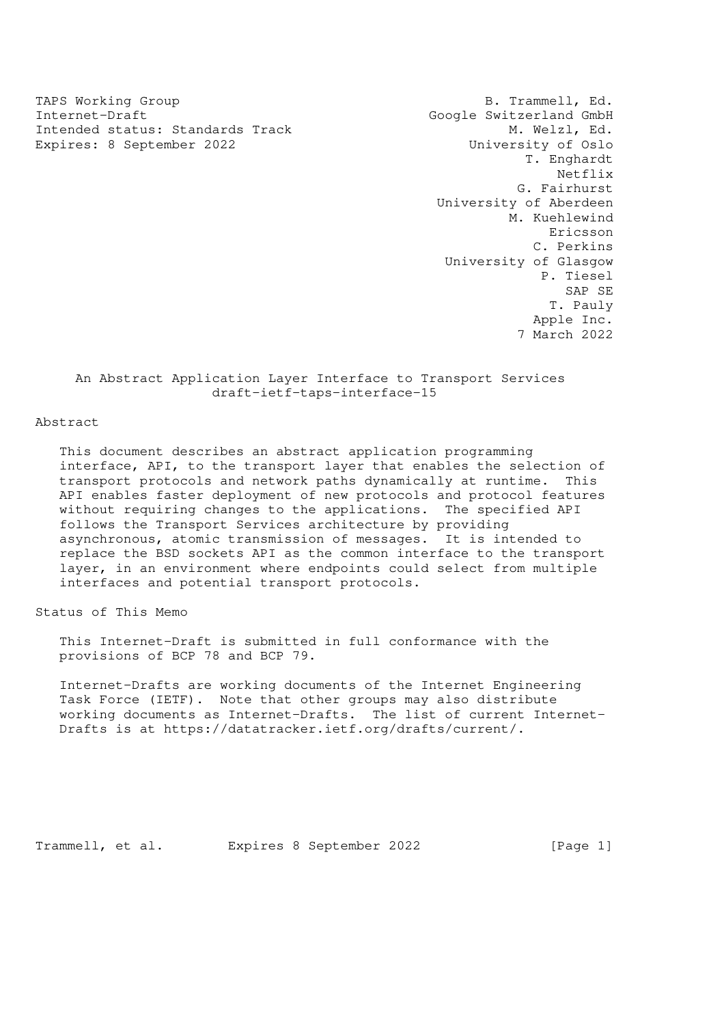TAPS Working Group TAPS Working Group Internet-Draft<br>Intended status: Standards Track Google Switzerland GmbH<br>M. Welzl, Ed. Intended status: Standards Track Expires: 8 September 2022 **1998** University of Oslo

 T. Enghardt Netflix G. Fairhurst University of Aberdeen M. Kuehlewind Ericsson C. Perkins University of Glasgow P. Tiesel SAP SE T. Pauly Apple Inc. 7 March 2022

## An Abstract Application Layer Interface to Transport Services draft-ietf-taps-interface-15

Abstract

 This document describes an abstract application programming interface, API, to the transport layer that enables the selection of transport protocols and network paths dynamically at runtime. This API enables faster deployment of new protocols and protocol features without requiring changes to the applications. The specified API follows the Transport Services architecture by providing asynchronous, atomic transmission of messages. It is intended to replace the BSD sockets API as the common interface to the transport layer, in an environment where endpoints could select from multiple interfaces and potential transport protocols.

Status of This Memo

 This Internet-Draft is submitted in full conformance with the provisions of BCP 78 and BCP 79.

 Internet-Drafts are working documents of the Internet Engineering Task Force (IETF). Note that other groups may also distribute working documents as Internet-Drafts. The list of current Internet- Drafts is at https://datatracker.ietf.org/drafts/current/.

Trammell, et al. Expires 8 September 2022 [Page 1]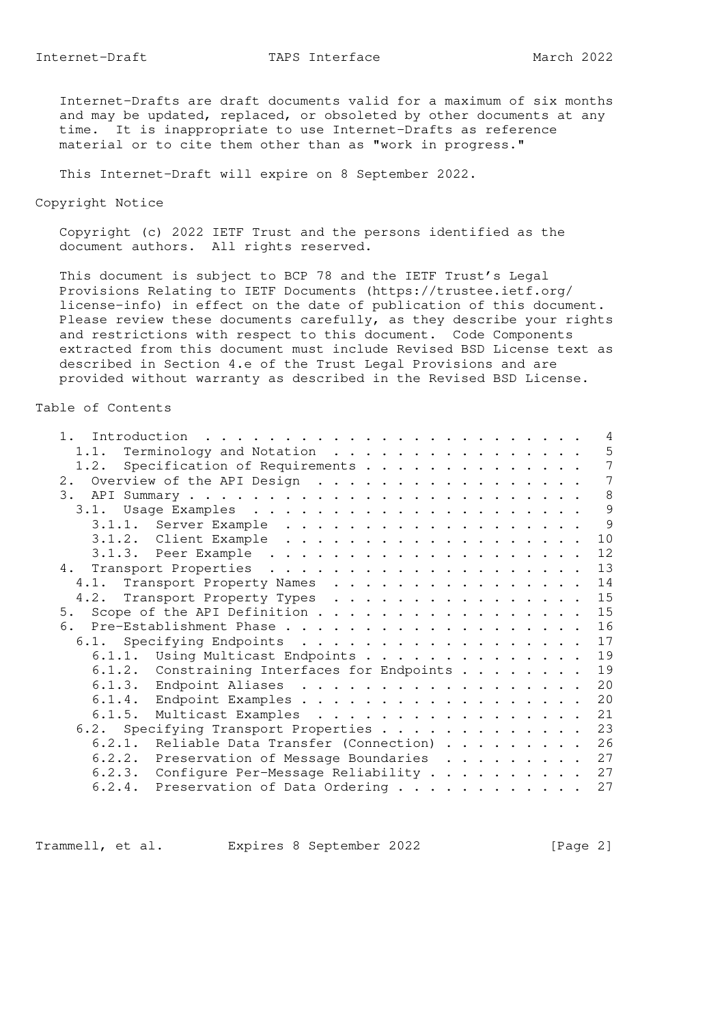Internet-Drafts are draft documents valid for a maximum of six months and may be updated, replaced, or obsoleted by other documents at any time. It is inappropriate to use Internet-Drafts as reference material or to cite them other than as "work in progress."

This Internet-Draft will expire on 8 September 2022.

Copyright Notice

 Copyright (c) 2022 IETF Trust and the persons identified as the document authors. All rights reserved.

 This document is subject to BCP 78 and the IETF Trust's Legal Provisions Relating to IETF Documents (https://trustee.ietf.org/ license-info) in effect on the date of publication of this document. Please review these documents carefully, as they describe your rights and restrictions with respect to this document. Code Components extracted from this document must include Revised BSD License text as described in Section 4.e of the Trust Legal Provisions and are provided without warranty as described in the Revised BSD License.

## Table of Contents

| 1.                                           | 4  |
|----------------------------------------------|----|
| Terminology and Notation<br>1.1.             | 5  |
| 1.2. Specification of Requirements           | 7  |
| 2. Overview of the API Design                | 7  |
|                                              | 8  |
| 3.1.                                         | 9  |
| 3.1.1. Server Example                        | 9  |
|                                              | 10 |
|                                              | 12 |
|                                              | 13 |
| 4.1. Transport Property Names                | 14 |
| 4.2. Transport Property Types                | 15 |
| 5. Scope of the API Definition               | 15 |
|                                              | 16 |
| 6.1. Specifying Endpoints                    | 17 |
| 6.1.1. Using Multicast Endpoints             | 19 |
| 6.1.2. Constraining Interfaces for Endpoints | 19 |
| 6.1.3. Endpoint Aliases                      | 20 |
| 6.1.4. Endpoint Examples                     | 20 |
| 6.1.5. Multicast Examples                    | 21 |
| 6.2. Specifying Transport Properties         | 23 |
| 6.2.1. Reliable Data Transfer (Connection)   | 26 |
| 6.2.2. Preservation of Message Boundaries    | 27 |
| 6.2.3. Configure Per-Message Reliability     | 27 |
| 6.2.4. Preservation of Data Ordering         | 27 |
|                                              |    |

Trammell, et al. Expires 8 September 2022 [Page 2]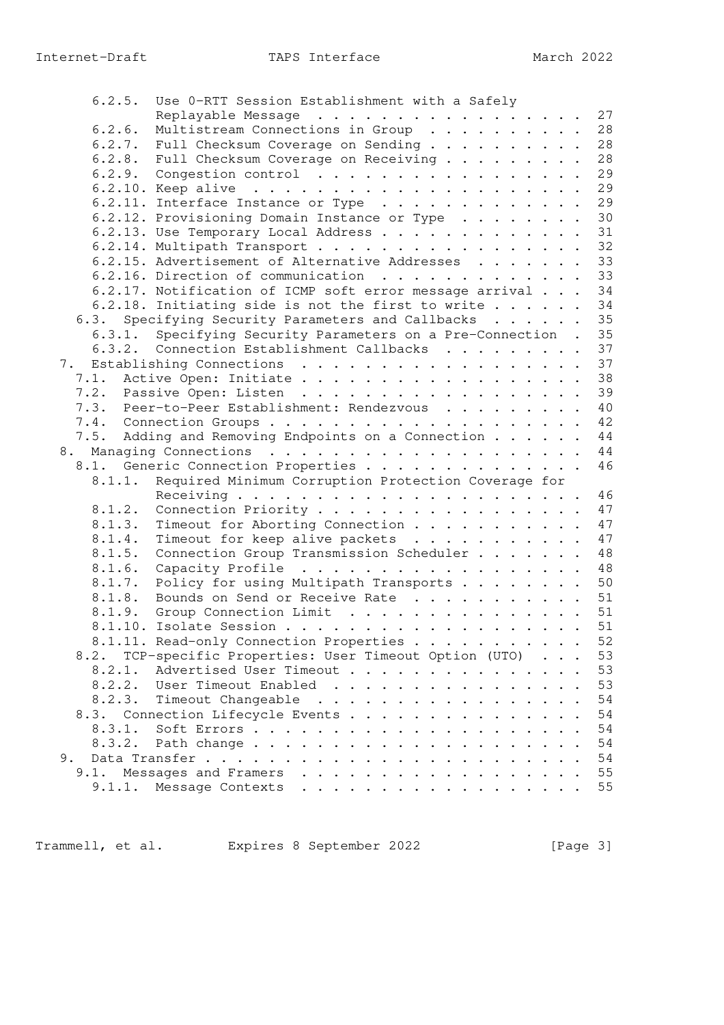| 6.2.5. | Use 0-RTT Session Establishment with a Safely                                                                                                                                                                                                                                                                                                                                                                                                                                                             |    |
|--------|-----------------------------------------------------------------------------------------------------------------------------------------------------------------------------------------------------------------------------------------------------------------------------------------------------------------------------------------------------------------------------------------------------------------------------------------------------------------------------------------------------------|----|
|        | Replayable Message 27                                                                                                                                                                                                                                                                                                                                                                                                                                                                                     |    |
| 6.2.6. | Multistream Connections in Group                                                                                                                                                                                                                                                                                                                                                                                                                                                                          | 28 |
|        | 6.2.7. Full Checksum Coverage on Sending 28                                                                                                                                                                                                                                                                                                                                                                                                                                                               |    |
|        | 6.2.8. Full Checksum Coverage on Receiving 28                                                                                                                                                                                                                                                                                                                                                                                                                                                             |    |
|        | 6.2.9. Congestion control $\ldots$ 29                                                                                                                                                                                                                                                                                                                                                                                                                                                                     |    |
|        |                                                                                                                                                                                                                                                                                                                                                                                                                                                                                                           |    |
|        | 6.2.11. Interface Instance or Type 29                                                                                                                                                                                                                                                                                                                                                                                                                                                                     |    |
|        | 6.2.12. Provisioning Domain Instance or Type                                                                                                                                                                                                                                                                                                                                                                                                                                                              | 30 |
|        | 6.2.13. Use Temporary Local Address 31                                                                                                                                                                                                                                                                                                                                                                                                                                                                    |    |
|        | 6.2.14. Multipath Transport 32                                                                                                                                                                                                                                                                                                                                                                                                                                                                            |    |
|        | 6.2.15. Advertisement of Alternative Addresses 33                                                                                                                                                                                                                                                                                                                                                                                                                                                         |    |
|        | 6.2.16. Direction of communication 33                                                                                                                                                                                                                                                                                                                                                                                                                                                                     |    |
|        | 6.2.17. Notification of ICMP soft error message arrival 34                                                                                                                                                                                                                                                                                                                                                                                                                                                |    |
|        | 6.2.18. Initiating side is not the first to write 34                                                                                                                                                                                                                                                                                                                                                                                                                                                      |    |
|        | 6.3. Specifying Security Parameters and Callbacks 35                                                                                                                                                                                                                                                                                                                                                                                                                                                      |    |
|        |                                                                                                                                                                                                                                                                                                                                                                                                                                                                                                           |    |
| 6.3.1. | Specifying Security Parameters on a Pre-Connection . 35                                                                                                                                                                                                                                                                                                                                                                                                                                                   |    |
|        | 6.3.2. Connection Establishment Callbacks 37                                                                                                                                                                                                                                                                                                                                                                                                                                                              |    |
|        | 7. Establishing Connections                                                                                                                                                                                                                                                                                                                                                                                                                                                                               | 37 |
|        | 7.1. Active Open: Initiate                                                                                                                                                                                                                                                                                                                                                                                                                                                                                | 38 |
|        | 7.2. Passive Open: Listen                                                                                                                                                                                                                                                                                                                                                                                                                                                                                 | 39 |
|        | 7.3. Peer-to-Peer Establishment: Rendezvous                                                                                                                                                                                                                                                                                                                                                                                                                                                               | 40 |
|        |                                                                                                                                                                                                                                                                                                                                                                                                                                                                                                           | 42 |
|        | 7.5. Adding and Removing Endpoints on a Connection                                                                                                                                                                                                                                                                                                                                                                                                                                                        | 44 |
|        |                                                                                                                                                                                                                                                                                                                                                                                                                                                                                                           | 44 |
|        | 8.1. Generic Connection Properties                                                                                                                                                                                                                                                                                                                                                                                                                                                                        | 46 |
| 8.1.1. | Required Minimum Corruption Protection Coverage for                                                                                                                                                                                                                                                                                                                                                                                                                                                       |    |
|        |                                                                                                                                                                                                                                                                                                                                                                                                                                                                                                           | 46 |
| 8.1.2. | Connection Priority                                                                                                                                                                                                                                                                                                                                                                                                                                                                                       | 47 |
| 8.1.3. | Timeout for Aborting Connection                                                                                                                                                                                                                                                                                                                                                                                                                                                                           | 47 |
| 8.1.4. | Timeout for keep alive packets                                                                                                                                                                                                                                                                                                                                                                                                                                                                            | 47 |
| 8.1.5. | Connection Group Transmission Scheduler                                                                                                                                                                                                                                                                                                                                                                                                                                                                   | 48 |
| 8.1.6. | Capacity Profile 48                                                                                                                                                                                                                                                                                                                                                                                                                                                                                       |    |
| 8.1.7. | Policy for using Multipath Transports 50                                                                                                                                                                                                                                                                                                                                                                                                                                                                  |    |
| 8.1.8. | Bounds on Send or Receive Rate 51                                                                                                                                                                                                                                                                                                                                                                                                                                                                         |    |
|        | 8.1.9. Group Connection Limit 51                                                                                                                                                                                                                                                                                                                                                                                                                                                                          |    |
|        |                                                                                                                                                                                                                                                                                                                                                                                                                                                                                                           | 51 |
|        | 8.1.11. Read-only Connection Properties 52                                                                                                                                                                                                                                                                                                                                                                                                                                                                |    |
| 8.2.   | TCP-specific Properties: User Timeout Option (UTO)                                                                                                                                                                                                                                                                                                                                                                                                                                                        | 53 |
| 8.2.1. | Advertised User Timeout                                                                                                                                                                                                                                                                                                                                                                                                                                                                                   | 53 |
| 8.2.2. | User Timeout Enabled<br>. The contract of the contract of the contract of the contract of the contract of the contract of the contract of the contract of the contract of the contract of the contract of the contract of the contract of the contrac                                                                                                                                                                                                                                                     | 53 |
| 8.2.3. | Timeout Changeable                                                                                                                                                                                                                                                                                                                                                                                                                                                                                        | 54 |
| 8.3.   | Connection Lifecycle Events                                                                                                                                                                                                                                                                                                                                                                                                                                                                               | 54 |
| 8.3.1. |                                                                                                                                                                                                                                                                                                                                                                                                                                                                                                           | 54 |
|        | Soft Errors<br>$\ddot{\phantom{1}}$<br>$\ddot{\phantom{0}}$<br>$\cdots$                                                                                                                                                                                                                                                                                                                                                                                                                                   | 54 |
| 8.3.2. | Path change<br>$\ddot{\phantom{a}}$<br>$\ddot{\phantom{0}}$<br>$\cdots$                                                                                                                                                                                                                                                                                                                                                                                                                                   |    |
| 9.     | Data Transfer<br>$\mathbf{r}$<br>$\ddot{\phantom{1}}$                                                                                                                                                                                                                                                                                                                                                                                                                                                     | 54 |
| 9.1.   | Messages and Framers<br>$\ddot{\phantom{0}}$<br>$\ddot{\phantom{1}}$<br>.                                                                                                                                                                                                                                                                                                                                                                                                                                 | 55 |
| 9.1.1. | Message Contexts<br>$\mathbf{1} \quad \mathbf{1} \quad \mathbf{1} \quad \mathbf{1} \quad \mathbf{1} \quad \mathbf{1} \quad \mathbf{1} \quad \mathbf{1} \quad \mathbf{1} \quad \mathbf{1} \quad \mathbf{1} \quad \mathbf{1} \quad \mathbf{1} \quad \mathbf{1} \quad \mathbf{1} \quad \mathbf{1} \quad \mathbf{1} \quad \mathbf{1} \quad \mathbf{1} \quad \mathbf{1} \quad \mathbf{1} \quad \mathbf{1} \quad \mathbf{1} \quad \mathbf{1} \quad \mathbf{1} \quad \mathbf{1} \quad \mathbf{1} \quad \mathbf{$ | 55 |

Trammell, et al. Expires 8 September 2022 [Page 3]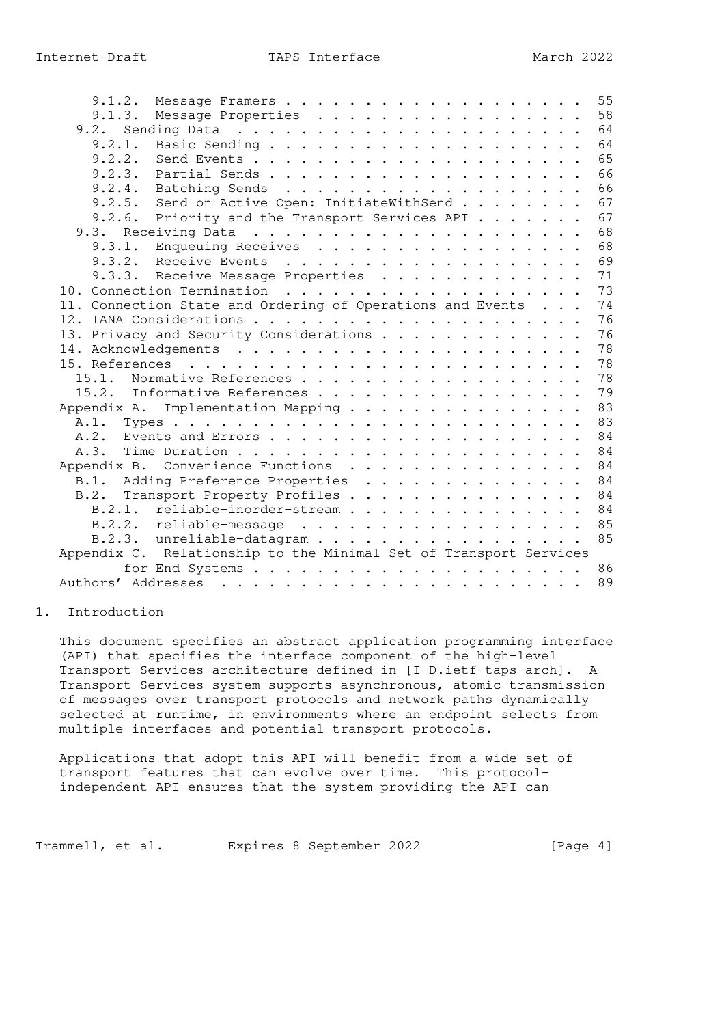| 9.1.2.                                                            |  |  | 55 |
|-------------------------------------------------------------------|--|--|----|
| 9.1.3. Message Properties                                         |  |  | 58 |
| 9.2.                                                              |  |  | 64 |
| 9.2.1.                                                            |  |  | 64 |
|                                                                   |  |  | 65 |
|                                                                   |  |  | 66 |
|                                                                   |  |  | 66 |
| 9.2.5. Send on Active Open: InitiateWithSend                      |  |  | 67 |
| 9.2.6.<br>Priority and the Transport Services API                 |  |  | 67 |
|                                                                   |  |  | 68 |
| 9.3.1. Enqueuing Receives                                         |  |  | 68 |
|                                                                   |  |  | 69 |
| 9.3.3. Receive Message Properties                                 |  |  | 71 |
|                                                                   |  |  | 73 |
| 11. Connection State and Ordering of Operations and Events        |  |  | 74 |
|                                                                   |  |  | 76 |
| 13. Privacy and Security Considerations                           |  |  | 76 |
|                                                                   |  |  | 78 |
|                                                                   |  |  | 78 |
| 15.1. Normative References                                        |  |  | 78 |
| 15.2. Informative References                                      |  |  | 79 |
| Implementation Mapping<br>Appendix A.                             |  |  | 83 |
|                                                                   |  |  | 83 |
|                                                                   |  |  | 84 |
|                                                                   |  |  | 84 |
| Appendix B. Convenience Functions                                 |  |  | 84 |
| B.1. Adding Preference Properties 84                              |  |  |    |
| Transport Property Profiles 84<br>B.2.                            |  |  |    |
| B.2.1. reliable-inorder-stream                                    |  |  | 84 |
| B.2.2. reliable-message                                           |  |  | 85 |
| B.2.3. unreliable-datagram                                        |  |  | 85 |
| Appendix C. Relationship to the Minimal Set of Transport Services |  |  |    |
|                                                                   |  |  | 86 |
|                                                                   |  |  | 89 |
|                                                                   |  |  |    |

#### 1. Introduction

 This document specifies an abstract application programming interface (API) that specifies the interface component of the high-level Transport Services architecture defined in [I-D.ietf-taps-arch]. A Transport Services system supports asynchronous, atomic transmission of messages over transport protocols and network paths dynamically selected at runtime, in environments where an endpoint selects from multiple interfaces and potential transport protocols.

 Applications that adopt this API will benefit from a wide set of transport features that can evolve over time. This protocol independent API ensures that the system providing the API can

Trammell, et al. Expires 8 September 2022 [Page 4]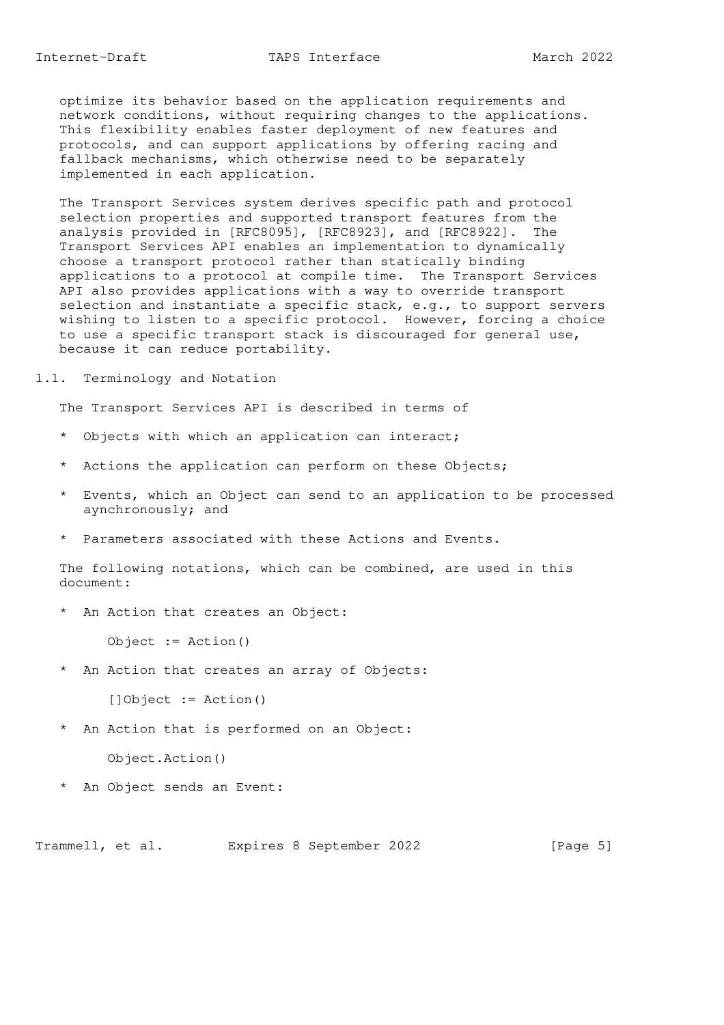optimize its behavior based on the application requirements and network conditions, without requiring changes to the applications. This flexibility enables faster deployment of new features and protocols, and can support applications by offering racing and fallback mechanisms, which otherwise need to be separately implemented in each application.

 The Transport Services system derives specific path and protocol selection properties and supported transport features from the analysis provided in [RFC8095], [RFC8923], and [RFC8922]. The Transport Services API enables an implementation to dynamically choose a transport protocol rather than statically binding applications to a protocol at compile time. The Transport Services API also provides applications with a way to override transport selection and instantiate a specific stack, e.g., to support servers wishing to listen to a specific protocol. However, forcing a choice to use a specific transport stack is discouraged for general use, because it can reduce portability.

#### 1.1. Terminology and Notation

The Transport Services API is described in terms of

- \* Objects with which an application can interact;
- \* Actions the application can perform on these Objects;
- \* Events, which an Object can send to an application to be processed aynchronously; and
- \* Parameters associated with these Actions and Events.

 The following notations, which can be combined, are used in this document:

\* An Action that creates an Object:

Object := Action()

\* An Action that creates an array of Objects:

[]Object := Action()

- \* An Action that is performed on an Object: Object.Action()
- \* An Object sends an Event:

Trammell, et al. Expires 8 September 2022 [Page 5]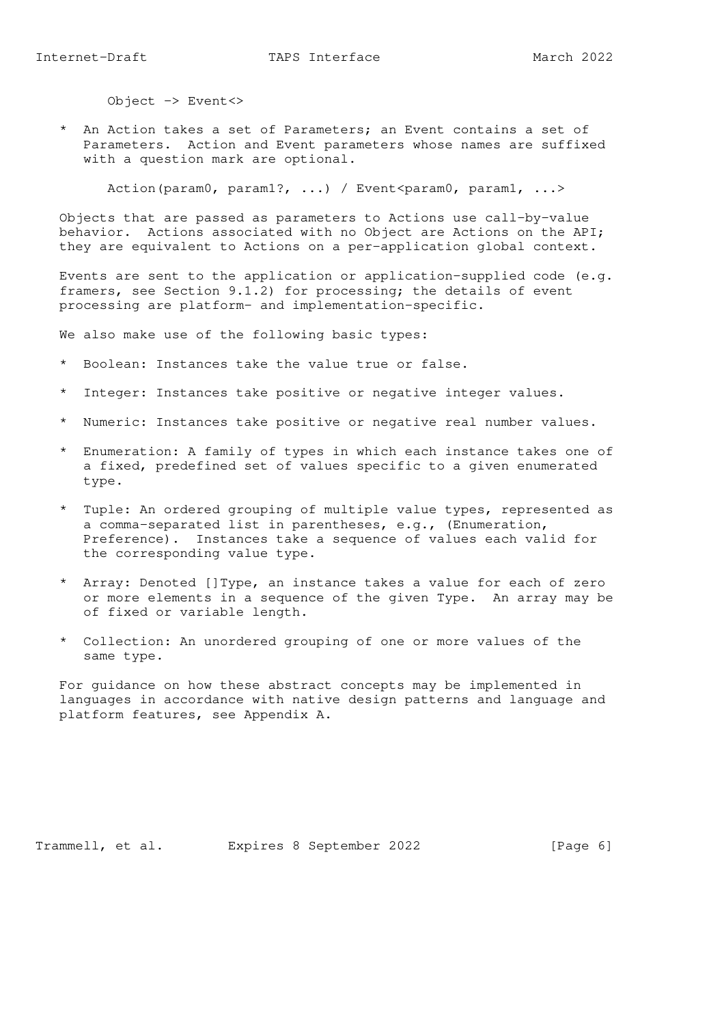\* An Action takes a set of Parameters; an Event contains a set of Parameters. Action and Event parameters whose names are suffixed with a question mark are optional.

Action(param0, param1?, ...) / Event<param0, param1, ...>

 Objects that are passed as parameters to Actions use call-by-value behavior. Actions associated with no Object are Actions on the API; they are equivalent to Actions on a per-application global context.

Events are sent to the application or application-supplied code  $(e,q)$ . framers, see Section 9.1.2) for processing; the details of event processing are platform- and implementation-specific.

We also make use of the following basic types:

- \* Boolean: Instances take the value true or false.
- \* Integer: Instances take positive or negative integer values.
- \* Numeric: Instances take positive or negative real number values.
- \* Enumeration: A family of types in which each instance takes one of a fixed, predefined set of values specific to a given enumerated type.
- \* Tuple: An ordered grouping of multiple value types, represented as a comma-separated list in parentheses, e.g., (Enumeration, Preference). Instances take a sequence of values each valid for the corresponding value type.
- \* Array: Denoted []Type, an instance takes a value for each of zero or more elements in a sequence of the given Type. An array may be of fixed or variable length.
- \* Collection: An unordered grouping of one or more values of the same type.

 For guidance on how these abstract concepts may be implemented in languages in accordance with native design patterns and language and platform features, see Appendix A.

Trammell, et al. Expires 8 September 2022 [Page 6]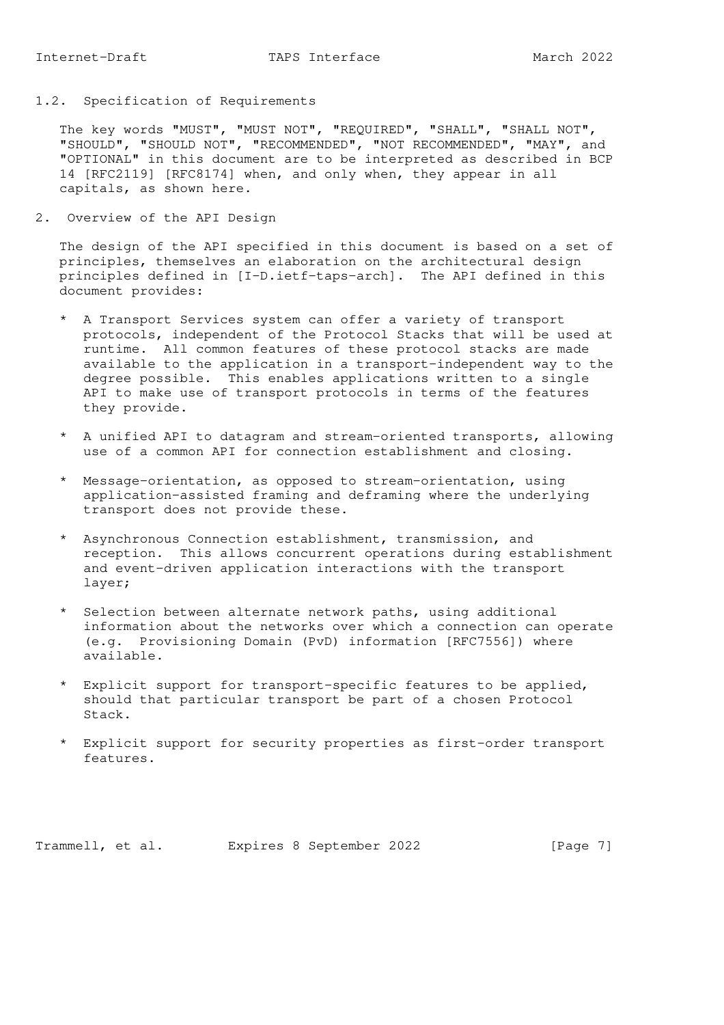1.2. Specification of Requirements

 The key words "MUST", "MUST NOT", "REQUIRED", "SHALL", "SHALL NOT", "SHOULD", "SHOULD NOT", "RECOMMENDED", "NOT RECOMMENDED", "MAY", and "OPTIONAL" in this document are to be interpreted as described in BCP 14 [RFC2119] [RFC8174] when, and only when, they appear in all capitals, as shown here.

2. Overview of the API Design

 The design of the API specified in this document is based on a set of principles, themselves an elaboration on the architectural design principles defined in [I-D.ietf-taps-arch]. The API defined in this document provides:

- \* A Transport Services system can offer a variety of transport protocols, independent of the Protocol Stacks that will be used at runtime. All common features of these protocol stacks are made available to the application in a transport-independent way to the degree possible. This enables applications written to a single API to make use of transport protocols in terms of the features they provide.
- \* A unified API to datagram and stream-oriented transports, allowing use of a common API for connection establishment and closing.
- \* Message-orientation, as opposed to stream-orientation, using application-assisted framing and deframing where the underlying transport does not provide these.
- \* Asynchronous Connection establishment, transmission, and reception. This allows concurrent operations during establishment and event-driven application interactions with the transport layer;
- \* Selection between alternate network paths, using additional information about the networks over which a connection can operate (e.g. Provisioning Domain (PvD) information [RFC7556]) where available.
- \* Explicit support for transport-specific features to be applied, should that particular transport be part of a chosen Protocol Stack.
- \* Explicit support for security properties as first-order transport features.

Trammell, et al. Expires 8 September 2022 [Page 7]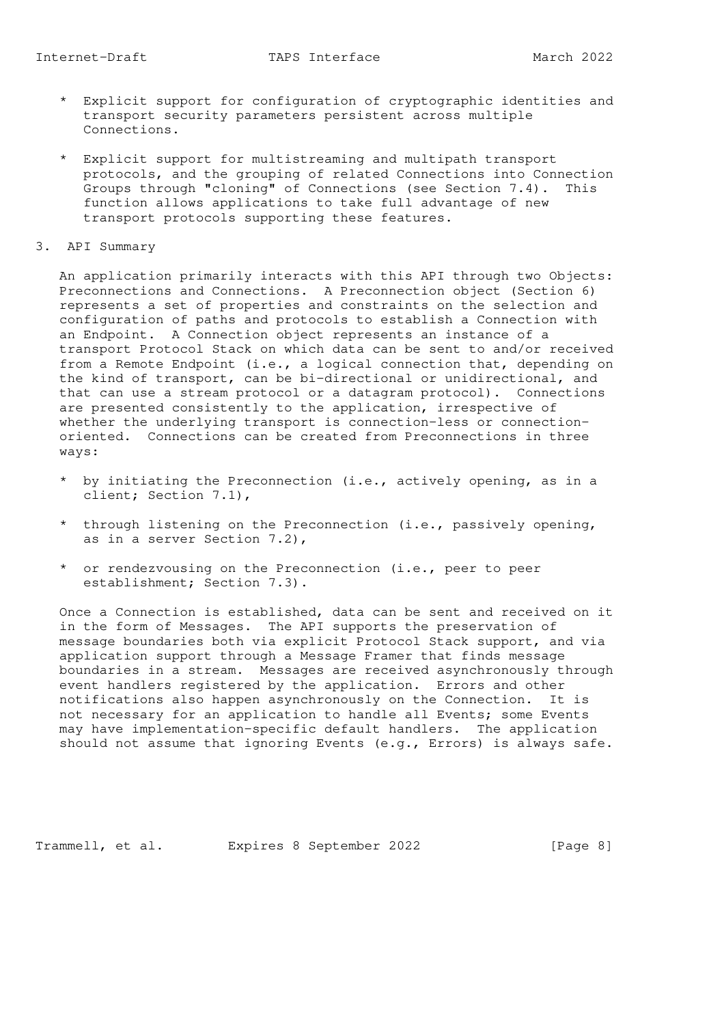- \* Explicit support for configuration of cryptographic identities and transport security parameters persistent across multiple Connections.
- \* Explicit support for multistreaming and multipath transport protocols, and the grouping of related Connections into Connection Groups through "cloning" of Connections (see Section 7.4). This function allows applications to take full advantage of new transport protocols supporting these features.
- 3. API Summary

 An application primarily interacts with this API through two Objects: Preconnections and Connections. A Preconnection object (Section 6) represents a set of properties and constraints on the selection and configuration of paths and protocols to establish a Connection with an Endpoint. A Connection object represents an instance of a transport Protocol Stack on which data can be sent to and/or received from a Remote Endpoint (i.e., a logical connection that, depending on the kind of transport, can be bi-directional or unidirectional, and that can use a stream protocol or a datagram protocol). Connections are presented consistently to the application, irrespective of whether the underlying transport is connection-less or connection oriented. Connections can be created from Preconnections in three ways:

- \* by initiating the Preconnection (i.e., actively opening, as in a client; Section 7.1),
- \* through listening on the Preconnection (i.e., passively opening, as in a server Section 7.2),
- \* or rendezvousing on the Preconnection (i.e., peer to peer establishment; Section 7.3).

 Once a Connection is established, data can be sent and received on it in the form of Messages. The API supports the preservation of message boundaries both via explicit Protocol Stack support, and via application support through a Message Framer that finds message boundaries in a stream. Messages are received asynchronously through event handlers registered by the application. Errors and other notifications also happen asynchronously on the Connection. It is not necessary for an application to handle all Events; some Events may have implementation-specific default handlers. The application should not assume that ignoring Events (e.g., Errors) is always safe.

Trammell, et al. Expires 8 September 2022 [Page 8]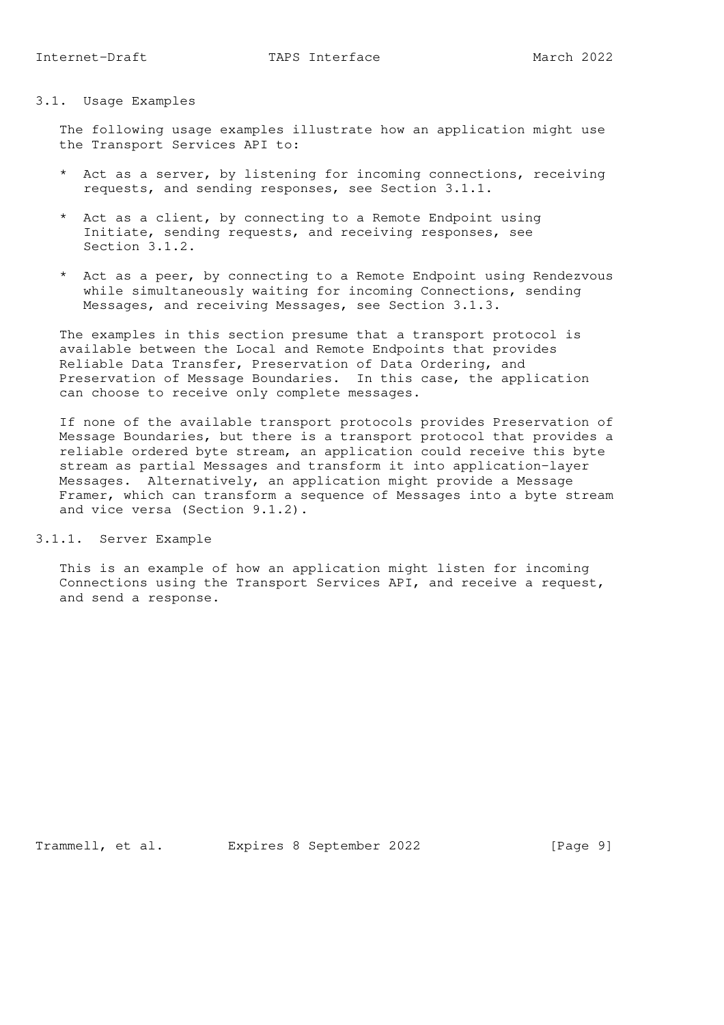#### 3.1. Usage Examples

 The following usage examples illustrate how an application might use the Transport Services API to:

- \* Act as a server, by listening for incoming connections, receiving requests, and sending responses, see Section 3.1.1.
- \* Act as a client, by connecting to a Remote Endpoint using Initiate, sending requests, and receiving responses, see Section 3.1.2.
- \* Act as a peer, by connecting to a Remote Endpoint using Rendezvous while simultaneously waiting for incoming Connections, sending Messages, and receiving Messages, see Section 3.1.3.

 The examples in this section presume that a transport protocol is available between the Local and Remote Endpoints that provides Reliable Data Transfer, Preservation of Data Ordering, and Preservation of Message Boundaries. In this case, the application can choose to receive only complete messages.

 If none of the available transport protocols provides Preservation of Message Boundaries, but there is a transport protocol that provides a reliable ordered byte stream, an application could receive this byte stream as partial Messages and transform it into application-layer Messages. Alternatively, an application might provide a Message Framer, which can transform a sequence of Messages into a byte stream and vice versa (Section 9.1.2).

# 3.1.1. Server Example

 This is an example of how an application might listen for incoming Connections using the Transport Services API, and receive a request, and send a response.

Trammell, et al. Expires 8 September 2022 [Page 9]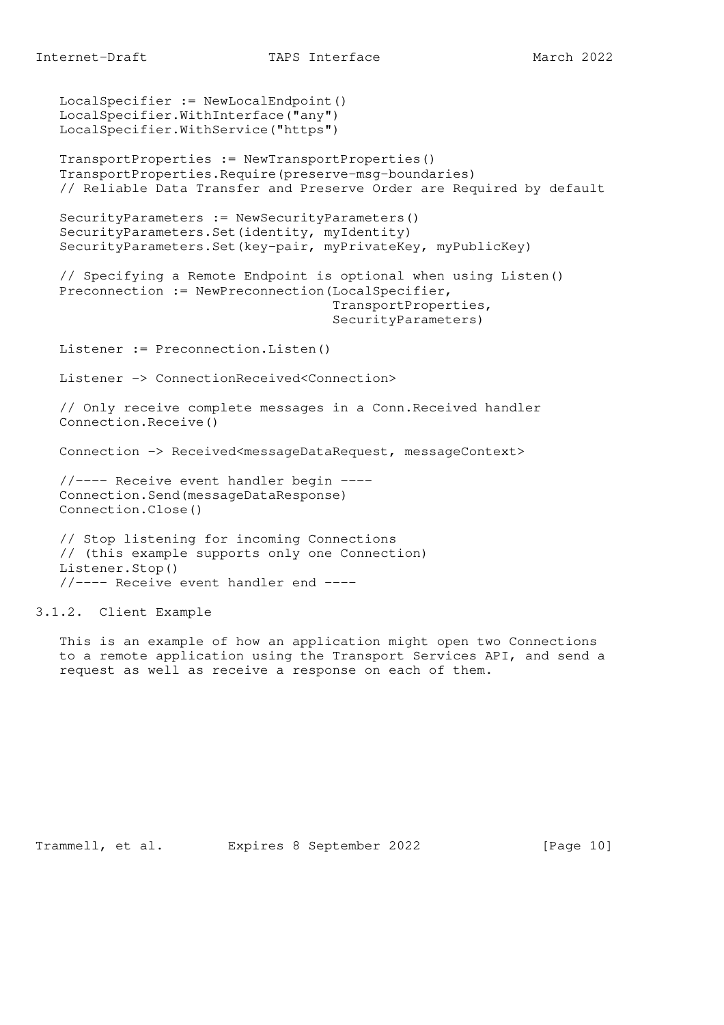```
 LocalSpecifier := NewLocalEndpoint()
    LocalSpecifier.WithInterface("any")
   LocalSpecifier.WithService("https")
   TransportProperties := NewTransportProperties()
    TransportProperties.Require(preserve-msg-boundaries)
    // Reliable Data Transfer and Preserve Order are Required by default
    SecurityParameters := NewSecurityParameters()
    SecurityParameters.Set(identity, myIdentity)
    SecurityParameters.Set(key-pair, myPrivateKey, myPublicKey)
    // Specifying a Remote Endpoint is optional when using Listen()
   Preconnection := NewPreconnection(LocalSpecifier,
                                       TransportProperties,
                                       SecurityParameters)
   Listener := Preconnection.Listen()
   Listener -> ConnectionReceived<Connection>
    // Only receive complete messages in a Conn.Received handler
   Connection.Receive()
   Connection -> Received<messageDataRequest, messageContext>
   //---- Receive event handler begin ----
    Connection.Send(messageDataResponse)
   Connection.Close()
    // Stop listening for incoming Connections
   // (this example supports only one Connection)
   Listener.Stop()
    //---- Receive event handler end ----
3.1.2. Client Example
```
 This is an example of how an application might open two Connections to a remote application using the Transport Services API, and send a request as well as receive a response on each of them.

Trammell, et al. Expires 8 September 2022 [Page 10]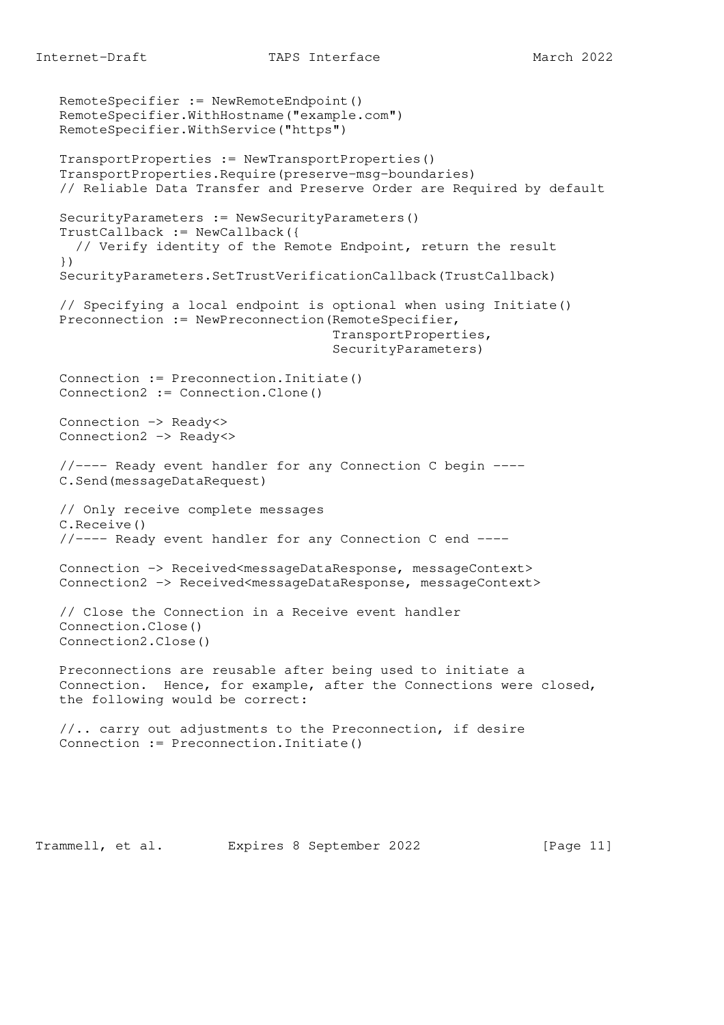```
 RemoteSpecifier := NewRemoteEndpoint()
 RemoteSpecifier.WithHostname("example.com")
 RemoteSpecifier.WithService("https")
 TransportProperties := NewTransportProperties()
 TransportProperties.Require(preserve-msg-boundaries)
 // Reliable Data Transfer and Preserve Order are Required by default
 SecurityParameters := NewSecurityParameters()
 TrustCallback := NewCallback({
   // Verify identity of the Remote Endpoint, return the result
 })
 SecurityParameters.SetTrustVerificationCallback(TrustCallback)
 // Specifying a local endpoint is optional when using Initiate()
 Preconnection := NewPreconnection(RemoteSpecifier,
                                    TransportProperties,
                                    SecurityParameters)
 Connection := Preconnection.Initiate()
 Connection2 := Connection.Clone()
 Connection -> Ready<>
 Connection2 -> Ready<>
 //---- Ready event handler for any Connection C begin ----
 C.Send(messageDataRequest)
 // Only receive complete messages
 C.Receive()
 //---- Ready event handler for any Connection C end ----
 Connection -> Received<messageDataResponse, messageContext>
 Connection2 -> Received<messageDataResponse, messageContext>
 // Close the Connection in a Receive event handler
 Connection.Close()
 Connection2.Close()
 Preconnections are reusable after being used to initiate a
 Connection. Hence, for example, after the Connections were closed,
 the following would be correct:
 //.. carry out adjustments to the Preconnection, if desire
 Connection := Preconnection.Initiate()
```
Trammell, et al. Expires 8 September 2022 [Page 11]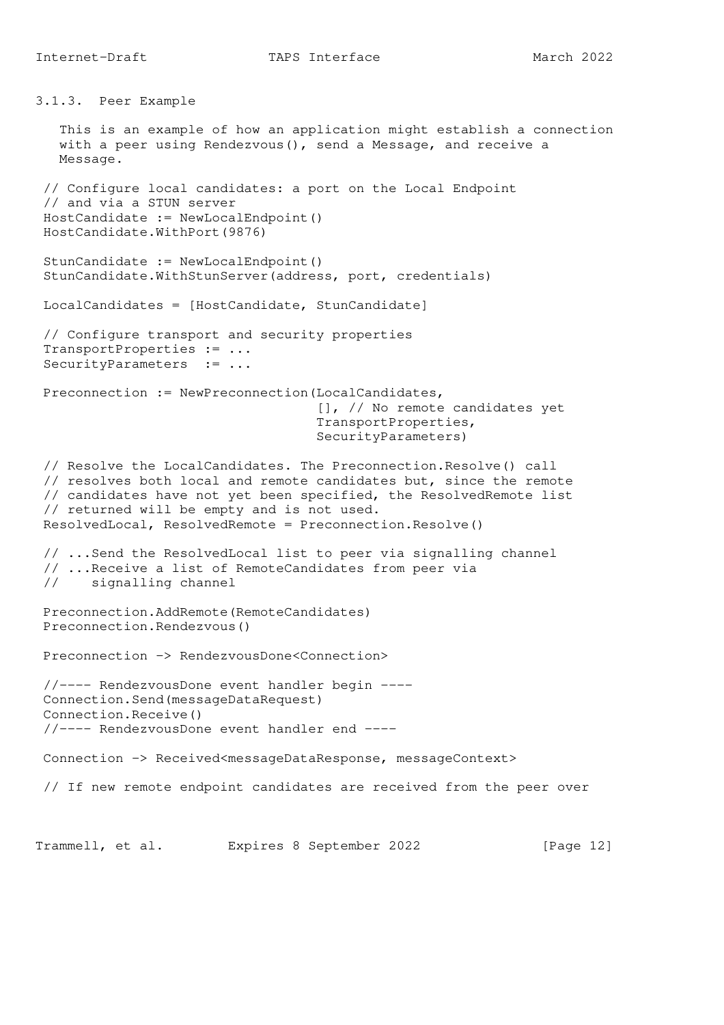3.1.3. Peer Example

 This is an example of how an application might establish a connection with a peer using Rendezvous(), send a Message, and receive a Message. // Configure local candidates: a port on the Local Endpoint // and via a STUN server HostCandidate := NewLocalEndpoint() HostCandidate.WithPort(9876) StunCandidate := NewLocalEndpoint() StunCandidate.WithStunServer(address, port, credentials) LocalCandidates = [HostCandidate, StunCandidate] // Configure transport and security properties TransportProperties := ... SecurityParameters := ... Preconnection := NewPreconnection(LocalCandidates, [], // No remote candidates yet TransportProperties, SecurityParameters) // Resolve the LocalCandidates. The Preconnection.Resolve() call // resolves both local and remote candidates but, since the remote // candidates have not yet been specified, the ResolvedRemote list // returned will be empty and is not used. ResolvedLocal, ResolvedRemote = Preconnection.Resolve() // ...Send the ResolvedLocal list to peer via signalling channel // ...Receive a list of RemoteCandidates from peer via // signalling channel Preconnection.AddRemote(RemoteCandidates) Preconnection.Rendezvous() Preconnection -> RendezvousDone<Connection> //---- RendezvousDone event handler begin ---- Connection.Send(messageDataRequest) Connection.Receive() //---- RendezvousDone event handler end ---- Connection -> Received<messageDataResponse, messageContext> // If new remote endpoint candidates are received from the peer over Trammell, et al. Expires 8 September 2022 [Page 12]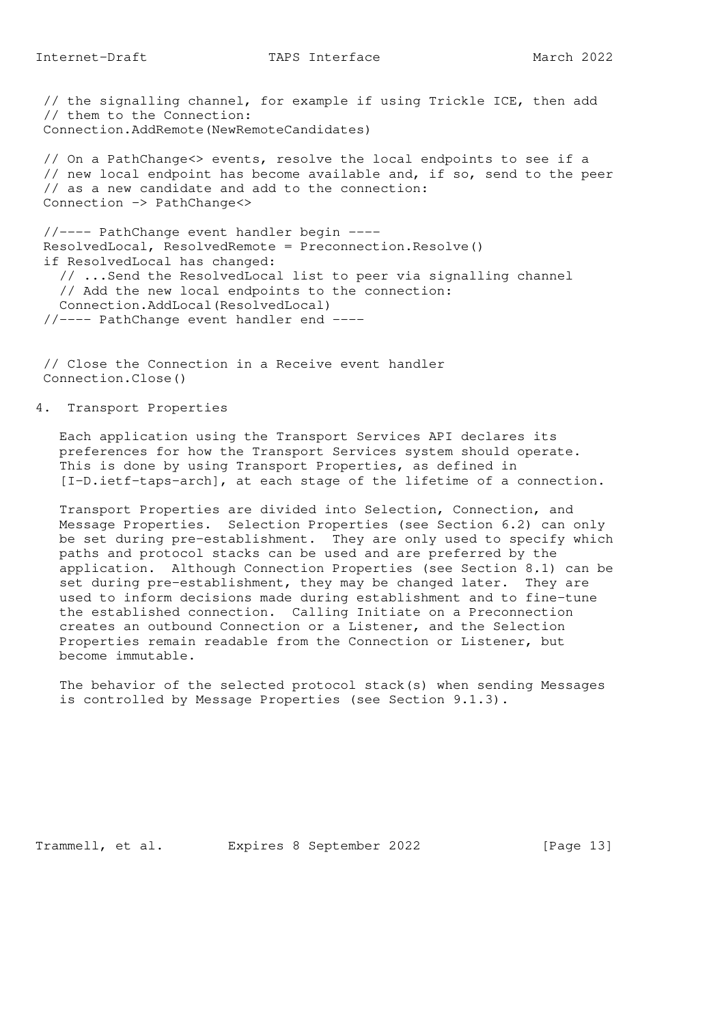// the signalling channel, for example if using Trickle ICE, then add // them to the Connection: Connection.AddRemote(NewRemoteCandidates)

 // On a PathChange<> events, resolve the local endpoints to see if a // new local endpoint has become available and, if so, send to the peer // as a new candidate and add to the connection: Connection -> PathChange<>

 //---- PathChange event handler begin ---- ResolvedLocal, ResolvedRemote = Preconnection.Resolve() if ResolvedLocal has changed: // ...Send the ResolvedLocal list to peer via signalling channel // Add the new local endpoints to the connection: Connection.AddLocal(ResolvedLocal) //---- PathChange event handler end ----

 // Close the Connection in a Receive event handler Connection.Close()

4. Transport Properties

 Each application using the Transport Services API declares its preferences for how the Transport Services system should operate. This is done by using Transport Properties, as defined in [I-D.ietf-taps-arch], at each stage of the lifetime of a connection.

 Transport Properties are divided into Selection, Connection, and Message Properties. Selection Properties (see Section 6.2) can only be set during pre-establishment. They are only used to specify which paths and protocol stacks can be used and are preferred by the application. Although Connection Properties (see Section 8.1) can be set during pre-establishment, they may be changed later. They are used to inform decisions made during establishment and to fine-tune the established connection. Calling Initiate on a Preconnection creates an outbound Connection or a Listener, and the Selection Properties remain readable from the Connection or Listener, but become immutable.

 The behavior of the selected protocol stack(s) when sending Messages is controlled by Message Properties (see Section 9.1.3).

Trammell, et al. Expires 8 September 2022 [Page 13]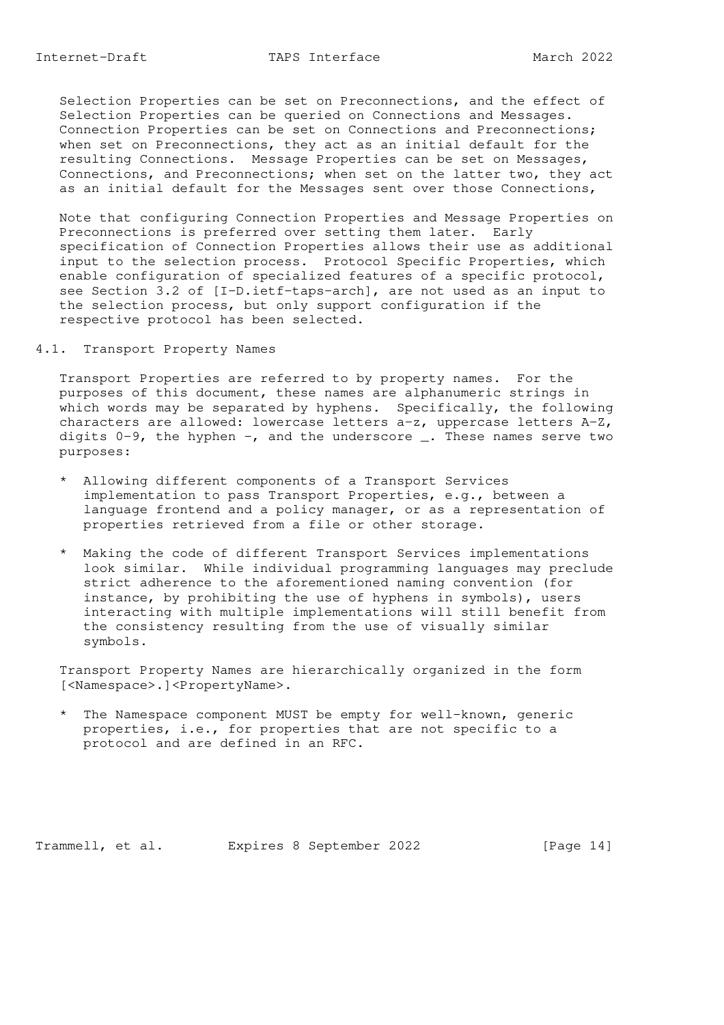Selection Properties can be set on Preconnections, and the effect of Selection Properties can be queried on Connections and Messages. Connection Properties can be set on Connections and Preconnections; when set on Preconnections, they act as an initial default for the resulting Connections. Message Properties can be set on Messages, Connections, and Preconnections; when set on the latter two, they act as an initial default for the Messages sent over those Connections,

 Note that configuring Connection Properties and Message Properties on Preconnections is preferred over setting them later. Early specification of Connection Properties allows their use as additional input to the selection process. Protocol Specific Properties, which enable configuration of specialized features of a specific protocol, see Section 3.2 of [I-D.ietf-taps-arch], are not used as an input to the selection process, but only support configuration if the respective protocol has been selected.

4.1. Transport Property Names

 Transport Properties are referred to by property names. For the purposes of this document, these names are alphanumeric strings in which words may be separated by hyphens. Specifically, the following characters are allowed: lowercase letters a-z, uppercase letters A-Z, digits  $0-9$ , the hyphen  $-$ , and the underscore  $\overline{\phantom{a}}$ . These names serve two purposes:

- \* Allowing different components of a Transport Services implementation to pass Transport Properties, e.g., between a language frontend and a policy manager, or as a representation of properties retrieved from a file or other storage.
- \* Making the code of different Transport Services implementations look similar. While individual programming languages may preclude strict adherence to the aforementioned naming convention (for instance, by prohibiting the use of hyphens in symbols), users interacting with multiple implementations will still benefit from the consistency resulting from the use of visually similar symbols.

 Transport Property Names are hierarchically organized in the form [<Namespace>.]<PropertyName>.

 \* The Namespace component MUST be empty for well-known, generic properties, i.e., for properties that are not specific to a protocol and are defined in an RFC.

Trammell, et al. Expires 8 September 2022 [Page 14]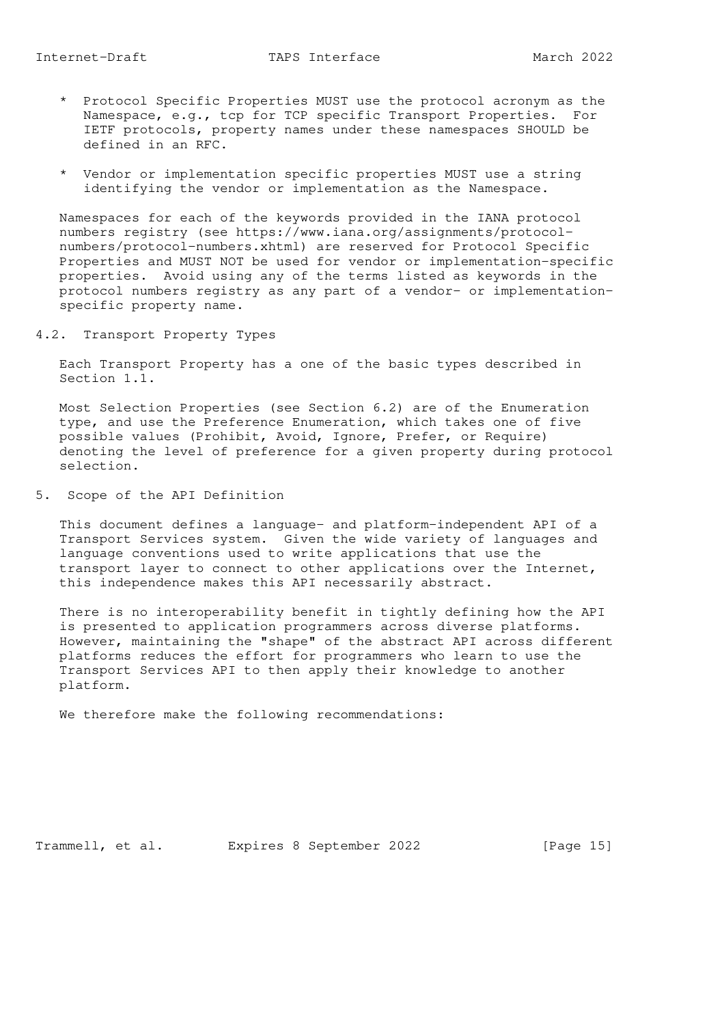- \* Protocol Specific Properties MUST use the protocol acronym as the Namespace, e.g., tcp for TCP specific Transport Properties. For IETF protocols, property names under these namespaces SHOULD be defined in an RFC.
- \* Vendor or implementation specific properties MUST use a string identifying the vendor or implementation as the Namespace.

 Namespaces for each of the keywords provided in the IANA protocol numbers registry (see https://www.iana.org/assignments/protocol numbers/protocol-numbers.xhtml) are reserved for Protocol Specific Properties and MUST NOT be used for vendor or implementation-specific properties. Avoid using any of the terms listed as keywords in the protocol numbers registry as any part of a vendor- or implementation specific property name.

4.2. Transport Property Types

 Each Transport Property has a one of the basic types described in Section 1.1.

 Most Selection Properties (see Section 6.2) are of the Enumeration type, and use the Preference Enumeration, which takes one of five possible values (Prohibit, Avoid, Ignore, Prefer, or Require) denoting the level of preference for a given property during protocol selection.

5. Scope of the API Definition

 This document defines a language- and platform-independent API of a Transport Services system. Given the wide variety of languages and language conventions used to write applications that use the transport layer to connect to other applications over the Internet, this independence makes this API necessarily abstract.

 There is no interoperability benefit in tightly defining how the API is presented to application programmers across diverse platforms. However, maintaining the "shape" of the abstract API across different platforms reduces the effort for programmers who learn to use the Transport Services API to then apply their knowledge to another platform.

We therefore make the following recommendations:

Trammell, et al. Expires 8 September 2022 [Page 15]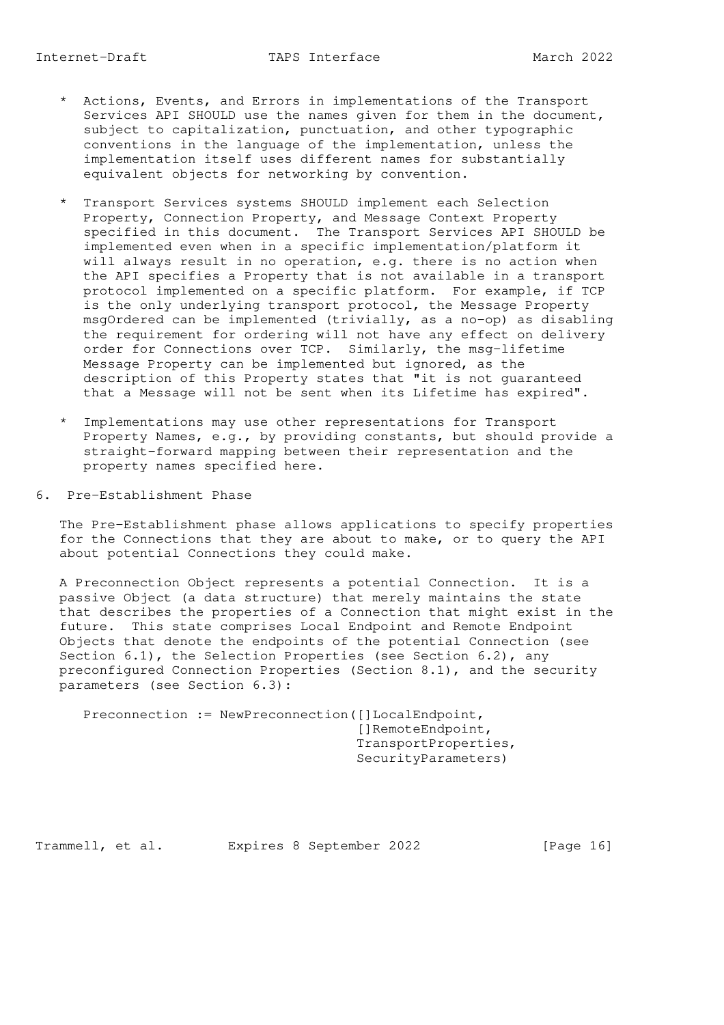equivalent objects for networking by convention.

- \* Transport Services systems SHOULD implement each Selection Property, Connection Property, and Message Context Property specified in this document. The Transport Services API SHOULD be implemented even when in a specific implementation/platform it will always result in no operation, e.g. there is no action when the API specifies a Property that is not available in a transport protocol implemented on a specific platform. For example, if TCP is the only underlying transport protocol, the Message Property msgOrdered can be implemented (trivially, as a no-op) as disabling the requirement for ordering will not have any effect on delivery order for Connections over TCP. Similarly, the msg-lifetime Message Property can be implemented but ignored, as the description of this Property states that "it is not guaranteed that a Message will not be sent when its Lifetime has expired".
- \* Implementations may use other representations for Transport Property Names, e.g., by providing constants, but should provide a straight-forward mapping between their representation and the property names specified here.
- 6. Pre-Establishment Phase

 The Pre-Establishment phase allows applications to specify properties for the Connections that they are about to make, or to query the API about potential Connections they could make.

 A Preconnection Object represents a potential Connection. It is a passive Object (a data structure) that merely maintains the state that describes the properties of a Connection that might exist in the future. This state comprises Local Endpoint and Remote Endpoint Objects that denote the endpoints of the potential Connection (see Section 6.1), the Selection Properties (see Section 6.2), any preconfigured Connection Properties (Section 8.1), and the security parameters (see Section 6.3):

Preconnection := NewPreconnection([]LocalEndpoint, []RemoteEndpoint, TransportProperties, SecurityParameters)

Trammell, et al. Expires 8 September 2022 [Page 16]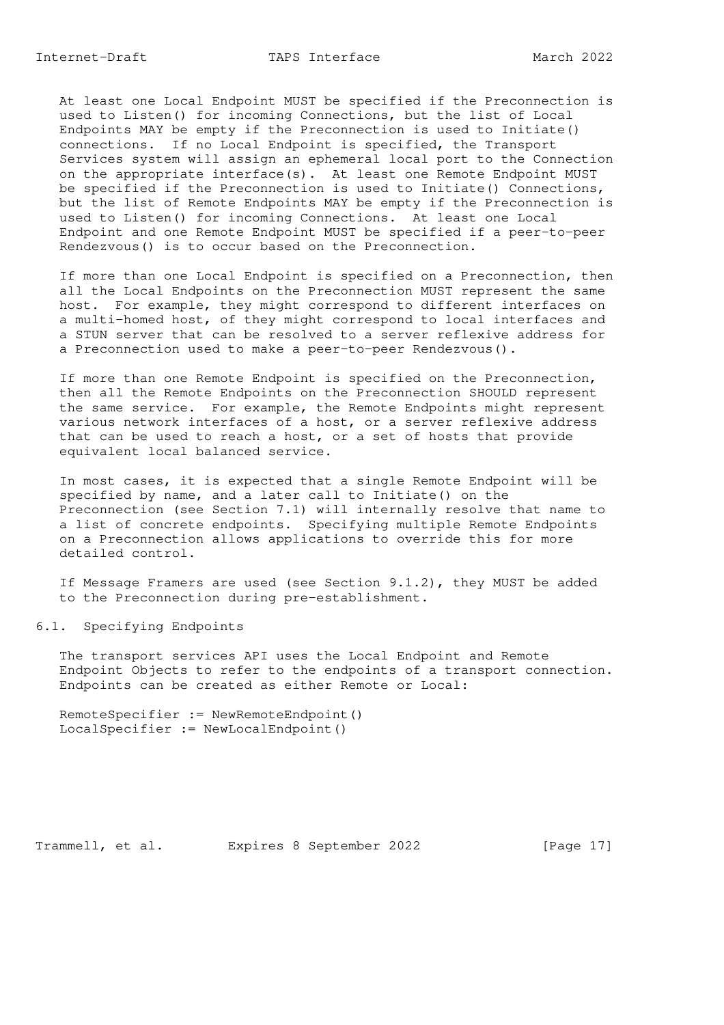At least one Local Endpoint MUST be specified if the Preconnection is used to Listen() for incoming Connections, but the list of Local Endpoints MAY be empty if the Preconnection is used to Initiate() connections. If no Local Endpoint is specified, the Transport Services system will assign an ephemeral local port to the Connection on the appropriate interface(s). At least one Remote Endpoint MUST be specified if the Preconnection is used to Initiate() Connections, but the list of Remote Endpoints MAY be empty if the Preconnection is used to Listen() for incoming Connections. At least one Local Endpoint and one Remote Endpoint MUST be specified if a peer-to-peer Rendezvous() is to occur based on the Preconnection.

 If more than one Local Endpoint is specified on a Preconnection, then all the Local Endpoints on the Preconnection MUST represent the same host. For example, they might correspond to different interfaces on a multi-homed host, of they might correspond to local interfaces and a STUN server that can be resolved to a server reflexive address for a Preconnection used to make a peer-to-peer Rendezvous().

 If more than one Remote Endpoint is specified on the Preconnection, then all the Remote Endpoints on the Preconnection SHOULD represent the same service. For example, the Remote Endpoints might represent various network interfaces of a host, or a server reflexive address that can be used to reach a host, or a set of hosts that provide equivalent local balanced service.

 In most cases, it is expected that a single Remote Endpoint will be specified by name, and a later call to Initiate() on the Preconnection (see Section 7.1) will internally resolve that name to a list of concrete endpoints. Specifying multiple Remote Endpoints on a Preconnection allows applications to override this for more detailed control.

 If Message Framers are used (see Section 9.1.2), they MUST be added to the Preconnection during pre-establishment.

#### 6.1. Specifying Endpoints

 The transport services API uses the Local Endpoint and Remote Endpoint Objects to refer to the endpoints of a transport connection. Endpoints can be created as either Remote or Local:

```
 RemoteSpecifier := NewRemoteEndpoint()
 LocalSpecifier := NewLocalEndpoint()
```
Trammell, et al. Expires 8 September 2022 [Page 17]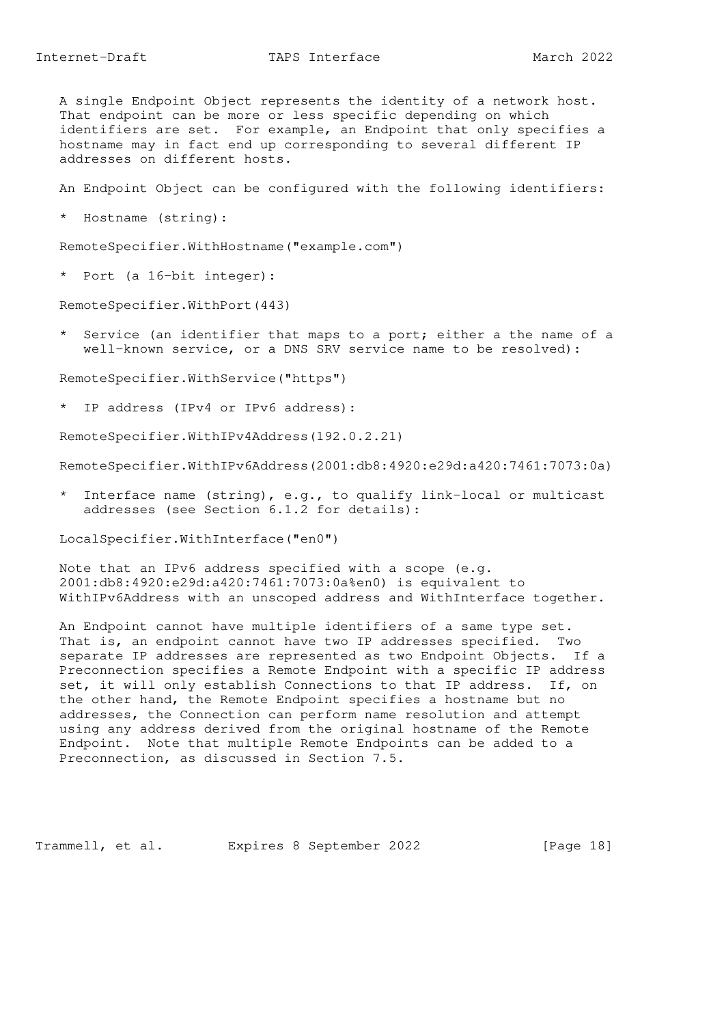A single Endpoint Object represents the identity of a network host. That endpoint can be more or less specific depending on which identifiers are set. For example, an Endpoint that only specifies a hostname may in fact end up corresponding to several different IP addresses on different hosts.

An Endpoint Object can be configured with the following identifiers:

\* Hostname (string):

RemoteSpecifier.WithHostname("example.com")

\* Port (a 16-bit integer):

RemoteSpecifier.WithPort(443)

 \* Service (an identifier that maps to a port; either a the name of a well-known service, or a DNS SRV service name to be resolved):

RemoteSpecifier.WithService("https")

\* IP address (IPv4 or IPv6 address):

RemoteSpecifier.WithIPv4Address(192.0.2.21)

RemoteSpecifier.WithIPv6Address(2001:db8:4920:e29d:a420:7461:7073:0a)

 \* Interface name (string), e.g., to qualify link-local or multicast addresses (see Section 6.1.2 for details):

LocalSpecifier.WithInterface("en0")

 Note that an IPv6 address specified with a scope (e.g. 2001:db8:4920:e29d:a420:7461:7073:0a%en0) is equivalent to WithIPv6Address with an unscoped address and WithInterface together.

 An Endpoint cannot have multiple identifiers of a same type set. That is, an endpoint cannot have two IP addresses specified. Two separate IP addresses are represented as two Endpoint Objects. If a Preconnection specifies a Remote Endpoint with a specific IP address set, it will only establish Connections to that IP address. If, on the other hand, the Remote Endpoint specifies a hostname but no addresses, the Connection can perform name resolution and attempt using any address derived from the original hostname of the Remote Endpoint. Note that multiple Remote Endpoints can be added to a Preconnection, as discussed in Section 7.5.

Trammell, et al. Expires 8 September 2022 [Page 18]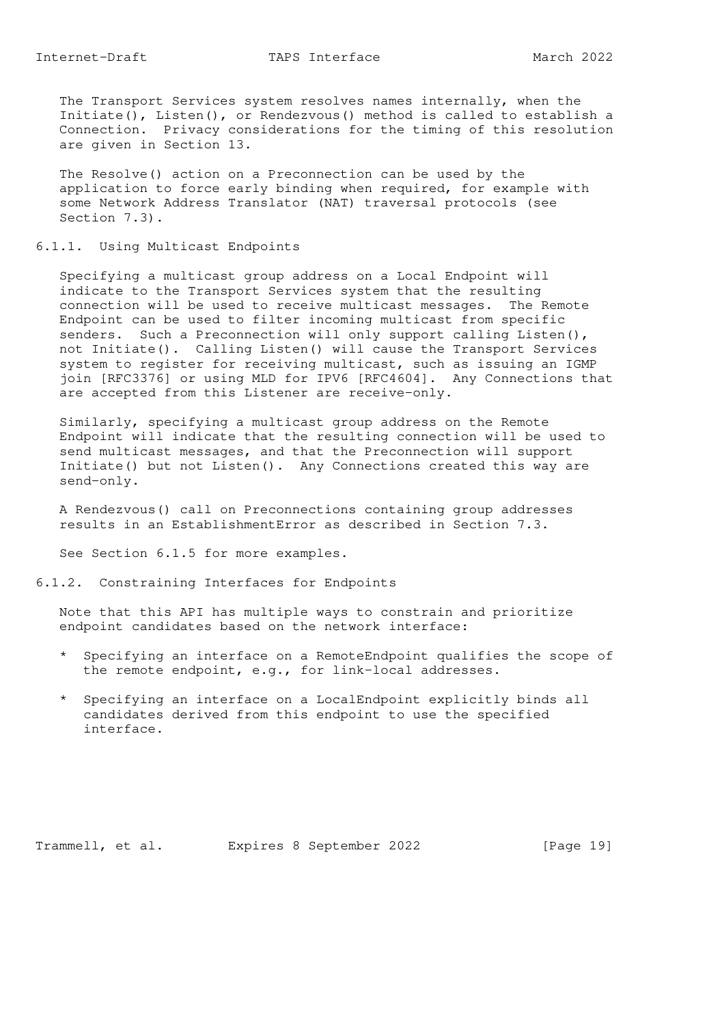The Transport Services system resolves names internally, when the Initiate(), Listen(), or Rendezvous() method is called to establish a Connection. Privacy considerations for the timing of this resolution are given in Section 13.

 The Resolve() action on a Preconnection can be used by the application to force early binding when required, for example with some Network Address Translator (NAT) traversal protocols (see Section 7.3).

## 6.1.1. Using Multicast Endpoints

 Specifying a multicast group address on a Local Endpoint will indicate to the Transport Services system that the resulting connection will be used to receive multicast messages. The Remote Endpoint can be used to filter incoming multicast from specific senders. Such a Preconnection will only support calling Listen(), not Initiate(). Calling Listen() will cause the Transport Services system to register for receiving multicast, such as issuing an IGMP join [RFC3376] or using MLD for IPV6 [RFC4604]. Any Connections that are accepted from this Listener are receive-only.

 Similarly, specifying a multicast group address on the Remote Endpoint will indicate that the resulting connection will be used to send multicast messages, and that the Preconnection will support Initiate() but not Listen(). Any Connections created this way are send-only.

 A Rendezvous() call on Preconnections containing group addresses results in an EstablishmentError as described in Section 7.3.

See Section 6.1.5 for more examples.

#### 6.1.2. Constraining Interfaces for Endpoints

 Note that this API has multiple ways to constrain and prioritize endpoint candidates based on the network interface:

- \* Specifying an interface on a RemoteEndpoint qualifies the scope of the remote endpoint, e.g., for link-local addresses.
- \* Specifying an interface on a LocalEndpoint explicitly binds all candidates derived from this endpoint to use the specified interface.

Trammell, et al. Expires 8 September 2022 [Page 19]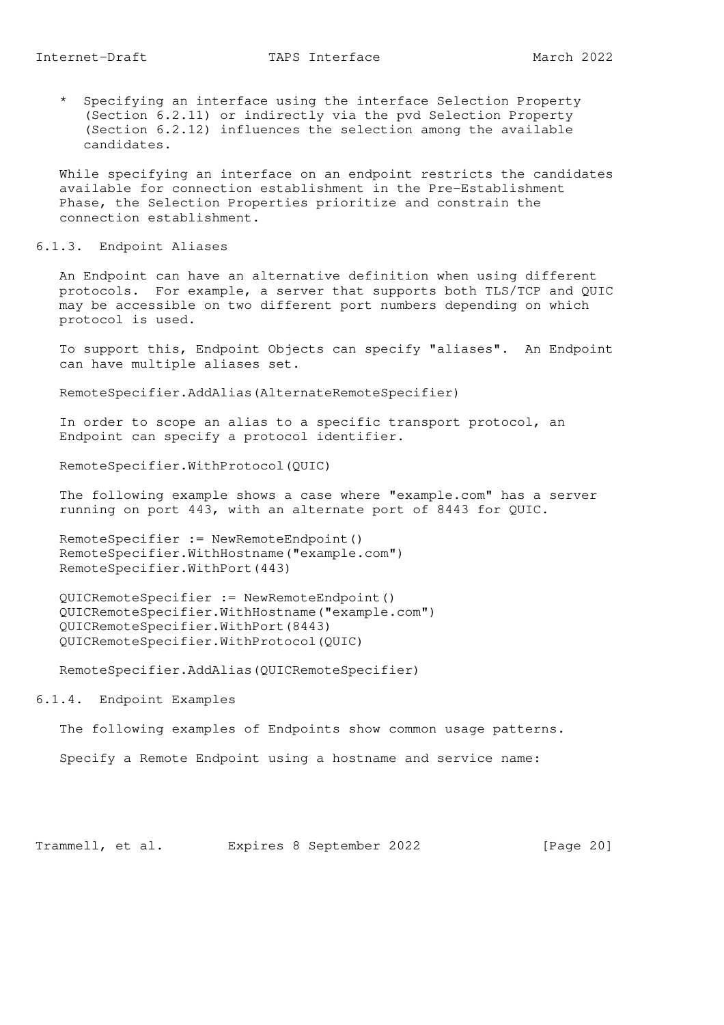\* Specifying an interface using the interface Selection Property (Section 6.2.11) or indirectly via the pvd Selection Property (Section 6.2.12) influences the selection among the available candidates.

 While specifying an interface on an endpoint restricts the candidates available for connection establishment in the Pre-Establishment Phase, the Selection Properties prioritize and constrain the connection establishment.

6.1.3. Endpoint Aliases

 An Endpoint can have an alternative definition when using different protocols. For example, a server that supports both TLS/TCP and QUIC may be accessible on two different port numbers depending on which protocol is used.

 To support this, Endpoint Objects can specify "aliases". An Endpoint can have multiple aliases set.

RemoteSpecifier.AddAlias(AlternateRemoteSpecifier)

 In order to scope an alias to a specific transport protocol, an Endpoint can specify a protocol identifier.

RemoteSpecifier.WithProtocol(QUIC)

 The following example shows a case where "example.com" has a server running on port 443, with an alternate port of 8443 for QUIC.

 RemoteSpecifier := NewRemoteEndpoint() RemoteSpecifier.WithHostname("example.com") RemoteSpecifier.WithPort(443)

 QUICRemoteSpecifier := NewRemoteEndpoint() QUICRemoteSpecifier.WithHostname("example.com") QUICRemoteSpecifier.WithPort(8443) QUICRemoteSpecifier.WithProtocol(QUIC)

RemoteSpecifier.AddAlias(QUICRemoteSpecifier)

6.1.4. Endpoint Examples

The following examples of Endpoints show common usage patterns.

Specify a Remote Endpoint using a hostname and service name:

Trammell, et al. Expires 8 September 2022 [Page 20]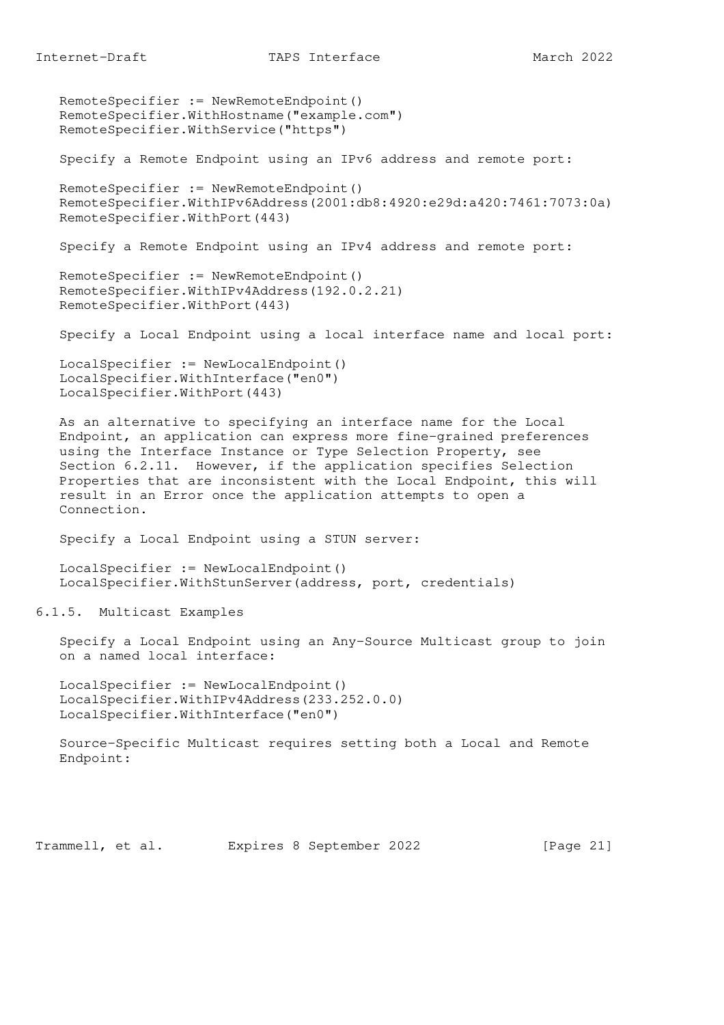RemoteSpecifier := NewRemoteEndpoint() RemoteSpecifier.WithHostname("example.com") RemoteSpecifier.WithService("https")

Specify a Remote Endpoint using an IPv6 address and remote port:

```
 RemoteSpecifier := NewRemoteEndpoint()
 RemoteSpecifier.WithIPv6Address(2001:db8:4920:e29d:a420:7461:7073:0a)
 RemoteSpecifier.WithPort(443)
```
Specify a Remote Endpoint using an IPv4 address and remote port:

```
 RemoteSpecifier := NewRemoteEndpoint()
 RemoteSpecifier.WithIPv4Address(192.0.2.21)
 RemoteSpecifier.WithPort(443)
```
Specify a Local Endpoint using a local interface name and local port:

```
 LocalSpecifier := NewLocalEndpoint()
 LocalSpecifier.WithInterface("en0")
 LocalSpecifier.WithPort(443)
```
 As an alternative to specifying an interface name for the Local Endpoint, an application can express more fine-grained preferences using the Interface Instance or Type Selection Property, see Section 6.2.11. However, if the application specifies Selection Properties that are inconsistent with the Local Endpoint, this will result in an Error once the application attempts to open a Connection.

Specify a Local Endpoint using a STUN server:

```
 LocalSpecifier := NewLocalEndpoint()
 LocalSpecifier.WithStunServer(address, port, credentials)
```
6.1.5. Multicast Examples

 Specify a Local Endpoint using an Any-Source Multicast group to join on a named local interface:

 LocalSpecifier := NewLocalEndpoint() LocalSpecifier.WithIPv4Address(233.252.0.0) LocalSpecifier.WithInterface("en0")

 Source-Specific Multicast requires setting both a Local and Remote Endpoint:

Trammell, et al. Expires 8 September 2022 [Page 21]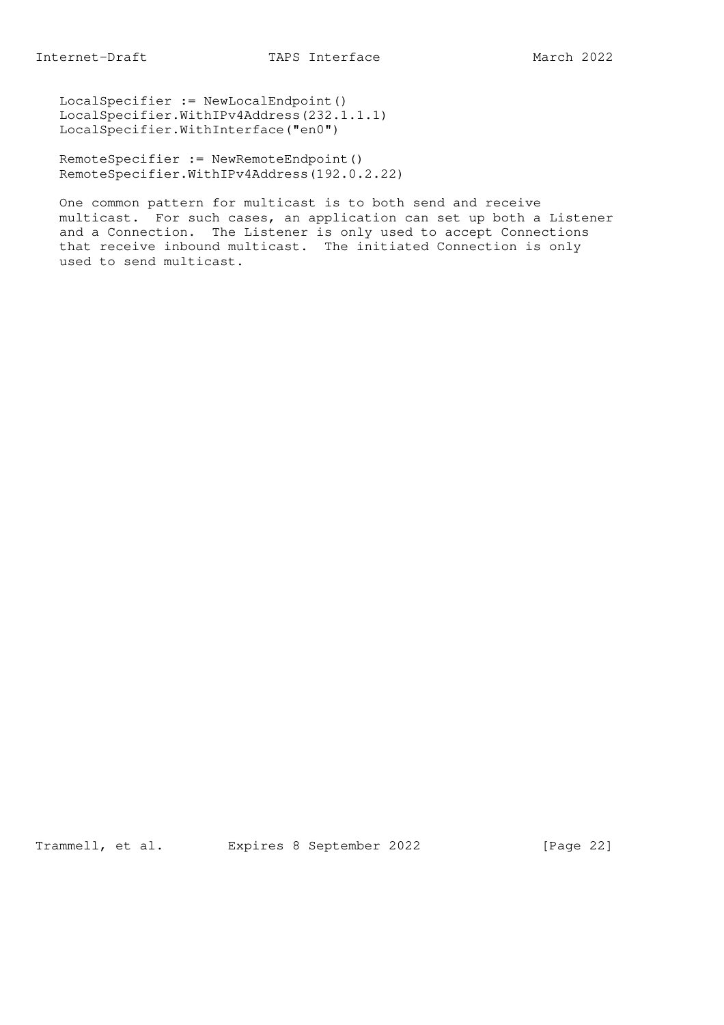LocalSpecifier := NewLocalEndpoint() LocalSpecifier.WithIPv4Address(232.1.1.1) LocalSpecifier.WithInterface("en0")

 RemoteSpecifier := NewRemoteEndpoint() RemoteSpecifier.WithIPv4Address(192.0.2.22)

 One common pattern for multicast is to both send and receive multicast. For such cases, an application can set up both a Listener and a Connection. The Listener is only used to accept Connections that receive inbound multicast. The initiated Connection is only used to send multicast.

Trammell, et al. Expires 8 September 2022 [Page 22]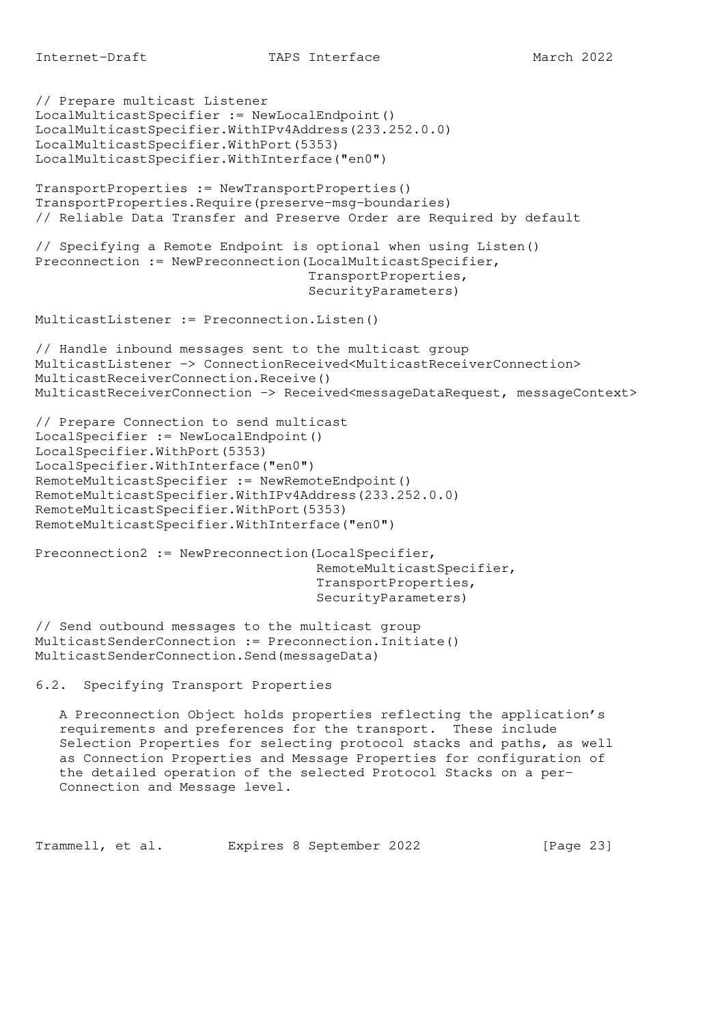```
// Prepare multicast Listener
LocalMulticastSpecifier := NewLocalEndpoint()
LocalMulticastSpecifier.WithIPv4Address(233.252.0.0)
LocalMulticastSpecifier.WithPort(5353)
LocalMulticastSpecifier.WithInterface("en0")
TransportProperties := NewTransportProperties()
TransportProperties.Require(preserve-msg-boundaries)
// Reliable Data Transfer and Preserve Order are Required by default
// Specifying a Remote Endpoint is optional when using Listen()
Preconnection := NewPreconnection(LocalMulticastSpecifier,
                                   TransportProperties,
                                   SecurityParameters)
MulticastListener := Preconnection.Listen()
// Handle inbound messages sent to the multicast group
MulticastListener -> ConnectionReceived<MulticastReceiverConnection>
MulticastReceiverConnection.Receive()
MulticastReceiverConnection -> Received<messageDataRequest, messageContext>
// Prepare Connection to send multicast
LocalSpecifier := NewLocalEndpoint()
LocalSpecifier.WithPort(5353)
LocalSpecifier.WithInterface("en0")
RemoteMulticastSpecifier := NewRemoteEndpoint()
RemoteMulticastSpecifier.WithIPv4Address(233.252.0.0)
RemoteMulticastSpecifier.WithPort(5353)
RemoteMulticastSpecifier.WithInterface("en0")
Preconnection2 := NewPreconnection(LocalSpecifier,
                                    RemoteMulticastSpecifier,
                                    TransportProperties,
                                    SecurityParameters)
// Send outbound messages to the multicast group
MulticastSenderConnection := Preconnection.Initiate()
MulticastSenderConnection.Send(messageData)
6.2. Specifying Transport Properties
   A Preconnection Object holds properties reflecting the application's
   requirements and preferences for the transport. These include
    Selection Properties for selecting protocol stacks and paths, as well
    as Connection Properties and Message Properties for configuration of
   the detailed operation of the selected Protocol Stacks on a per-
   Connection and Message level.
Trammell, et al. Expires 8 September 2022 [Page 23]
```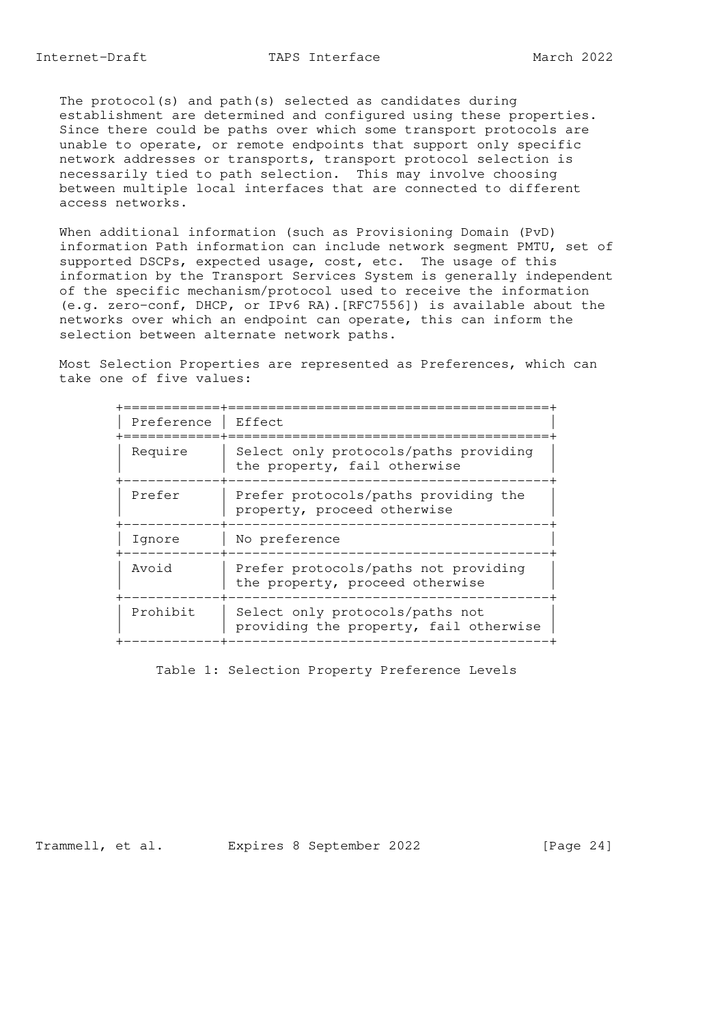The protocol(s) and path(s) selected as candidates during establishment are determined and configured using these properties. Since there could be paths over which some transport protocols are unable to operate, or remote endpoints that support only specific network addresses or transports, transport protocol selection is necessarily tied to path selection. This may involve choosing between multiple local interfaces that are connected to different access networks.

 When additional information (such as Provisioning Domain (PvD) information Path information can include network segment PMTU, set of supported DSCPs, expected usage, cost, etc. The usage of this information by the Transport Services System is generally independent of the specific mechanism/protocol used to receive the information (e.g. zero-conf, DHCP, or IPv6 RA).[RFC7556]) is available about the networks over which an endpoint can operate, this can inform the selection between alternate network paths.

 Most Selection Properties are represented as Preferences, which can take one of five values:

| Preference | Effect                                                                    |
|------------|---------------------------------------------------------------------------|
| Require    | Select only protocols/paths providing<br>the property, fail otherwise     |
| Prefer     | Prefer protocols/paths providing the<br>property, proceed otherwise       |
| Ignore     | No preference                                                             |
| Avoid      | Prefer protocols/paths not providing<br>the property, proceed otherwise   |
| Prohibit   | Select only protocols/paths not<br>providing the property, fail otherwise |
|            |                                                                           |

Table 1: Selection Property Preference Levels

Trammell, et al. Expires 8 September 2022 [Page 24]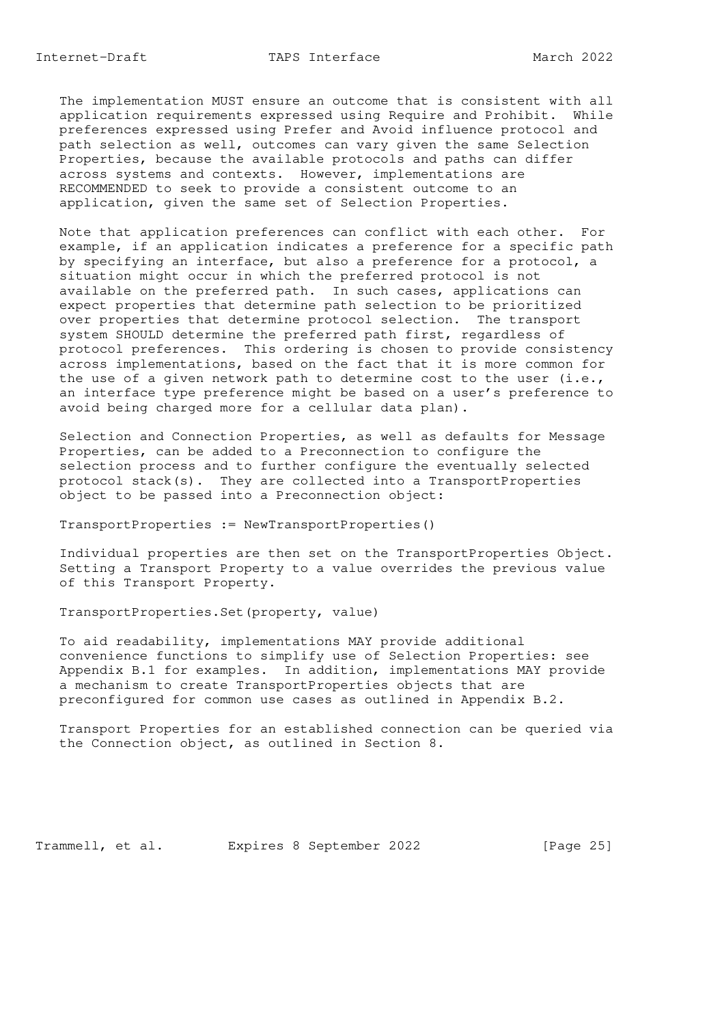The implementation MUST ensure an outcome that is consistent with all application requirements expressed using Require and Prohibit. While preferences expressed using Prefer and Avoid influence protocol and path selection as well, outcomes can vary given the same Selection Properties, because the available protocols and paths can differ across systems and contexts. However, implementations are RECOMMENDED to seek to provide a consistent outcome to an application, given the same set of Selection Properties.

 Note that application preferences can conflict with each other. For example, if an application indicates a preference for a specific path by specifying an interface, but also a preference for a protocol, a situation might occur in which the preferred protocol is not available on the preferred path. In such cases, applications can expect properties that determine path selection to be prioritized over properties that determine protocol selection. The transport system SHOULD determine the preferred path first, regardless of protocol preferences. This ordering is chosen to provide consistency across implementations, based on the fact that it is more common for the use of a given network path to determine cost to the user  $(i.e.,$  an interface type preference might be based on a user's preference to avoid being charged more for a cellular data plan).

 Selection and Connection Properties, as well as defaults for Message Properties, can be added to a Preconnection to configure the selection process and to further configure the eventually selected protocol stack(s). They are collected into a TransportProperties object to be passed into a Preconnection object:

TransportProperties := NewTransportProperties()

 Individual properties are then set on the TransportProperties Object. Setting a Transport Property to a value overrides the previous value of this Transport Property.

TransportProperties.Set(property, value)

 To aid readability, implementations MAY provide additional convenience functions to simplify use of Selection Properties: see Appendix B.1 for examples. In addition, implementations MAY provide a mechanism to create TransportProperties objects that are preconfigured for common use cases as outlined in Appendix B.2.

 Transport Properties for an established connection can be queried via the Connection object, as outlined in Section 8.

Trammell, et al. Expires 8 September 2022 [Page 25]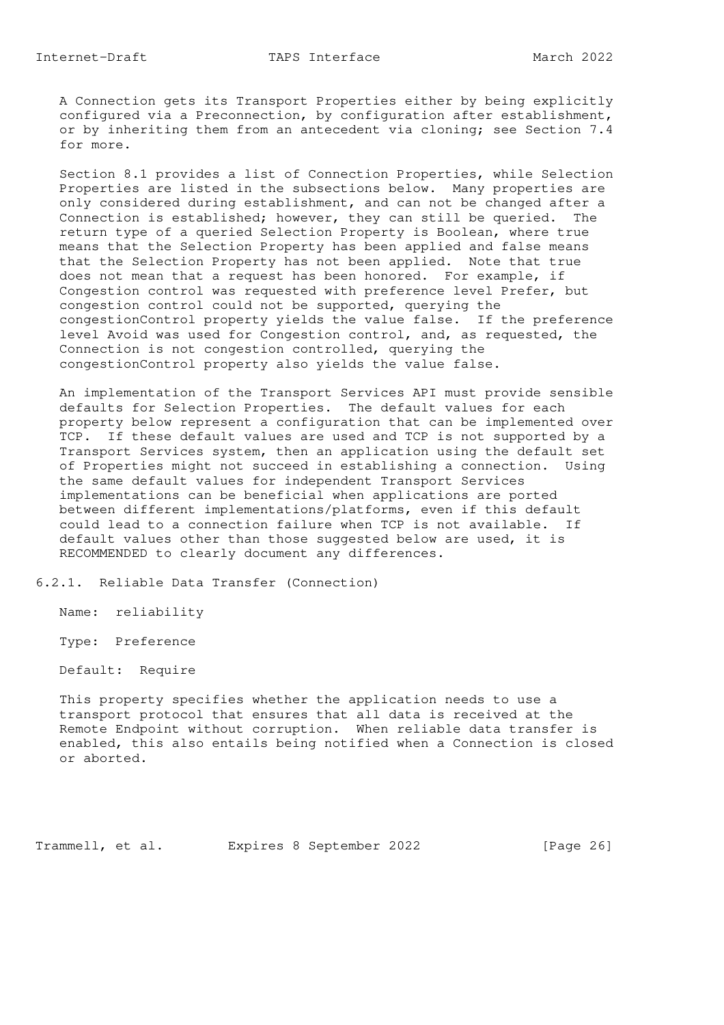Internet-Draft TAPS Interface March 2022

 A Connection gets its Transport Properties either by being explicitly configured via a Preconnection, by configuration after establishment, or by inheriting them from an antecedent via cloning; see Section 7.4 for more.

 Section 8.1 provides a list of Connection Properties, while Selection Properties are listed in the subsections below. Many properties are only considered during establishment, and can not be changed after a Connection is established; however, they can still be queried. The return type of a queried Selection Property is Boolean, where true means that the Selection Property has been applied and false means that the Selection Property has not been applied. Note that true does not mean that a request has been honored. For example, if Congestion control was requested with preference level Prefer, but congestion control could not be supported, querying the congestionControl property yields the value false. If the preference level Avoid was used for Congestion control, and, as requested, the Connection is not congestion controlled, querying the congestionControl property also yields the value false.

 An implementation of the Transport Services API must provide sensible defaults for Selection Properties. The default values for each property below represent a configuration that can be implemented over TCP. If these default values are used and TCP is not supported by a Transport Services system, then an application using the default set of Properties might not succeed in establishing a connection. Using the same default values for independent Transport Services implementations can be beneficial when applications are ported between different implementations/platforms, even if this default could lead to a connection failure when TCP is not available. If default values other than those suggested below are used, it is RECOMMENDED to clearly document any differences.

6.2.1. Reliable Data Transfer (Connection)

Name: reliability

Type: Preference

Default: Require

 This property specifies whether the application needs to use a transport protocol that ensures that all data is received at the Remote Endpoint without corruption. When reliable data transfer is enabled, this also entails being notified when a Connection is closed or aborted.

Trammell, et al. Expires 8 September 2022 [Page 26]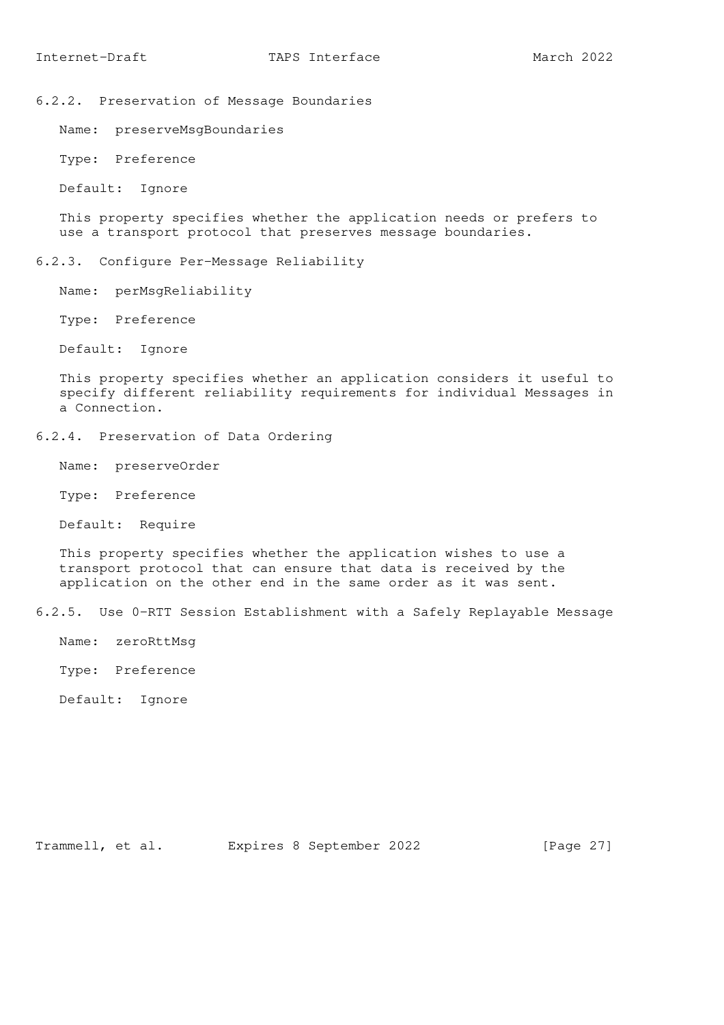6.2.2. Preservation of Message Boundaries

Name: preserveMsgBoundaries

Type: Preference

Default: Ignore

 This property specifies whether the application needs or prefers to use a transport protocol that preserves message boundaries.

6.2.3. Configure Per-Message Reliability

Name: perMsgReliability

Type: Preference

Default: Ignore

 This property specifies whether an application considers it useful to specify different reliability requirements for individual Messages in a Connection.

6.2.4. Preservation of Data Ordering

Name: preserveOrder

Type: Preference

Default: Require

 This property specifies whether the application wishes to use a transport protocol that can ensure that data is received by the application on the other end in the same order as it was sent.

6.2.5. Use 0-RTT Session Establishment with a Safely Replayable Message

Name: zeroRttMsg

Type: Preference

Default: Ignore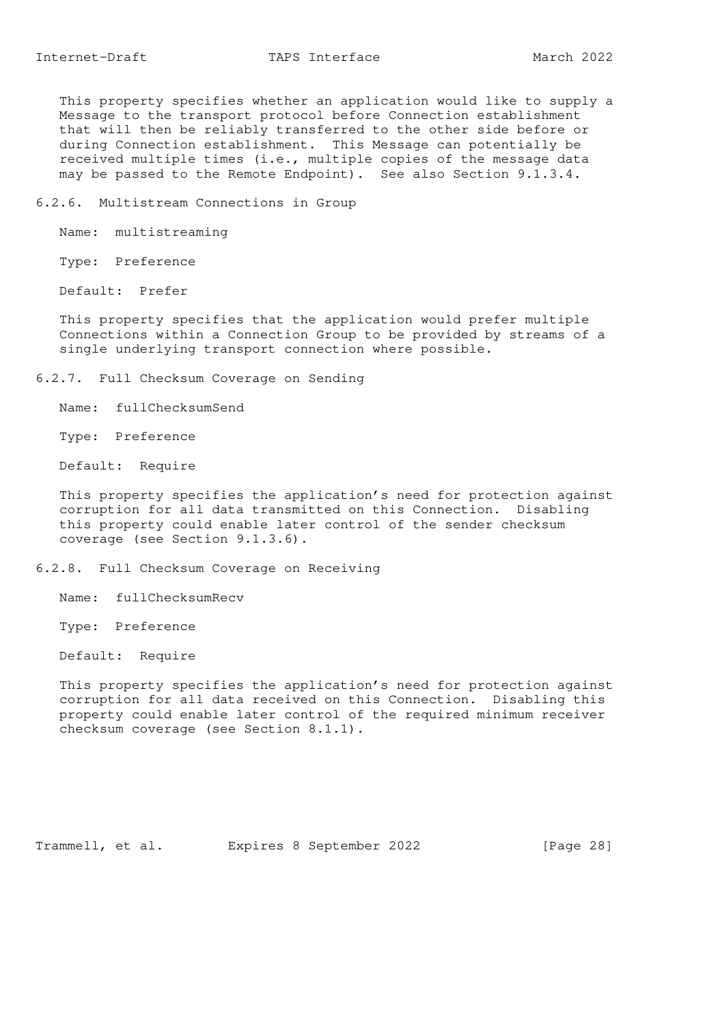This property specifies whether an application would like to supply a Message to the transport protocol before Connection establishment that will then be reliably transferred to the other side before or during Connection establishment. This Message can potentially be received multiple times (i.e., multiple copies of the message data may be passed to the Remote Endpoint). See also Section 9.1.3.4.

6.2.6. Multistream Connections in Group

Name: multistreaming

Type: Preference

Default: Prefer

 This property specifies that the application would prefer multiple Connections within a Connection Group to be provided by streams of a single underlying transport connection where possible.

6.2.7. Full Checksum Coverage on Sending

Name: fullChecksumSend

Type: Preference

Default: Require

 This property specifies the application's need for protection against corruption for all data transmitted on this Connection. Disabling this property could enable later control of the sender checksum coverage (see Section 9.1.3.6).

6.2.8. Full Checksum Coverage on Receiving

Name: fullChecksumRecv

Type: Preference

Default: Require

 This property specifies the application's need for protection against corruption for all data received on this Connection. Disabling this property could enable later control of the required minimum receiver checksum coverage (see Section 8.1.1).

Trammell, et al. Expires 8 September 2022 [Page 28]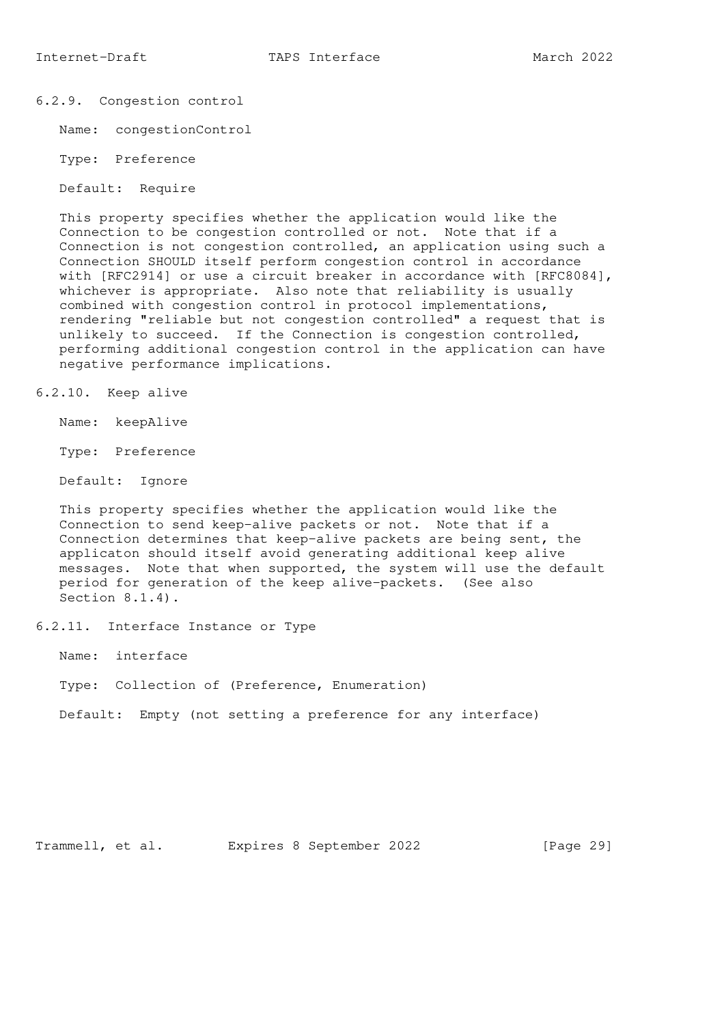## 6.2.9. Congestion control

Name: congestionControl

Type: Preference

Default: Require

 This property specifies whether the application would like the Connection to be congestion controlled or not. Note that if a Connection is not congestion controlled, an application using such a Connection SHOULD itself perform congestion control in accordance with [RFC2914] or use a circuit breaker in accordance with [RFC8084], whichever is appropriate. Also note that reliability is usually combined with congestion control in protocol implementations, rendering "reliable but not congestion controlled" a request that is unlikely to succeed. If the Connection is congestion controlled, performing additional congestion control in the application can have negative performance implications.

6.2.10. Keep alive

Name: keepAlive

Type: Preference

Default: Ignore

 This property specifies whether the application would like the Connection to send keep-alive packets or not. Note that if a Connection determines that keep-alive packets are being sent, the applicaton should itself avoid generating additional keep alive messages. Note that when supported, the system will use the default period for generation of the keep alive-packets. (See also Section 8.1.4).

6.2.11. Interface Instance or Type

Name: interface

Type: Collection of (Preference, Enumeration)

Default: Empty (not setting a preference for any interface)

Trammell, et al. Expires 8 September 2022 [Page 29]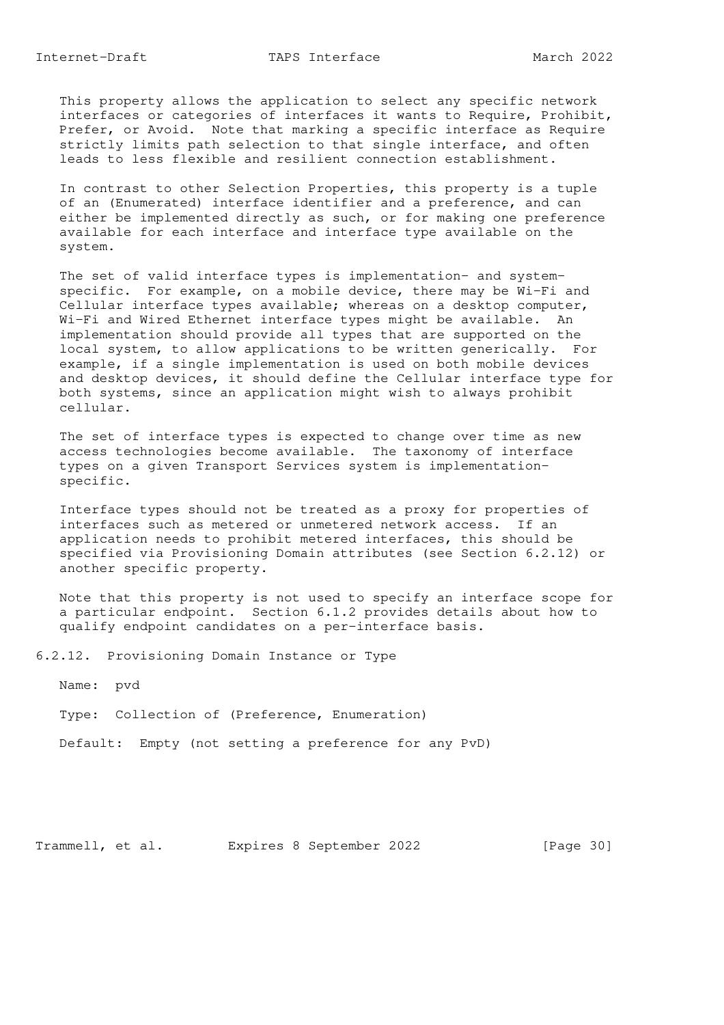This property allows the application to select any specific network interfaces or categories of interfaces it wants to Require, Prohibit, Prefer, or Avoid. Note that marking a specific interface as Require strictly limits path selection to that single interface, and often leads to less flexible and resilient connection establishment.

 In contrast to other Selection Properties, this property is a tuple of an (Enumerated) interface identifier and a preference, and can either be implemented directly as such, or for making one preference available for each interface and interface type available on the system.

 The set of valid interface types is implementation- and system specific. For example, on a mobile device, there may be Wi-Fi and Cellular interface types available; whereas on a desktop computer, Wi-Fi and Wired Ethernet interface types might be available. An implementation should provide all types that are supported on the local system, to allow applications to be written generically. For example, if a single implementation is used on both mobile devices and desktop devices, it should define the Cellular interface type for both systems, since an application might wish to always prohibit cellular.

 The set of interface types is expected to change over time as new access technologies become available. The taxonomy of interface types on a given Transport Services system is implementation specific.

 Interface types should not be treated as a proxy for properties of interfaces such as metered or unmetered network access. If an application needs to prohibit metered interfaces, this should be specified via Provisioning Domain attributes (see Section 6.2.12) or another specific property.

 Note that this property is not used to specify an interface scope for a particular endpoint. Section 6.1.2 provides details about how to qualify endpoint candidates on a per-interface basis.

6.2.12. Provisioning Domain Instance or Type

Name: pvd

Type: Collection of (Preference, Enumeration)

Default: Empty (not setting a preference for any PvD)

Trammell, et al. Expires 8 September 2022 [Page 30]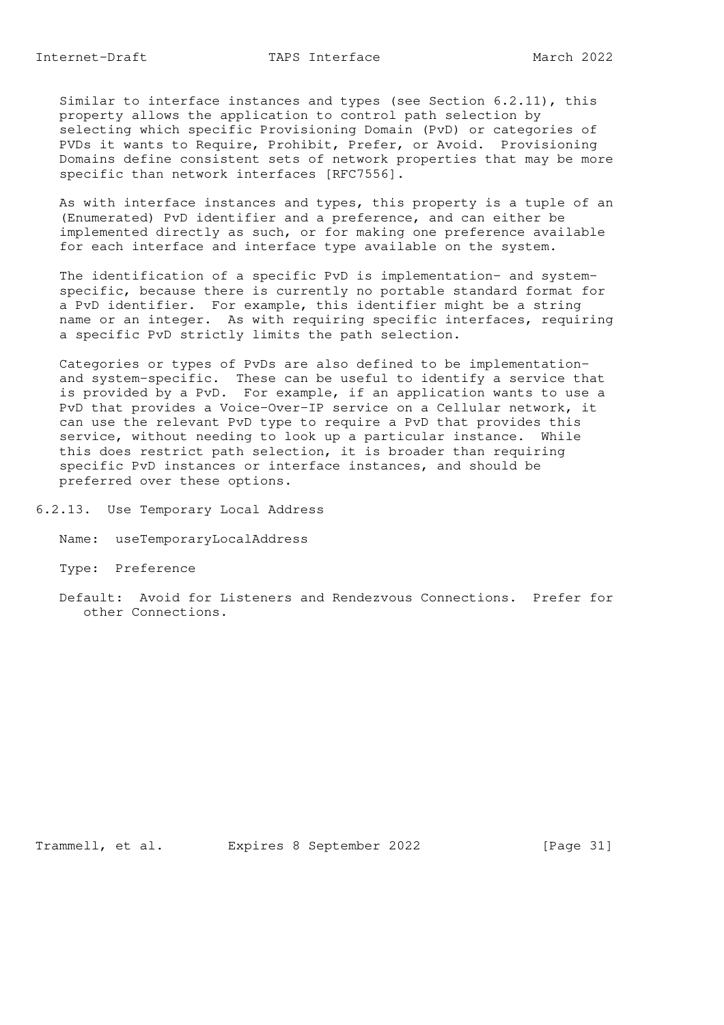Similar to interface instances and types (see Section 6.2.11), this property allows the application to control path selection by selecting which specific Provisioning Domain (PvD) or categories of PVDs it wants to Require, Prohibit, Prefer, or Avoid. Provisioning Domains define consistent sets of network properties that may be more specific than network interfaces [RFC7556].

 As with interface instances and types, this property is a tuple of an (Enumerated) PvD identifier and a preference, and can either be implemented directly as such, or for making one preference available for each interface and interface type available on the system.

 The identification of a specific PvD is implementation- and system specific, because there is currently no portable standard format for a PvD identifier. For example, this identifier might be a string name or an integer. As with requiring specific interfaces, requiring a specific PvD strictly limits the path selection.

 Categories or types of PvDs are also defined to be implementation and system-specific. These can be useful to identify a service that is provided by a PvD. For example, if an application wants to use a PvD that provides a Voice-Over-IP service on a Cellular network, it can use the relevant PvD type to require a PvD that provides this service, without needing to look up a particular instance. While this does restrict path selection, it is broader than requiring specific PvD instances or interface instances, and should be preferred over these options.

6.2.13. Use Temporary Local Address

Name: useTemporaryLocalAddress

Type: Preference

 Default: Avoid for Listeners and Rendezvous Connections. Prefer for other Connections.

Trammell, et al. Expires 8 September 2022 [Page 31]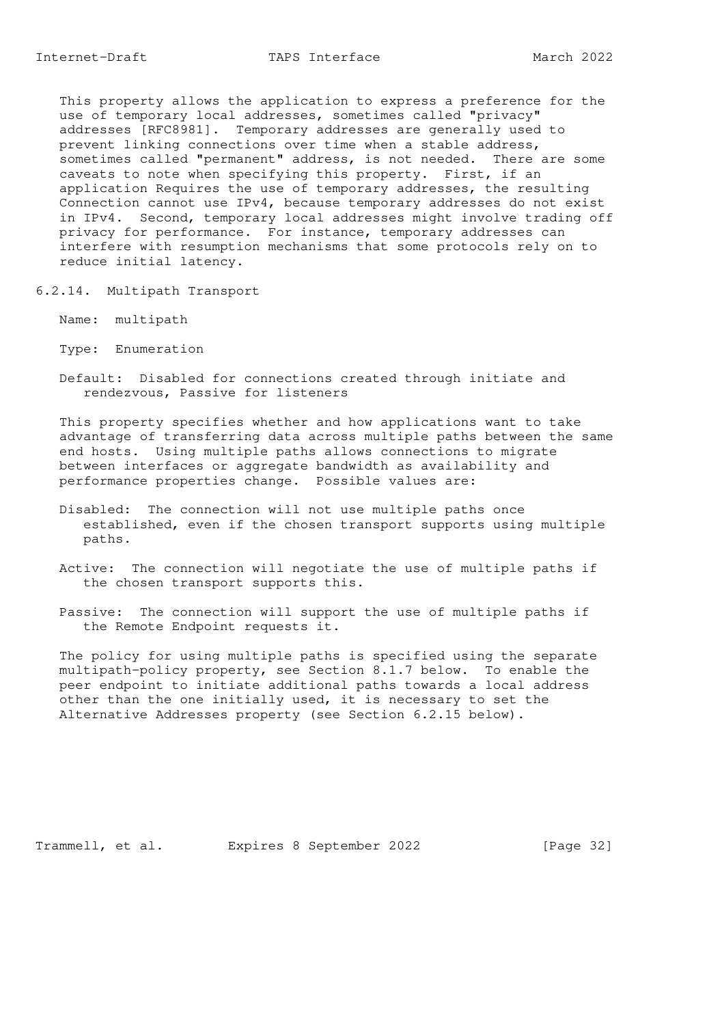This property allows the application to express a preference for the use of temporary local addresses, sometimes called "privacy" addresses [RFC8981]. Temporary addresses are generally used to prevent linking connections over time when a stable address, sometimes called "permanent" address, is not needed. There are some caveats to note when specifying this property. First, if an application Requires the use of temporary addresses, the resulting Connection cannot use IPv4, because temporary addresses do not exist in IPv4. Second, temporary local addresses might involve trading off privacy for performance. For instance, temporary addresses can interfere with resumption mechanisms that some protocols rely on to reduce initial latency.

6.2.14. Multipath Transport

Name: multipath

Type: Enumeration

 Default: Disabled for connections created through initiate and rendezvous, Passive for listeners

 This property specifies whether and how applications want to take advantage of transferring data across multiple paths between the same end hosts. Using multiple paths allows connections to migrate between interfaces or aggregate bandwidth as availability and performance properties change. Possible values are:

- Disabled: The connection will not use multiple paths once established, even if the chosen transport supports using multiple paths.
- Active: The connection will negotiate the use of multiple paths if the chosen transport supports this.
- Passive: The connection will support the use of multiple paths if the Remote Endpoint requests it.

 The policy for using multiple paths is specified using the separate multipath-policy property, see Section 8.1.7 below. To enable the peer endpoint to initiate additional paths towards a local address other than the one initially used, it is necessary to set the Alternative Addresses property (see Section 6.2.15 below).

Trammell, et al. Expires 8 September 2022 [Page 32]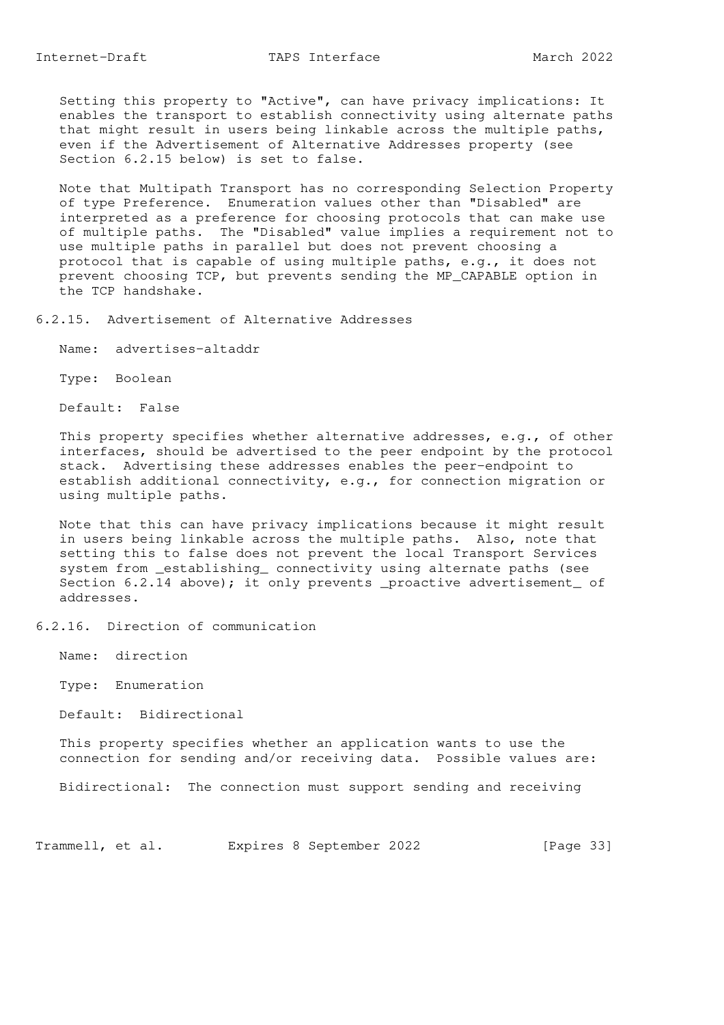Setting this property to "Active", can have privacy implications: It enables the transport to establish connectivity using alternate paths that might result in users being linkable across the multiple paths, even if the Advertisement of Alternative Addresses property (see Section 6.2.15 below) is set to false.

 Note that Multipath Transport has no corresponding Selection Property of type Preference. Enumeration values other than "Disabled" are interpreted as a preference for choosing protocols that can make use of multiple paths. The "Disabled" value implies a requirement not to use multiple paths in parallel but does not prevent choosing a protocol that is capable of using multiple paths, e.g., it does not prevent choosing TCP, but prevents sending the MP\_CAPABLE option in the TCP handshake.

6.2.15. Advertisement of Alternative Addresses

Name: advertises-altaddr

Type: Boolean

Default: False

 This property specifies whether alternative addresses, e.g., of other interfaces, should be advertised to the peer endpoint by the protocol stack. Advertising these addresses enables the peer-endpoint to establish additional connectivity, e.g., for connection migration or using multiple paths.

 Note that this can have privacy implications because it might result in users being linkable across the multiple paths. Also, note that setting this to false does not prevent the local Transport Services system from \_establishing\_ connectivity using alternate paths (see Section 6.2.14 above); it only prevents \_proactive advertisement\_ of addresses.

6.2.16. Direction of communication

Name: direction

Type: Enumeration

Default: Bidirectional

 This property specifies whether an application wants to use the connection for sending and/or receiving data. Possible values are:

Bidirectional: The connection must support sending and receiving

Trammell, et al. Expires 8 September 2022 [Page 33]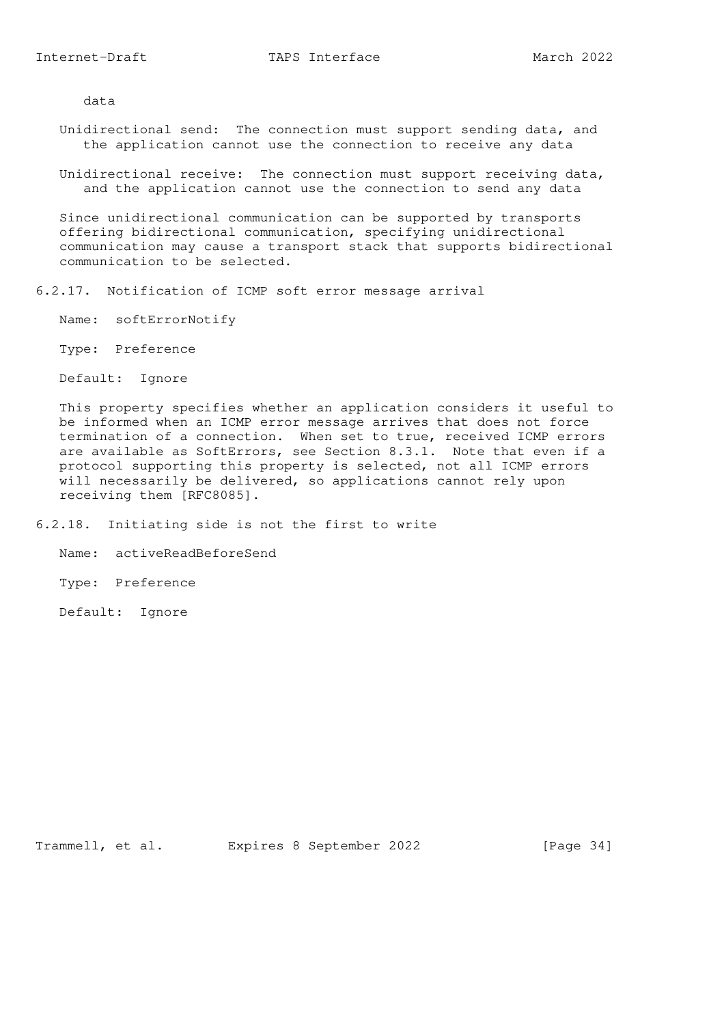data

- Unidirectional send: The connection must support sending data, and the application cannot use the connection to receive any data
- Unidirectional receive: The connection must support receiving data, and the application cannot use the connection to send any data

 Since unidirectional communication can be supported by transports offering bidirectional communication, specifying unidirectional communication may cause a transport stack that supports bidirectional communication to be selected.

6.2.17. Notification of ICMP soft error message arrival

Name: softErrorNotify

Type: Preference

Default: Ignore

 This property specifies whether an application considers it useful to be informed when an ICMP error message arrives that does not force termination of a connection. When set to true, received ICMP errors are available as SoftErrors, see Section 8.3.1. Note that even if a protocol supporting this property is selected, not all ICMP errors will necessarily be delivered, so applications cannot rely upon receiving them [RFC8085].

- 6.2.18. Initiating side is not the first to write
	- Name: activeReadBeforeSend

Type: Preference

Default: Ignore

Trammell, et al. Expires 8 September 2022 [Page 34]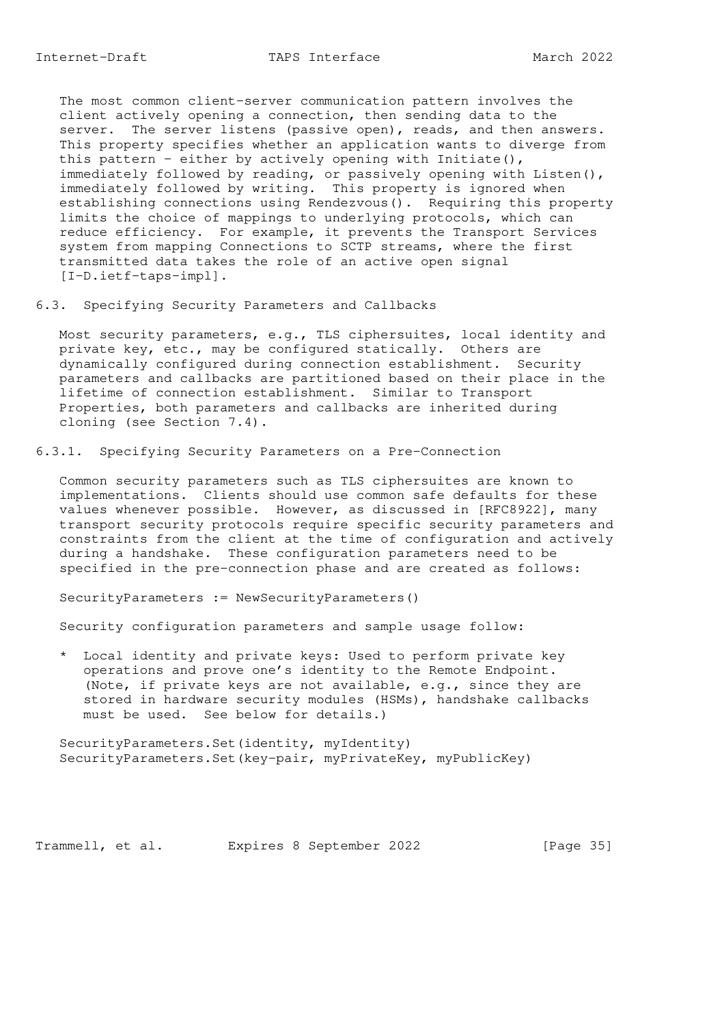The most common client-server communication pattern involves the client actively opening a connection, then sending data to the server. The server listens (passive open), reads, and then answers. This property specifies whether an application wants to diverge from this pattern - either by actively opening with Initiate(), immediately followed by reading, or passively opening with Listen(), immediately followed by writing. This property is ignored when establishing connections using Rendezvous(). Requiring this property limits the choice of mappings to underlying protocols, which can reduce efficiency. For example, it prevents the Transport Services system from mapping Connections to SCTP streams, where the first transmitted data takes the role of an active open signal [I-D.ietf-taps-impl].

6.3. Specifying Security Parameters and Callbacks

 Most security parameters, e.g., TLS ciphersuites, local identity and private key, etc., may be configured statically. Others are dynamically configured during connection establishment. Security parameters and callbacks are partitioned based on their place in the lifetime of connection establishment. Similar to Transport Properties, both parameters and callbacks are inherited during cloning (see Section 7.4).

6.3.1. Specifying Security Parameters on a Pre-Connection

 Common security parameters such as TLS ciphersuites are known to implementations. Clients should use common safe defaults for these values whenever possible. However, as discussed in [RFC8922], many transport security protocols require specific security parameters and constraints from the client at the time of configuration and actively during a handshake. These configuration parameters need to be specified in the pre-connection phase and are created as follows:

SecurityParameters := NewSecurityParameters()

Security configuration parameters and sample usage follow:

 \* Local identity and private keys: Used to perform private key operations and prove one's identity to the Remote Endpoint. (Note, if private keys are not available, e.g., since they are stored in hardware security modules (HSMs), handshake callbacks must be used. See below for details.)

 SecurityParameters.Set(identity, myIdentity) SecurityParameters.Set(key-pair, myPrivateKey, myPublicKey)

Trammell, et al. Expires 8 September 2022 [Page 35]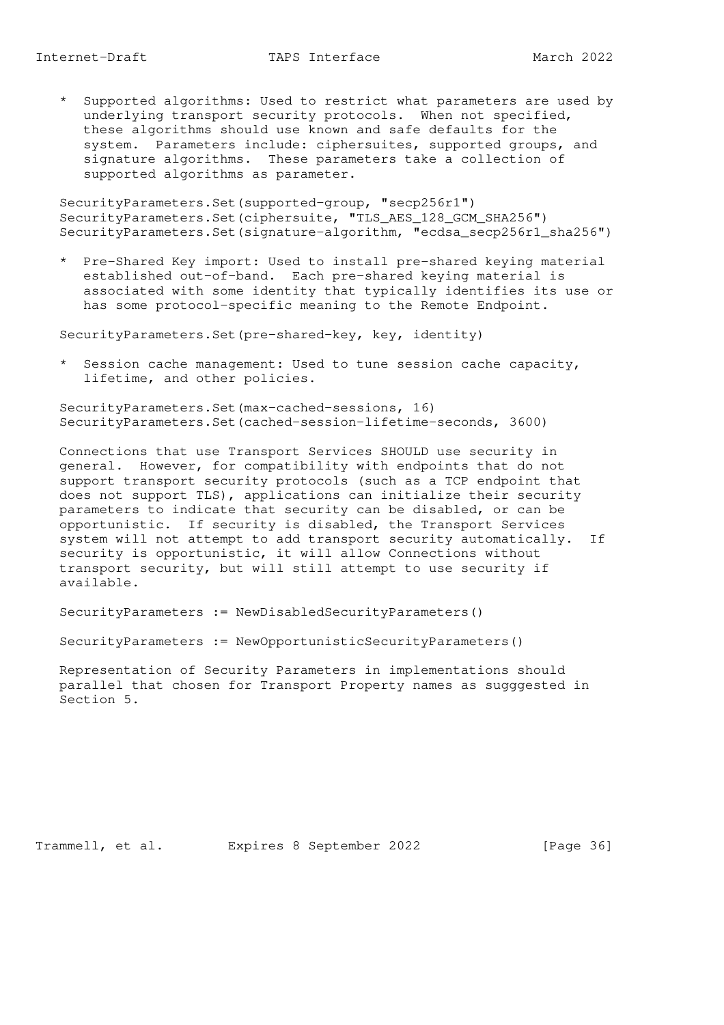\* Supported algorithms: Used to restrict what parameters are used by underlying transport security protocols. When not specified, these algorithms should use known and safe defaults for the system. Parameters include: ciphersuites, supported groups, and signature algorithms. These parameters take a collection of supported algorithms as parameter.

 SecurityParameters.Set(supported-group, "secp256r1") SecurityParameters.Set(ciphersuite, "TLS\_AES\_128\_GCM\_SHA256") SecurityParameters.Set(signature-algorithm, "ecdsa\_secp256r1\_sha256")

 \* Pre-Shared Key import: Used to install pre-shared keying material established out-of-band. Each pre-shared keying material is associated with some identity that typically identifies its use or has some protocol-specific meaning to the Remote Endpoint.

SecurityParameters.Set(pre-shared-key, key, identity)

 \* Session cache management: Used to tune session cache capacity, lifetime, and other policies.

 SecurityParameters.Set(max-cached-sessions, 16) SecurityParameters.Set(cached-session-lifetime-seconds, 3600)

 Connections that use Transport Services SHOULD use security in general. However, for compatibility with endpoints that do not support transport security protocols (such as a TCP endpoint that does not support TLS), applications can initialize their security parameters to indicate that security can be disabled, or can be opportunistic. If security is disabled, the Transport Services system will not attempt to add transport security automatically. If security is opportunistic, it will allow Connections without transport security, but will still attempt to use security if available.

SecurityParameters := NewDisabledSecurityParameters()

SecurityParameters := NewOpportunisticSecurityParameters()

 Representation of Security Parameters in implementations should parallel that chosen for Transport Property names as sugggested in Section 5.

Trammell, et al. Expires 8 September 2022 [Page 36]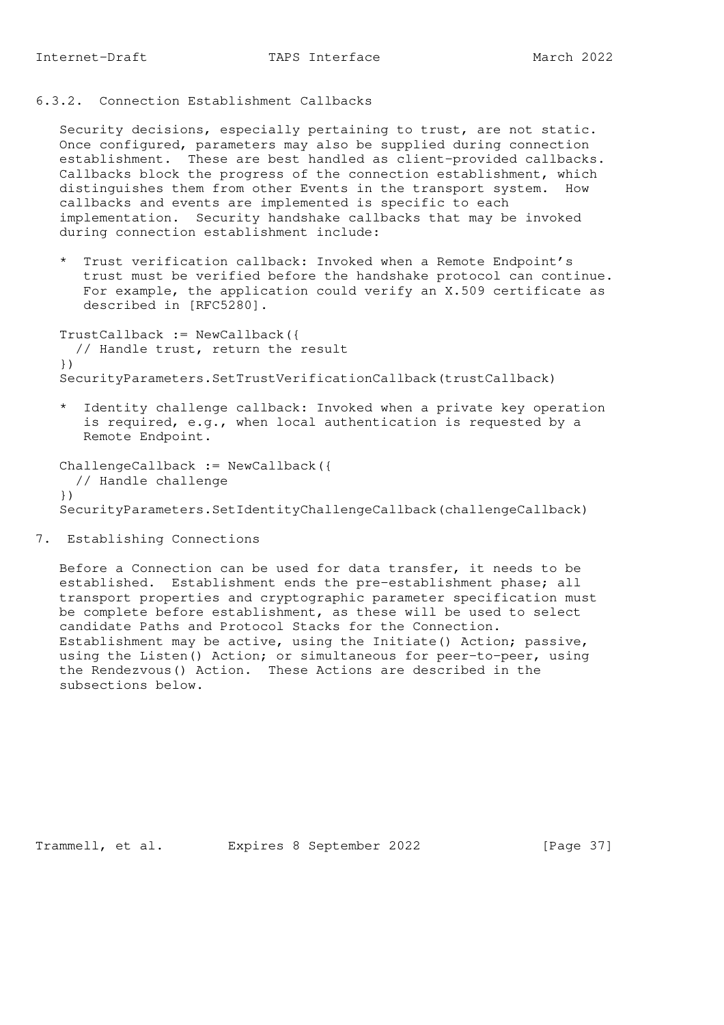# 6.3.2. Connection Establishment Callbacks

 Security decisions, especially pertaining to trust, are not static. Once configured, parameters may also be supplied during connection establishment. These are best handled as client-provided callbacks. Callbacks block the progress of the connection establishment, which distinguishes them from other Events in the transport system. How callbacks and events are implemented is specific to each implementation. Security handshake callbacks that may be invoked during connection establishment include:

 \* Trust verification callback: Invoked when a Remote Endpoint's trust must be verified before the handshake protocol can continue. For example, the application could verify an X.509 certificate as described in [RFC5280].

 TrustCallback := NewCallback({ // Handle trust, return the result }) SecurityParameters.SetTrustVerificationCallback(trustCallback)

 \* Identity challenge callback: Invoked when a private key operation is required, e.g., when local authentication is requested by a Remote Endpoint.

 ChallengeCallback := NewCallback({ // Handle challenge }) SecurityParameters.SetIdentityChallengeCallback(challengeCallback)

7. Establishing Connections

 Before a Connection can be used for data transfer, it needs to be established. Establishment ends the pre-establishment phase; all transport properties and cryptographic parameter specification must be complete before establishment, as these will be used to select candidate Paths and Protocol Stacks for the Connection. Establishment may be active, using the Initiate() Action; passive, using the Listen() Action; or simultaneous for peer-to-peer, using the Rendezvous() Action. These Actions are described in the subsections below.

Trammell, et al. Expires 8 September 2022 [Page 37]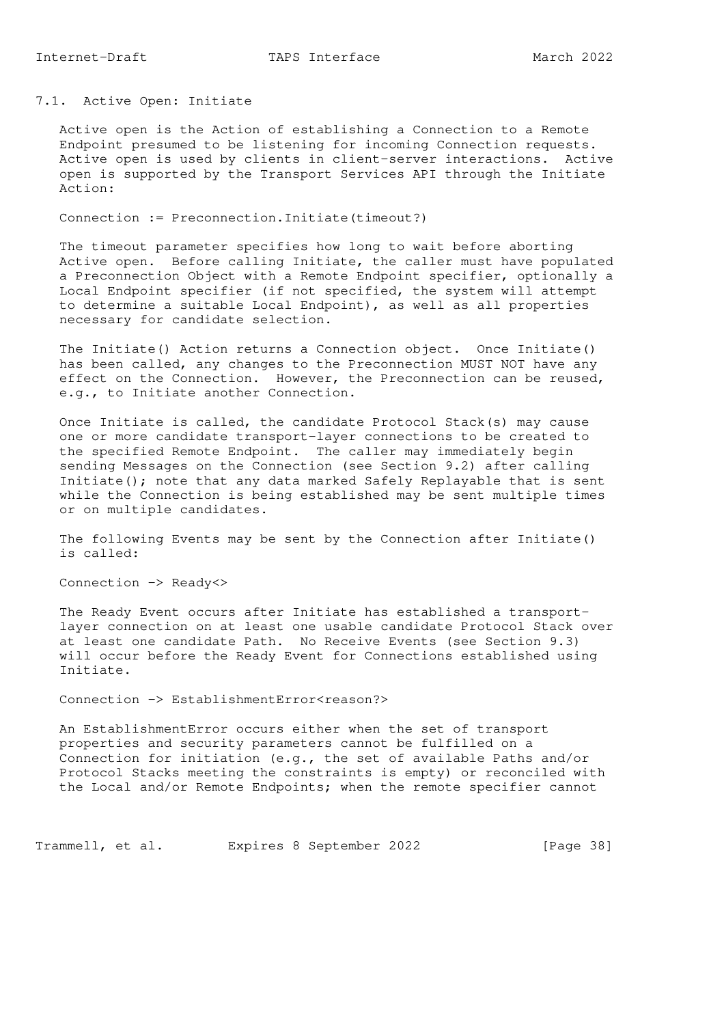# 7.1. Active Open: Initiate

 Active open is the Action of establishing a Connection to a Remote Endpoint presumed to be listening for incoming Connection requests. Active open is used by clients in client-server interactions. Active open is supported by the Transport Services API through the Initiate Action:

Connection := Preconnection.Initiate(timeout?)

 The timeout parameter specifies how long to wait before aborting Active open. Before calling Initiate, the caller must have populated a Preconnection Object with a Remote Endpoint specifier, optionally a Local Endpoint specifier (if not specified, the system will attempt to determine a suitable Local Endpoint), as well as all properties necessary for candidate selection.

 The Initiate() Action returns a Connection object. Once Initiate() has been called, any changes to the Preconnection MUST NOT have any effect on the Connection. However, the Preconnection can be reused, e.g., to Initiate another Connection.

 Once Initiate is called, the candidate Protocol Stack(s) may cause one or more candidate transport-layer connections to be created to the specified Remote Endpoint. The caller may immediately begin sending Messages on the Connection (see Section 9.2) after calling Initiate(); note that any data marked Safely Replayable that is sent while the Connection is being established may be sent multiple times or on multiple candidates.

 The following Events may be sent by the Connection after Initiate() is called:

Connection -> Ready<>

 The Ready Event occurs after Initiate has established a transport layer connection on at least one usable candidate Protocol Stack over at least one candidate Path. No Receive Events (see Section 9.3) will occur before the Ready Event for Connections established using Initiate.

Connection -> EstablishmentError<reason?>

 An EstablishmentError occurs either when the set of transport properties and security parameters cannot be fulfilled on a Connection for initiation (e.g., the set of available Paths and/or Protocol Stacks meeting the constraints is empty) or reconciled with the Local and/or Remote Endpoints; when the remote specifier cannot

Trammell, et al. Expires 8 September 2022 [Page 38]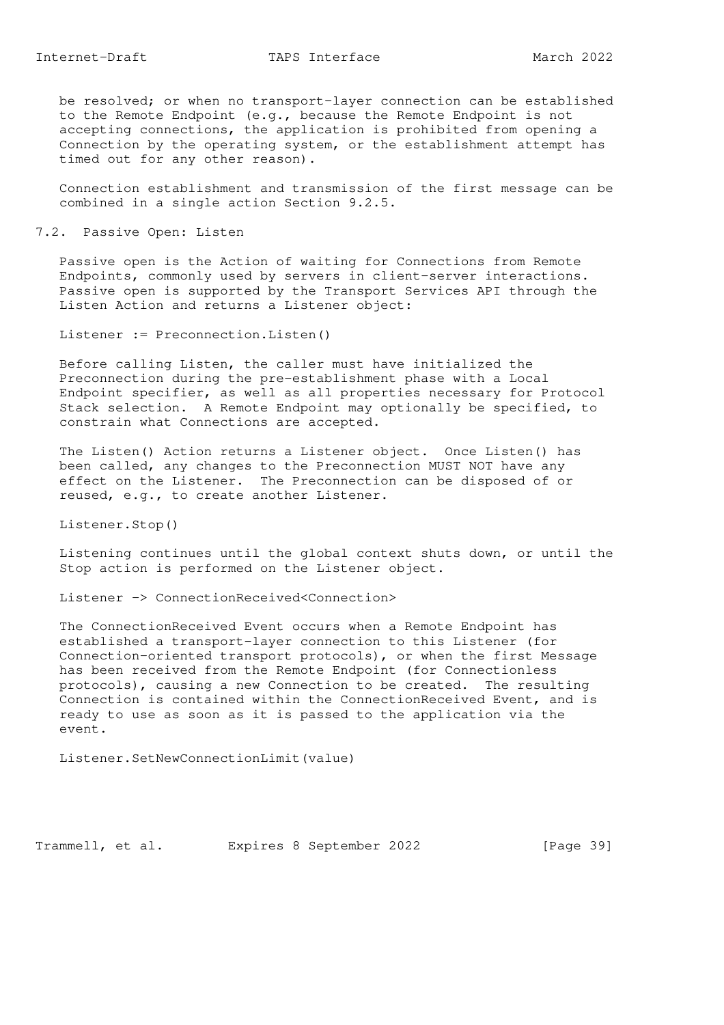be resolved; or when no transport-layer connection can be established to the Remote Endpoint (e.g., because the Remote Endpoint is not accepting connections, the application is prohibited from opening a Connection by the operating system, or the establishment attempt has timed out for any other reason).

 Connection establishment and transmission of the first message can be combined in a single action Section 9.2.5.

7.2. Passive Open: Listen

 Passive open is the Action of waiting for Connections from Remote Endpoints, commonly used by servers in client-server interactions. Passive open is supported by the Transport Services API through the Listen Action and returns a Listener object:

Listener := Preconnection. Listen()

 Before calling Listen, the caller must have initialized the Preconnection during the pre-establishment phase with a Local Endpoint specifier, as well as all properties necessary for Protocol Stack selection. A Remote Endpoint may optionally be specified, to constrain what Connections are accepted.

 The Listen() Action returns a Listener object. Once Listen() has been called, any changes to the Preconnection MUST NOT have any effect on the Listener. The Preconnection can be disposed of or reused, e.g., to create another Listener.

Listener.Stop()

 Listening continues until the global context shuts down, or until the Stop action is performed on the Listener object.

Listener -> ConnectionReceived<Connection>

 The ConnectionReceived Event occurs when a Remote Endpoint has established a transport-layer connection to this Listener (for Connection-oriented transport protocols), or when the first Message has been received from the Remote Endpoint (for Connectionless protocols), causing a new Connection to be created. The resulting Connection is contained within the ConnectionReceived Event, and is ready to use as soon as it is passed to the application via the event.

Listener.SetNewConnectionLimit(value)

Trammell, et al. Expires 8 September 2022 [Page 39]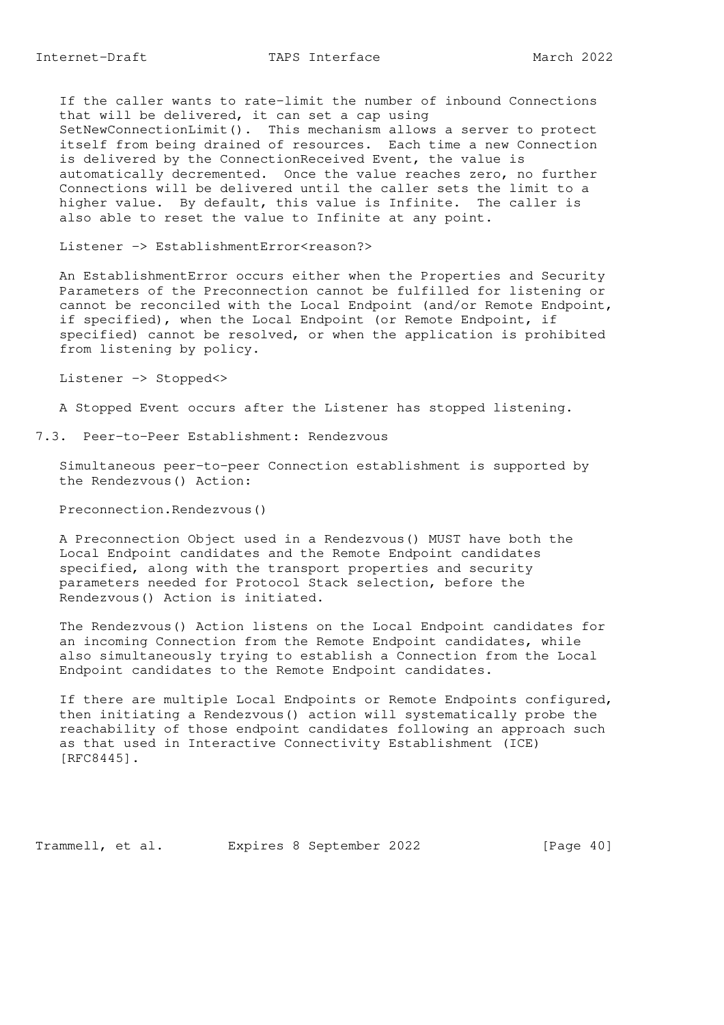If the caller wants to rate-limit the number of inbound Connections that will be delivered, it can set a cap using SetNewConnectionLimit(). This mechanism allows a server to protect itself from being drained of resources. Each time a new Connection is delivered by the ConnectionReceived Event, the value is automatically decremented. Once the value reaches zero, no further Connections will be delivered until the caller sets the limit to a higher value. By default, this value is Infinite. The caller is also able to reset the value to Infinite at any point.

Listener -> EstablishmentError<reason?>

 An EstablishmentError occurs either when the Properties and Security Parameters of the Preconnection cannot be fulfilled for listening or cannot be reconciled with the Local Endpoint (and/or Remote Endpoint, if specified), when the Local Endpoint (or Remote Endpoint, if specified) cannot be resolved, or when the application is prohibited from listening by policy.

Listener -> Stopped<>

A Stopped Event occurs after the Listener has stopped listening.

7.3. Peer-to-Peer Establishment: Rendezvous

 Simultaneous peer-to-peer Connection establishment is supported by the Rendezvous() Action:

Preconnection.Rendezvous()

 A Preconnection Object used in a Rendezvous() MUST have both the Local Endpoint candidates and the Remote Endpoint candidates specified, along with the transport properties and security parameters needed for Protocol Stack selection, before the Rendezvous() Action is initiated.

 The Rendezvous() Action listens on the Local Endpoint candidates for an incoming Connection from the Remote Endpoint candidates, while also simultaneously trying to establish a Connection from the Local Endpoint candidates to the Remote Endpoint candidates.

 If there are multiple Local Endpoints or Remote Endpoints configured, then initiating a Rendezvous() action will systematically probe the reachability of those endpoint candidates following an approach such as that used in Interactive Connectivity Establishment (ICE) [RFC8445].

Trammell, et al. Expires 8 September 2022 [Page 40]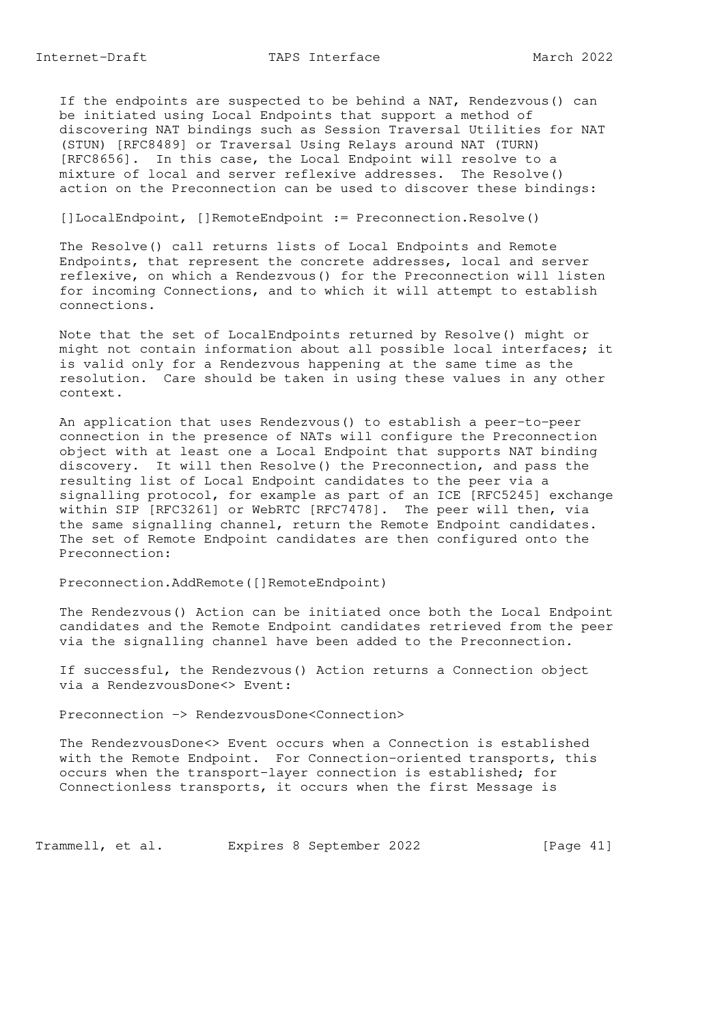If the endpoints are suspected to be behind a NAT, Rendezvous() can be initiated using Local Endpoints that support a method of discovering NAT bindings such as Session Traversal Utilities for NAT (STUN) [RFC8489] or Traversal Using Relays around NAT (TURN) [RFC8656]. In this case, the Local Endpoint will resolve to a mixture of local and server reflexive addresses. The Resolve() action on the Preconnection can be used to discover these bindings:

[]LocalEndpoint, []RemoteEndpoint := Preconnection.Resolve()

 The Resolve() call returns lists of Local Endpoints and Remote Endpoints, that represent the concrete addresses, local and server reflexive, on which a Rendezvous() for the Preconnection will listen for incoming Connections, and to which it will attempt to establish connections.

 Note that the set of LocalEndpoints returned by Resolve() might or might not contain information about all possible local interfaces; it is valid only for a Rendezvous happening at the same time as the resolution. Care should be taken in using these values in any other context.

 An application that uses Rendezvous() to establish a peer-to-peer connection in the presence of NATs will configure the Preconnection object with at least one a Local Endpoint that supports NAT binding discovery. It will then Resolve() the Preconnection, and pass the resulting list of Local Endpoint candidates to the peer via a signalling protocol, for example as part of an ICE [RFC5245] exchange within SIP [RFC3261] or WebRTC [RFC7478]. The peer will then, via the same signalling channel, return the Remote Endpoint candidates. The set of Remote Endpoint candidates are then configured onto the Preconnection:

Preconnection.AddRemote([]RemoteEndpoint)

 The Rendezvous() Action can be initiated once both the Local Endpoint candidates and the Remote Endpoint candidates retrieved from the peer via the signalling channel have been added to the Preconnection.

 If successful, the Rendezvous() Action returns a Connection object via a RendezvousDone<> Event:

Preconnection -> RendezvousDone<Connection>

 The RendezvousDone<> Event occurs when a Connection is established with the Remote Endpoint. For Connection-oriented transports, this occurs when the transport-layer connection is established; for Connectionless transports, it occurs when the first Message is

Trammell, et al. Expires 8 September 2022 [Page 41]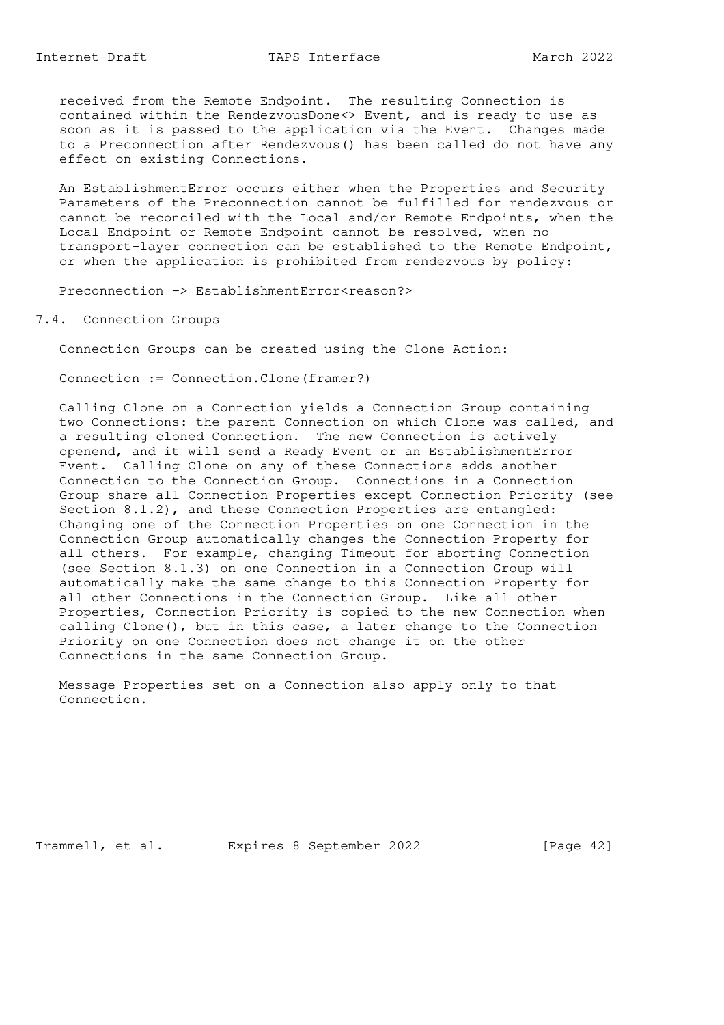received from the Remote Endpoint. The resulting Connection is contained within the RendezvousDone<> Event, and is ready to use as soon as it is passed to the application via the Event. Changes made to a Preconnection after Rendezvous() has been called do not have any effect on existing Connections.

 An EstablishmentError occurs either when the Properties and Security Parameters of the Preconnection cannot be fulfilled for rendezvous or cannot be reconciled with the Local and/or Remote Endpoints, when the Local Endpoint or Remote Endpoint cannot be resolved, when no transport-layer connection can be established to the Remote Endpoint, or when the application is prohibited from rendezvous by policy:

Preconnection -> EstablishmentError<reason?>

7.4. Connection Groups

Connection Groups can be created using the Clone Action:

Connection := Connection.Clone(framer?)

 Calling Clone on a Connection yields a Connection Group containing two Connections: the parent Connection on which Clone was called, and a resulting cloned Connection. The new Connection is actively openend, and it will send a Ready Event or an EstablishmentError Event. Calling Clone on any of these Connections adds another Connection to the Connection Group. Connections in a Connection Group share all Connection Properties except Connection Priority (see Section 8.1.2), and these Connection Properties are entangled: Changing one of the Connection Properties on one Connection in the Connection Group automatically changes the Connection Property for all others. For example, changing Timeout for aborting Connection (see Section 8.1.3) on one Connection in a Connection Group will automatically make the same change to this Connection Property for all other Connections in the Connection Group. Like all other Properties, Connection Priority is copied to the new Connection when calling Clone(), but in this case, a later change to the Connection Priority on one Connection does not change it on the other Connections in the same Connection Group.

 Message Properties set on a Connection also apply only to that Connection.

Trammell, et al. Expires 8 September 2022 [Page 42]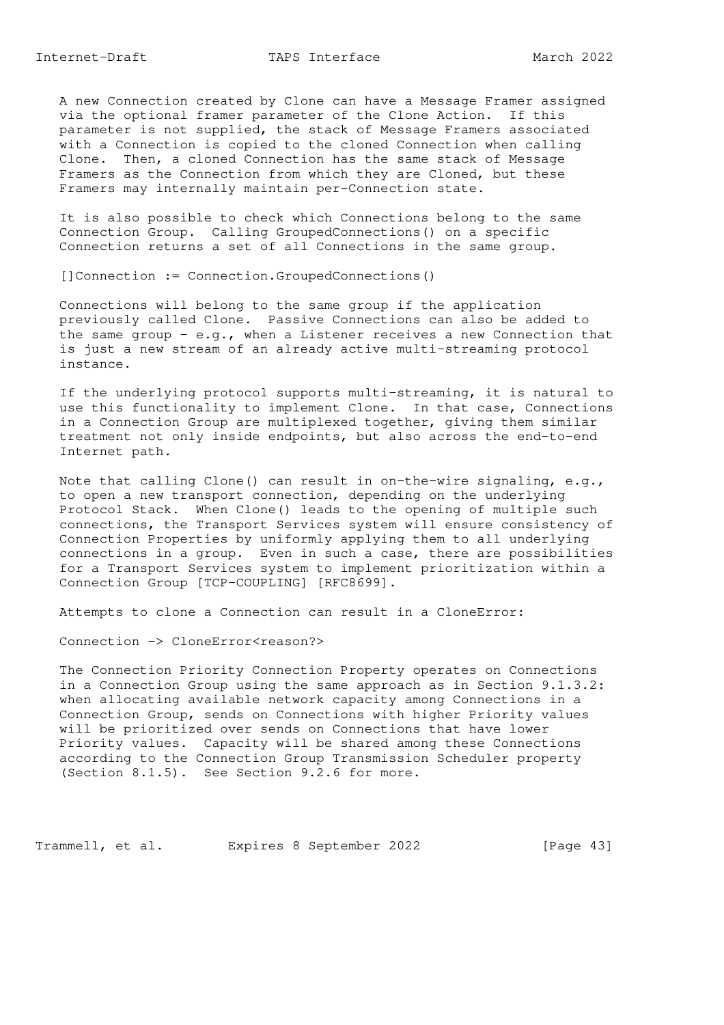Internet-Draft TAPS Interface March 2022

 A new Connection created by Clone can have a Message Framer assigned via the optional framer parameter of the Clone Action. If this parameter is not supplied, the stack of Message Framers associated with a Connection is copied to the cloned Connection when calling Clone. Then, a cloned Connection has the same stack of Message Framers as the Connection from which they are Cloned, but these Framers may internally maintain per-Connection state.

 It is also possible to check which Connections belong to the same Connection Group. Calling GroupedConnections() on a specific Connection returns a set of all Connections in the same group.

[]Connection := Connection.GroupedConnections()

 Connections will belong to the same group if the application previously called Clone. Passive Connections can also be added to the same group - e.g., when a Listener receives a new Connection that is just a new stream of an already active multi-streaming protocol instance.

 If the underlying protocol supports multi-streaming, it is natural to use this functionality to implement Clone. In that case, Connections in a Connection Group are multiplexed together, giving them similar treatment not only inside endpoints, but also across the end-to-end Internet path.

 Note that calling Clone() can result in on-the-wire signaling, e.g., to open a new transport connection, depending on the underlying Protocol Stack. When Clone() leads to the opening of multiple such connections, the Transport Services system will ensure consistency of Connection Properties by uniformly applying them to all underlying connections in a group. Even in such a case, there are possibilities for a Transport Services system to implement prioritization within a Connection Group [TCP-COUPLING] [RFC8699].

Attempts to clone a Connection can result in a CloneError:

Connection -> CloneError<reason?>

 The Connection Priority Connection Property operates on Connections in a Connection Group using the same approach as in Section 9.1.3.2: when allocating available network capacity among Connections in a Connection Group, sends on Connections with higher Priority values will be prioritized over sends on Connections that have lower Priority values. Capacity will be shared among these Connections according to the Connection Group Transmission Scheduler property (Section 8.1.5). See Section 9.2.6 for more.

Trammell, et al. Expires 8 September 2022 [Page 43]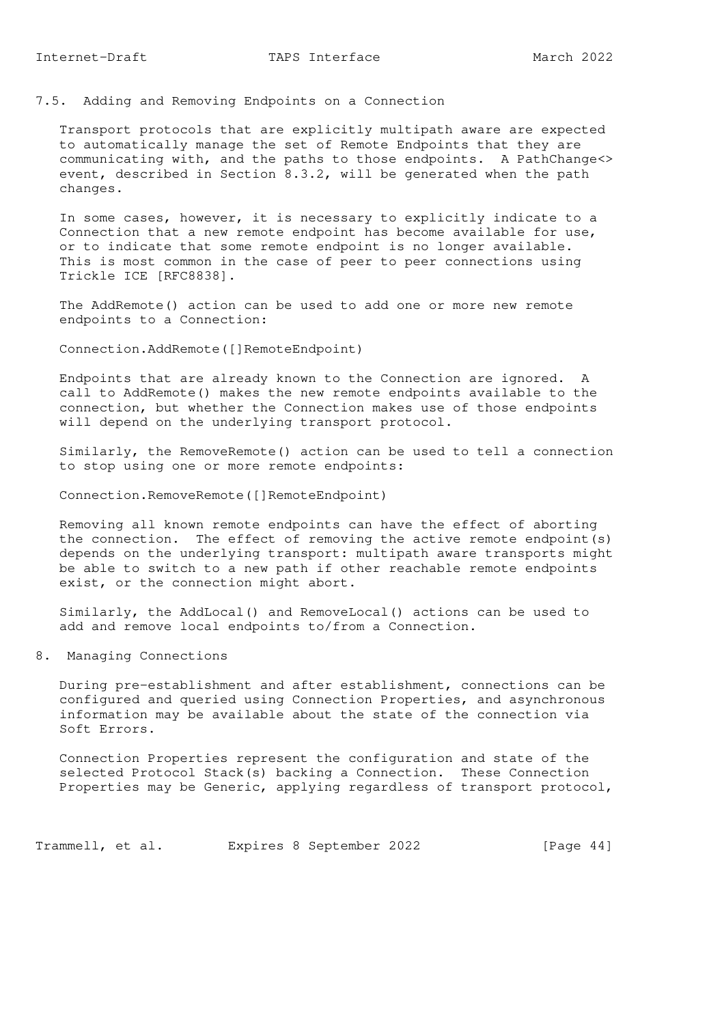7.5. Adding and Removing Endpoints on a Connection

 Transport protocols that are explicitly multipath aware are expected to automatically manage the set of Remote Endpoints that they are communicating with, and the paths to those endpoints. A PathChange<> event, described in Section 8.3.2, will be generated when the path changes.

 In some cases, however, it is necessary to explicitly indicate to a Connection that a new remote endpoint has become available for use, or to indicate that some remote endpoint is no longer available. This is most common in the case of peer to peer connections using Trickle ICE [RFC8838].

 The AddRemote() action can be used to add one or more new remote endpoints to a Connection:

Connection.AddRemote([]RemoteEndpoint)

 Endpoints that are already known to the Connection are ignored. A call to AddRemote() makes the new remote endpoints available to the connection, but whether the Connection makes use of those endpoints will depend on the underlying transport protocol.

 Similarly, the RemoveRemote() action can be used to tell a connection to stop using one or more remote endpoints:

Connection.RemoveRemote([]RemoteEndpoint)

 Removing all known remote endpoints can have the effect of aborting the connection. The effect of removing the active remote endpoint(s) depends on the underlying transport: multipath aware transports might be able to switch to a new path if other reachable remote endpoints exist, or the connection might abort.

 Similarly, the AddLocal() and RemoveLocal() actions can be used to add and remove local endpoints to/from a Connection.

8. Managing Connections

 During pre-establishment and after establishment, connections can be configured and queried using Connection Properties, and asynchronous information may be available about the state of the connection via Soft Errors.

 Connection Properties represent the configuration and state of the selected Protocol Stack(s) backing a Connection. These Connection Properties may be Generic, applying regardless of transport protocol,

Trammell, et al. Expires 8 September 2022 [Page 44]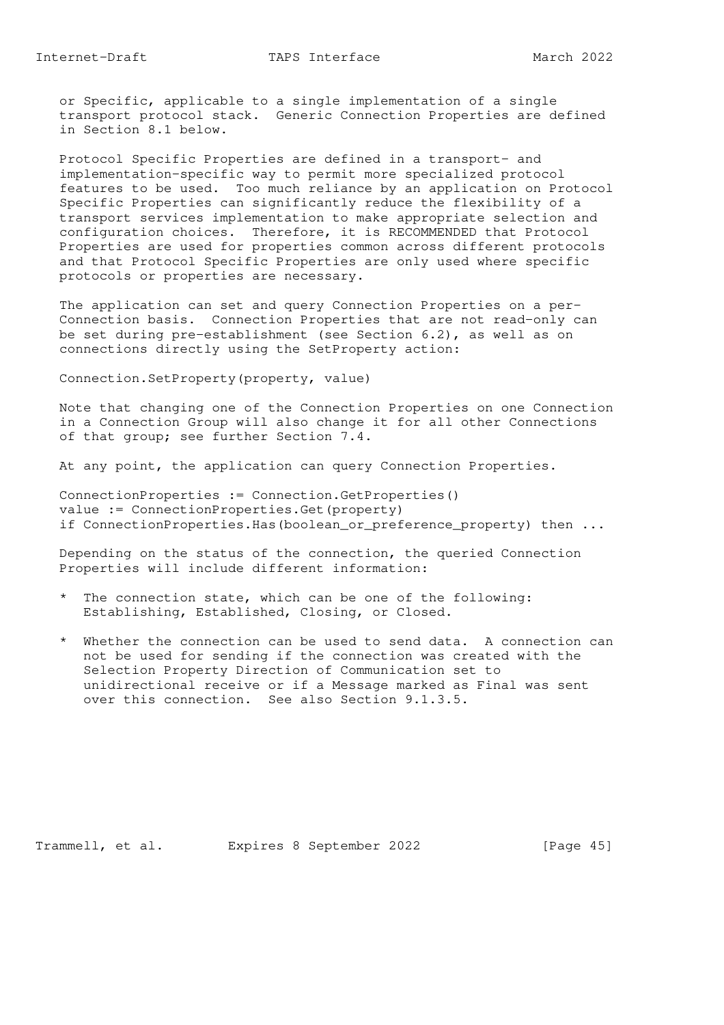or Specific, applicable to a single implementation of a single transport protocol stack. Generic Connection Properties are defined in Section 8.1 below.

 Protocol Specific Properties are defined in a transport- and implementation-specific way to permit more specialized protocol features to be used. Too much reliance by an application on Protocol Specific Properties can significantly reduce the flexibility of a transport services implementation to make appropriate selection and configuration choices. Therefore, it is RECOMMENDED that Protocol Properties are used for properties common across different protocols and that Protocol Specific Properties are only used where specific protocols or properties are necessary.

 The application can set and query Connection Properties on a per- Connection basis. Connection Properties that are not read-only can be set during pre-establishment (see Section 6.2), as well as on connections directly using the SetProperty action:

Connection.SetProperty(property, value)

 Note that changing one of the Connection Properties on one Connection in a Connection Group will also change it for all other Connections of that group; see further Section 7.4.

At any point, the application can query Connection Properties.

 ConnectionProperties := Connection.GetProperties() value := ConnectionProperties.Get(property) if ConnectionProperties.Has(boolean\_or\_preference\_property) then ...

 Depending on the status of the connection, the queried Connection Properties will include different information:

- \* The connection state, which can be one of the following: Establishing, Established, Closing, or Closed.
- \* Whether the connection can be used to send data. A connection can not be used for sending if the connection was created with the Selection Property Direction of Communication set to unidirectional receive or if a Message marked as Final was sent over this connection. See also Section 9.1.3.5.

Trammell, et al. Expires 8 September 2022 [Page 45]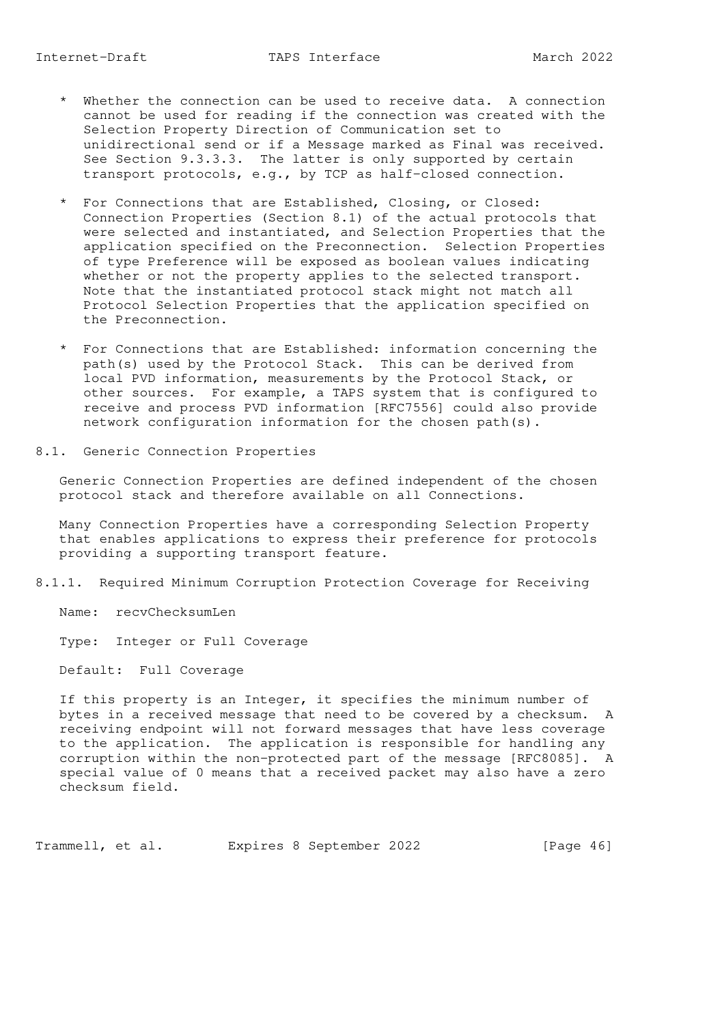- \* Whether the connection can be used to receive data. A connection cannot be used for reading if the connection was created with the Selection Property Direction of Communication set to unidirectional send or if a Message marked as Final was received. See Section 9.3.3.3. The latter is only supported by certain transport protocols, e.g., by TCP as half-closed connection.
- \* For Connections that are Established, Closing, or Closed: Connection Properties (Section 8.1) of the actual protocols that were selected and instantiated, and Selection Properties that the application specified on the Preconnection. Selection Properties of type Preference will be exposed as boolean values indicating whether or not the property applies to the selected transport. Note that the instantiated protocol stack might not match all Protocol Selection Properties that the application specified on the Preconnection.
- \* For Connections that are Established: information concerning the path(s) used by the Protocol Stack. This can be derived from local PVD information, measurements by the Protocol Stack, or other sources. For example, a TAPS system that is configured to receive and process PVD information [RFC7556] could also provide network configuration information for the chosen path(s).
- 8.1. Generic Connection Properties

 Generic Connection Properties are defined independent of the chosen protocol stack and therefore available on all Connections.

 Many Connection Properties have a corresponding Selection Property that enables applications to express their preference for protocols providing a supporting transport feature.

8.1.1. Required Minimum Corruption Protection Coverage for Receiving

Name: recvChecksumLen

Type: Integer or Full Coverage

Default: Full Coverage

 If this property is an Integer, it specifies the minimum number of bytes in a received message that need to be covered by a checksum. A receiving endpoint will not forward messages that have less coverage to the application. The application is responsible for handling any corruption within the non-protected part of the message [RFC8085]. A special value of 0 means that a received packet may also have a zero checksum field.

Trammell, et al. Expires 8 September 2022 [Page 46]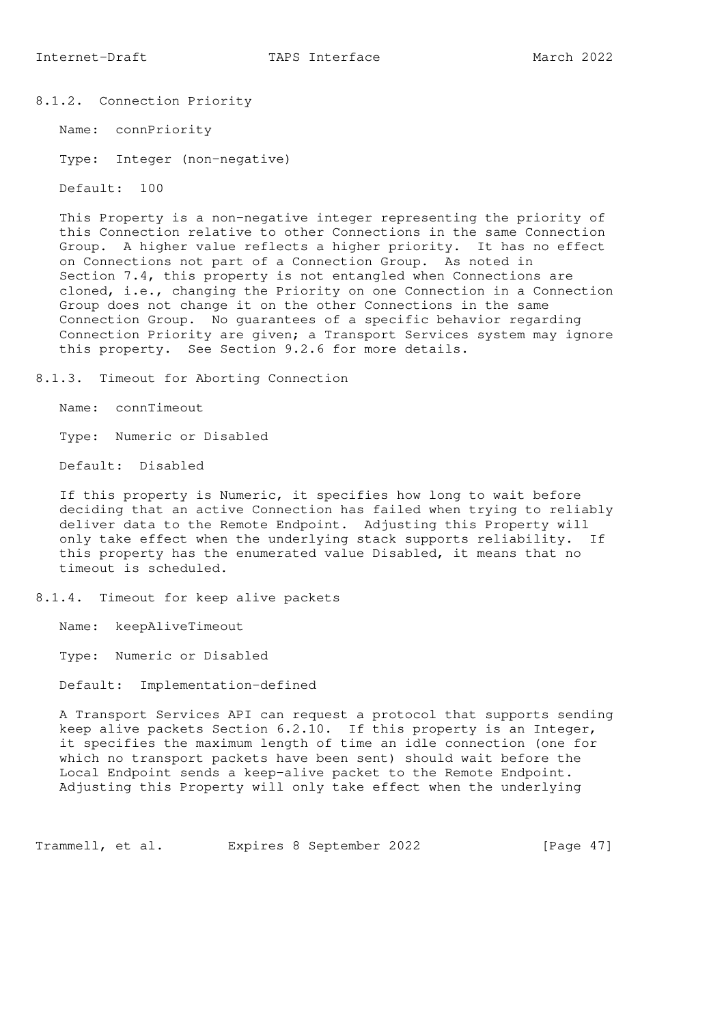## 8.1.2. Connection Priority

Name: connPriority

Type: Integer (non-negative)

Default: 100

 This Property is a non-negative integer representing the priority of this Connection relative to other Connections in the same Connection Group. A higher value reflects a higher priority. It has no effect on Connections not part of a Connection Group. As noted in Section 7.4, this property is not entangled when Connections are cloned, i.e., changing the Priority on one Connection in a Connection Group does not change it on the other Connections in the same Connection Group. No guarantees of a specific behavior regarding Connection Priority are given; a Transport Services system may ignore this property. See Section 9.2.6 for more details.

8.1.3. Timeout for Aborting Connection

Name: connTimeout

Type: Numeric or Disabled

Default: Disabled

 If this property is Numeric, it specifies how long to wait before deciding that an active Connection has failed when trying to reliably deliver data to the Remote Endpoint. Adjusting this Property will only take effect when the underlying stack supports reliability. If this property has the enumerated value Disabled, it means that no timeout is scheduled.

8.1.4. Timeout for keep alive packets

Name: keepAliveTimeout

Type: Numeric or Disabled

Default: Implementation-defined

 A Transport Services API can request a protocol that supports sending keep alive packets Section 6.2.10. If this property is an Integer, it specifies the maximum length of time an idle connection (one for which no transport packets have been sent) should wait before the Local Endpoint sends a keep-alive packet to the Remote Endpoint. Adjusting this Property will only take effect when the underlying

Trammell, et al. Expires 8 September 2022 [Page 47]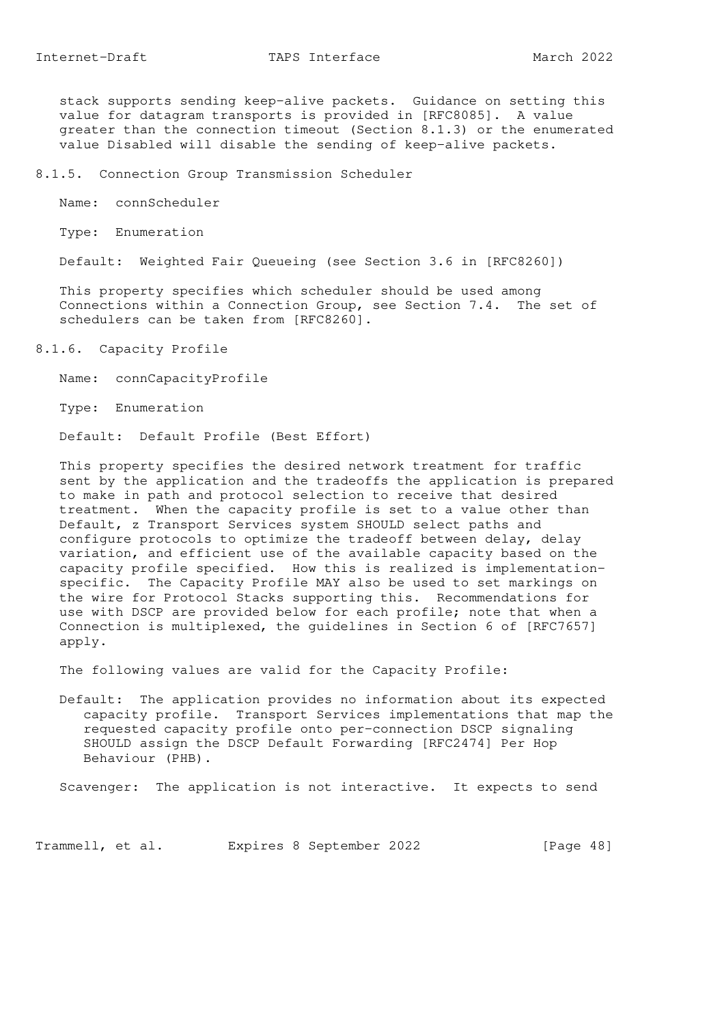stack supports sending keep-alive packets. Guidance on setting this value for datagram transports is provided in [RFC8085]. A value greater than the connection timeout (Section 8.1.3) or the enumerated value Disabled will disable the sending of keep-alive packets.

8.1.5. Connection Group Transmission Scheduler

Name: connScheduler

Type: Enumeration

Default: Weighted Fair Queueing (see Section 3.6 in [RFC8260])

 This property specifies which scheduler should be used among Connections within a Connection Group, see Section 7.4. The set of schedulers can be taken from [RFC8260].

8.1.6. Capacity Profile

Name: connCapacityProfile

Type: Enumeration

Default: Default Profile (Best Effort)

 This property specifies the desired network treatment for traffic sent by the application and the tradeoffs the application is prepared to make in path and protocol selection to receive that desired treatment. When the capacity profile is set to a value other than Default, z Transport Services system SHOULD select paths and configure protocols to optimize the tradeoff between delay, delay variation, and efficient use of the available capacity based on the capacity profile specified. How this is realized is implementation specific. The Capacity Profile MAY also be used to set markings on the wire for Protocol Stacks supporting this. Recommendations for use with DSCP are provided below for each profile; note that when a Connection is multiplexed, the guidelines in Section 6 of [RFC7657] apply.

The following values are valid for the Capacity Profile:

 Default: The application provides no information about its expected capacity profile. Transport Services implementations that map the requested capacity profile onto per-connection DSCP signaling SHOULD assign the DSCP Default Forwarding [RFC2474] Per Hop Behaviour (PHB).

Scavenger: The application is not interactive. It expects to send

Trammell, et al. Expires 8 September 2022 [Page 48]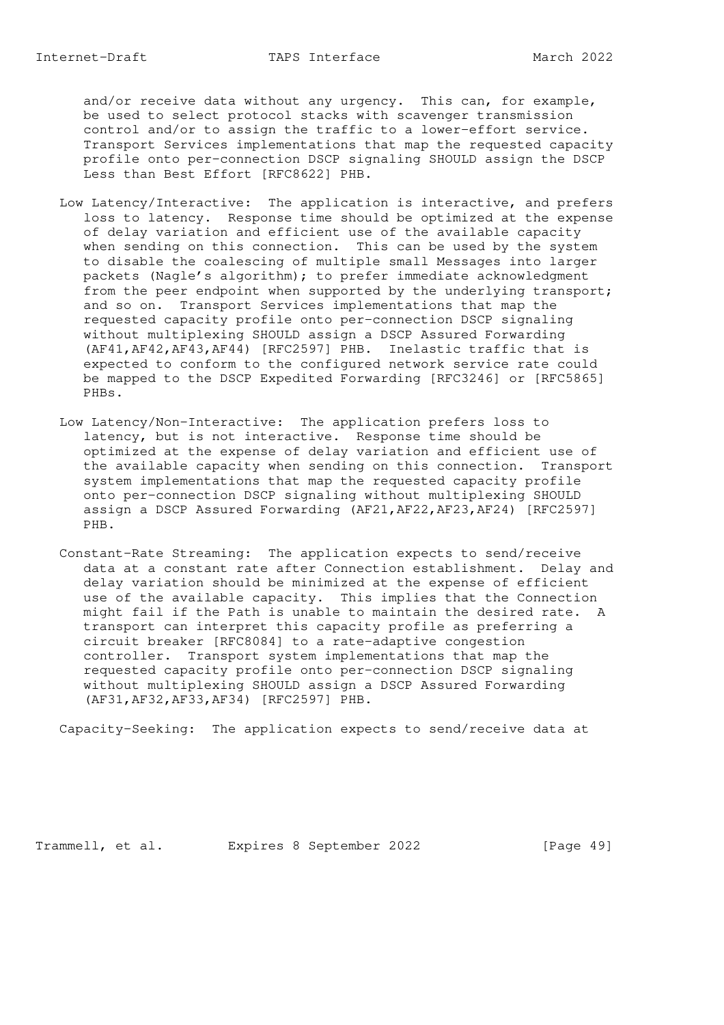and/or receive data without any urgency. This can, for example, be used to select protocol stacks with scavenger transmission control and/or to assign the traffic to a lower-effort service. Transport Services implementations that map the requested capacity profile onto per-connection DSCP signaling SHOULD assign the DSCP Less than Best Effort [RFC8622] PHB.

- Low Latency/Interactive: The application is interactive, and prefers loss to latency. Response time should be optimized at the expense of delay variation and efficient use of the available capacity when sending on this connection. This can be used by the system to disable the coalescing of multiple small Messages into larger packets (Nagle's algorithm); to prefer immediate acknowledgment from the peer endpoint when supported by the underlying transport; and so on. Transport Services implementations that map the requested capacity profile onto per-connection DSCP signaling without multiplexing SHOULD assign a DSCP Assured Forwarding (AF41,AF42,AF43,AF44) [RFC2597] PHB. Inelastic traffic that is expected to conform to the configured network service rate could be mapped to the DSCP Expedited Forwarding [RFC3246] or [RFC5865] PHBs.
- Low Latency/Non-Interactive: The application prefers loss to latency, but is not interactive. Response time should be optimized at the expense of delay variation and efficient use of the available capacity when sending on this connection. Transport system implementations that map the requested capacity profile onto per-connection DSCP signaling without multiplexing SHOULD assign a DSCP Assured Forwarding (AF21,AF22,AF23,AF24) [RFC2597] PHB.
- Constant-Rate Streaming: The application expects to send/receive data at a constant rate after Connection establishment. Delay and delay variation should be minimized at the expense of efficient use of the available capacity. This implies that the Connection might fail if the Path is unable to maintain the desired rate. A transport can interpret this capacity profile as preferring a circuit breaker [RFC8084] to a rate-adaptive congestion controller. Transport system implementations that map the requested capacity profile onto per-connection DSCP signaling without multiplexing SHOULD assign a DSCP Assured Forwarding (AF31,AF32,AF33,AF34) [RFC2597] PHB.

Capacity-Seeking: The application expects to send/receive data at

Trammell, et al. Expires 8 September 2022 [Page 49]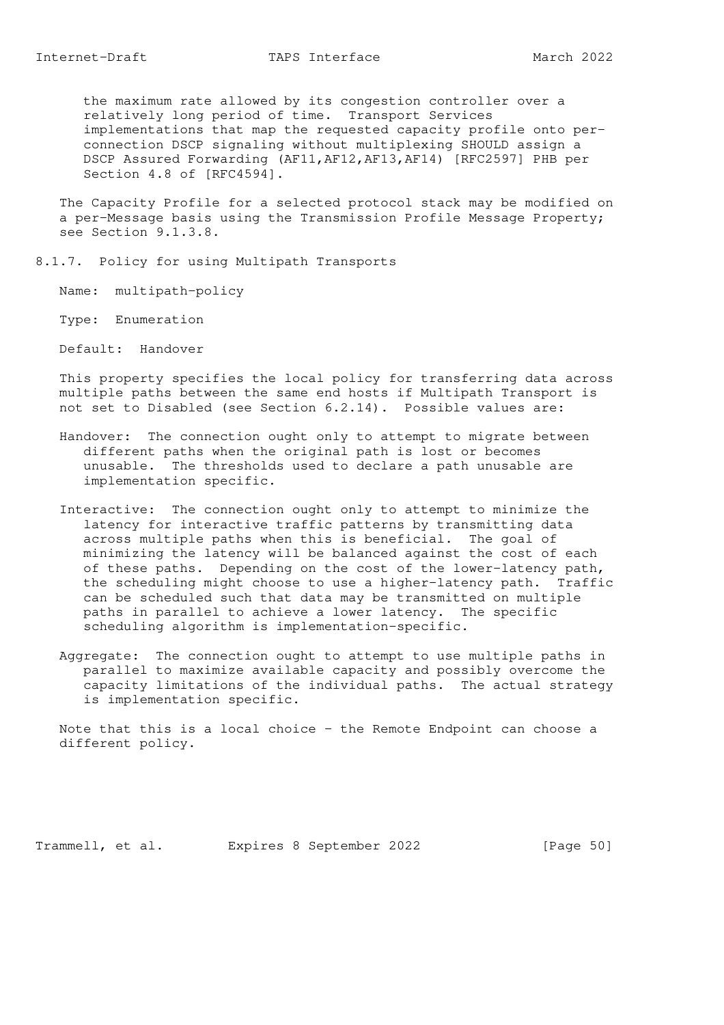the maximum rate allowed by its congestion controller over a relatively long period of time. Transport Services implementations that map the requested capacity profile onto per connection DSCP signaling without multiplexing SHOULD assign a DSCP Assured Forwarding (AF11,AF12,AF13,AF14) [RFC2597] PHB per Section 4.8 of [RFC4594].

 The Capacity Profile for a selected protocol stack may be modified on a per-Message basis using the Transmission Profile Message Property; see Section 9.1.3.8.

- 8.1.7. Policy for using Multipath Transports
	- Name: multipath-policy
	- Type: Enumeration
	- Default: Handover

 This property specifies the local policy for transferring data across multiple paths between the same end hosts if Multipath Transport is not set to Disabled (see Section 6.2.14). Possible values are:

- Handover: The connection ought only to attempt to migrate between different paths when the original path is lost or becomes unusable. The thresholds used to declare a path unusable are implementation specific.
- Interactive: The connection ought only to attempt to minimize the latency for interactive traffic patterns by transmitting data across multiple paths when this is beneficial. The goal of minimizing the latency will be balanced against the cost of each of these paths. Depending on the cost of the lower-latency path, the scheduling might choose to use a higher-latency path. Traffic can be scheduled such that data may be transmitted on multiple paths in parallel to achieve a lower latency. The specific scheduling algorithm is implementation-specific.
- Aggregate: The connection ought to attempt to use multiple paths in parallel to maximize available capacity and possibly overcome the capacity limitations of the individual paths. The actual strategy is implementation specific.

 Note that this is a local choice - the Remote Endpoint can choose a different policy.

Trammell, et al. Expires 8 September 2022 [Page 50]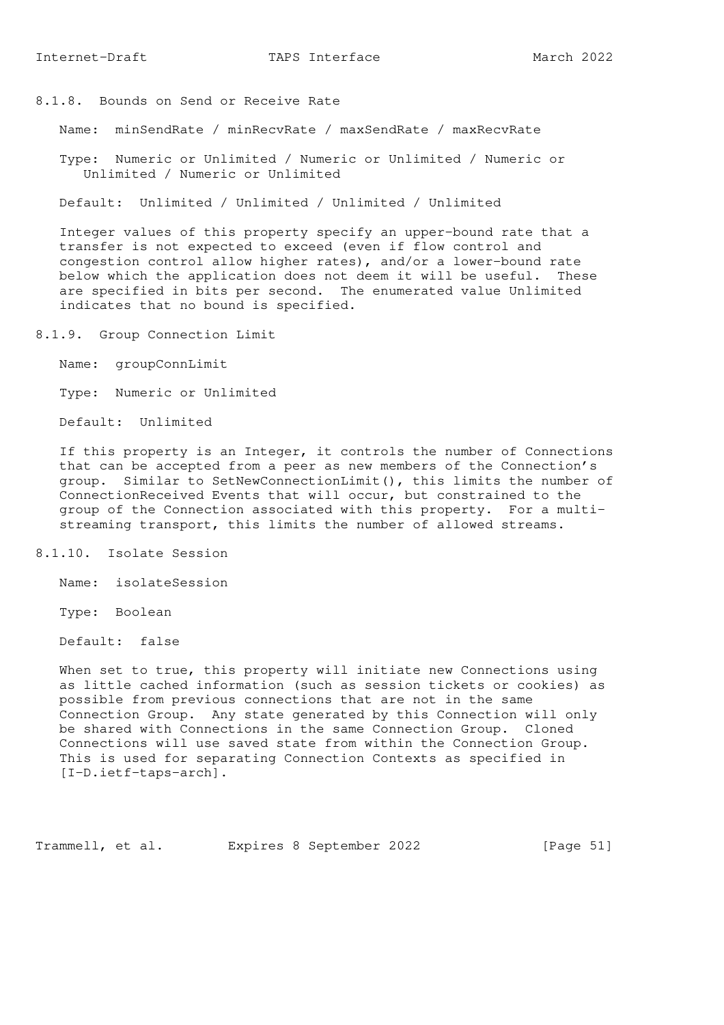8.1.8. Bounds on Send or Receive Rate

Name: minSendRate / minRecvRate / maxSendRate / maxRecvRate

 Type: Numeric or Unlimited / Numeric or Unlimited / Numeric or Unlimited / Numeric or Unlimited

Default: Unlimited / Unlimited / Unlimited / Unlimited

 Integer values of this property specify an upper-bound rate that a transfer is not expected to exceed (even if flow control and congestion control allow higher rates), and/or a lower-bound rate below which the application does not deem it will be useful. These are specified in bits per second. The enumerated value Unlimited indicates that no bound is specified.

8.1.9. Group Connection Limit

Name: groupConnLimit

Type: Numeric or Unlimited

Default: Unlimited

 If this property is an Integer, it controls the number of Connections that can be accepted from a peer as new members of the Connection's group. Similar to SetNewConnectionLimit(), this limits the number of ConnectionReceived Events that will occur, but constrained to the group of the Connection associated with this property. For a multi streaming transport, this limits the number of allowed streams.

### 8.1.10. Isolate Session

Name: isolateSession

Type: Boolean

Default: false

 When set to true, this property will initiate new Connections using as little cached information (such as session tickets or cookies) as possible from previous connections that are not in the same Connection Group. Any state generated by this Connection will only be shared with Connections in the same Connection Group. Cloned Connections will use saved state from within the Connection Group. This is used for separating Connection Contexts as specified in [I-D.ietf-taps-arch].

Trammell, et al. Expires 8 September 2022 [Page 51]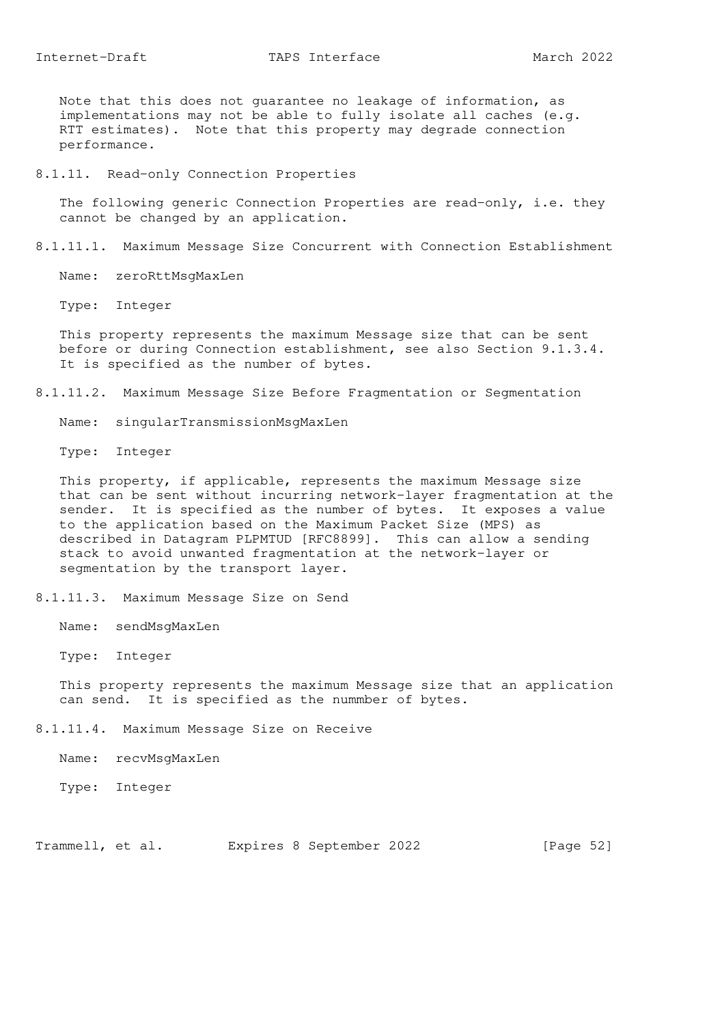Note that this does not guarantee no leakage of information, as implementations may not be able to fully isolate all caches (e.g. RTT estimates). Note that this property may degrade connection performance.

8.1.11. Read-only Connection Properties

 The following generic Connection Properties are read-only, i.e. they cannot be changed by an application.

8.1.11.1. Maximum Message Size Concurrent with Connection Establishment

Name: zeroRttMsqMaxLen

Type: Integer

 This property represents the maximum Message size that can be sent before or during Connection establishment, see also Section 9.1.3.4. It is specified as the number of bytes.

8.1.11.2. Maximum Message Size Before Fragmentation or Segmentation

Name: singularTransmissionMsgMaxLen

Type: Integer

 This property, if applicable, represents the maximum Message size that can be sent without incurring network-layer fragmentation at the sender. It is specified as the number of bytes. It exposes a value to the application based on the Maximum Packet Size (MPS) as described in Datagram PLPMTUD [RFC8899]. This can allow a sending stack to avoid unwanted fragmentation at the network-layer or segmentation by the transport layer.

8.1.11.3. Maximum Message Size on Send

Name: sendMsgMaxLen

Type: Integer

 This property represents the maximum Message size that an application can send. It is specified as the nummber of bytes.

8.1.11.4. Maximum Message Size on Receive

Name: recvMsgMaxLen

Type: Integer

Trammell, et al. Expires 8 September 2022 [Page 52]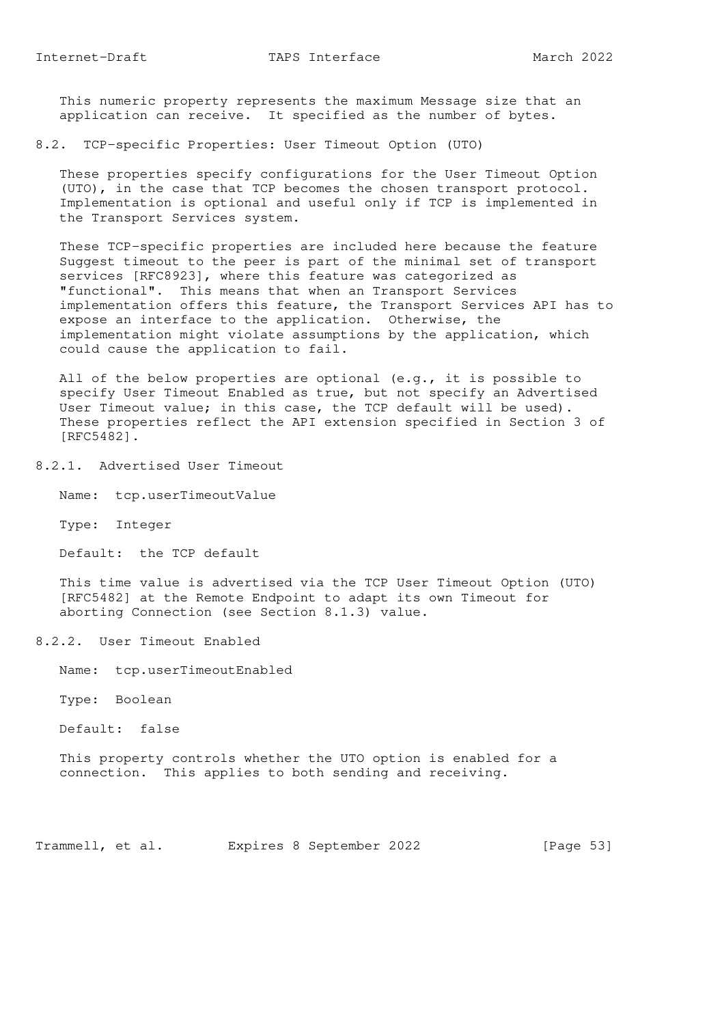This numeric property represents the maximum Message size that an application can receive. It specified as the number of bytes.

8.2. TCP-specific Properties: User Timeout Option (UTO)

 These properties specify configurations for the User Timeout Option (UTO), in the case that TCP becomes the chosen transport protocol. Implementation is optional and useful only if TCP is implemented in the Transport Services system.

 These TCP-specific properties are included here because the feature Suggest timeout to the peer is part of the minimal set of transport services [RFC8923], where this feature was categorized as "functional". This means that when an Transport Services implementation offers this feature, the Transport Services API has to expose an interface to the application. Otherwise, the implementation might violate assumptions by the application, which could cause the application to fail.

 All of the below properties are optional (e.g., it is possible to specify User Timeout Enabled as true, but not specify an Advertised User Timeout value; in this case, the TCP default will be used). These properties reflect the API extension specified in Section 3 of [RFC5482].

8.2.1. Advertised User Timeout

Name: tcp.userTimeoutValue

Type: Integer

Default: the TCP default

 This time value is advertised via the TCP User Timeout Option (UTO) [RFC5482] at the Remote Endpoint to adapt its own Timeout for aborting Connection (see Section 8.1.3) value.

8.2.2. User Timeout Enabled

Name: tcp.userTimeoutEnabled

Type: Boolean

Default: false

 This property controls whether the UTO option is enabled for a connection. This applies to both sending and receiving.

Trammell, et al. Expires 8 September 2022 [Page 53]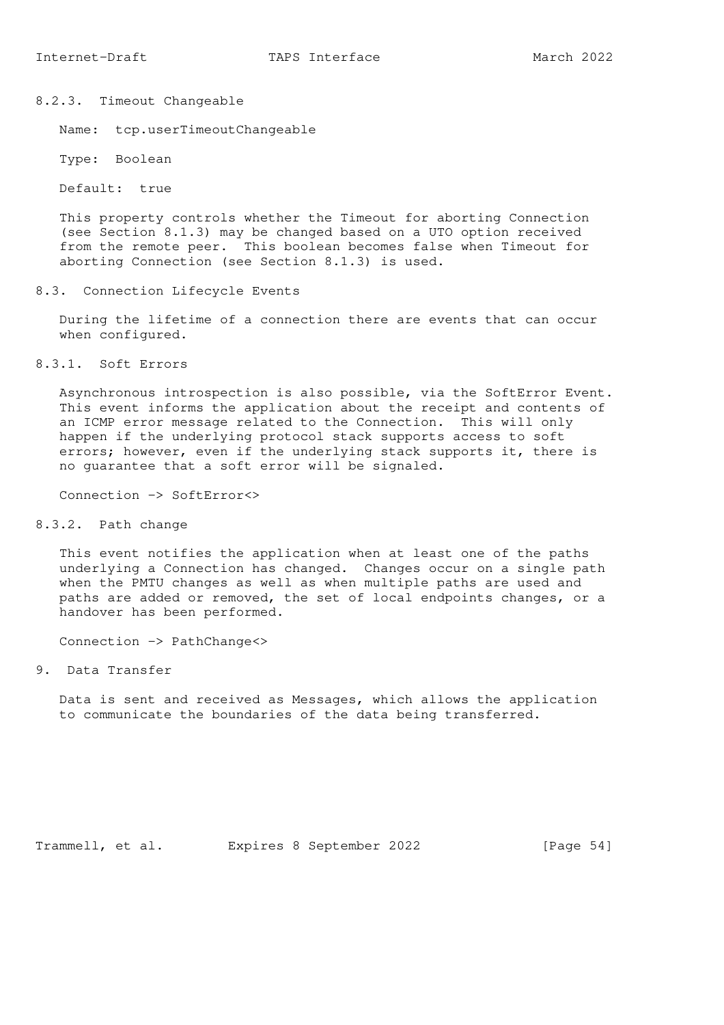8.2.3. Timeout Changeable

Name: tcp.userTimeoutChangeable

Type: Boolean

Default: true

 This property controls whether the Timeout for aborting Connection (see Section 8.1.3) may be changed based on a UTO option received from the remote peer. This boolean becomes false when Timeout for aborting Connection (see Section 8.1.3) is used.

8.3. Connection Lifecycle Events

 During the lifetime of a connection there are events that can occur when configured.

8.3.1. Soft Errors

 Asynchronous introspection is also possible, via the SoftError Event. This event informs the application about the receipt and contents of an ICMP error message related to the Connection. This will only happen if the underlying protocol stack supports access to soft errors; however, even if the underlying stack supports it, there is no guarantee that a soft error will be signaled.

Connection -> SoftError<>

8.3.2. Path change

 This event notifies the application when at least one of the paths underlying a Connection has changed. Changes occur on a single path when the PMTU changes as well as when multiple paths are used and paths are added or removed, the set of local endpoints changes, or a handover has been performed.

Connection -> PathChange<>

9. Data Transfer

 Data is sent and received as Messages, which allows the application to communicate the boundaries of the data being transferred.

Trammell, et al. Expires 8 September 2022 [Page 54]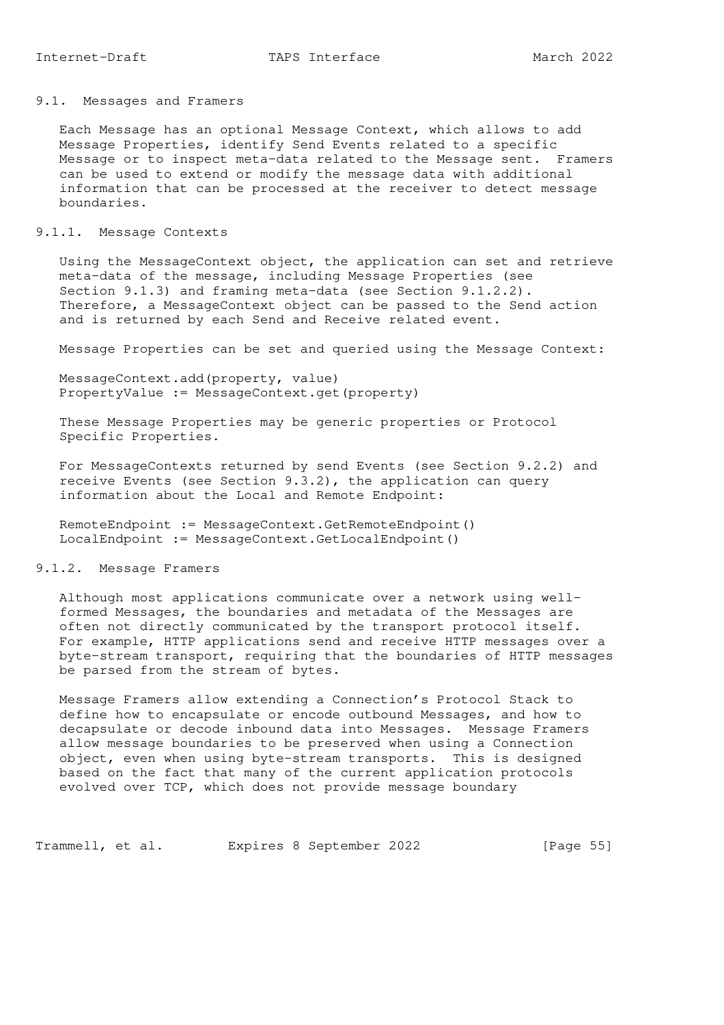#### 9.1. Messages and Framers

 Each Message has an optional Message Context, which allows to add Message Properties, identify Send Events related to a specific Message or to inspect meta-data related to the Message sent. Framers can be used to extend or modify the message data with additional information that can be processed at the receiver to detect message boundaries.

### 9.1.1. Message Contexts

 Using the MessageContext object, the application can set and retrieve meta-data of the message, including Message Properties (see Section 9.1.3) and framing meta-data (see Section 9.1.2.2). Therefore, a MessageContext object can be passed to the Send action and is returned by each Send and Receive related event.

Message Properties can be set and queried using the Message Context:

 MessageContext.add(property, value) PropertyValue := MessageContext.get(property)

 These Message Properties may be generic properties or Protocol Specific Properties.

 For MessageContexts returned by send Events (see Section 9.2.2) and receive Events (see Section 9.3.2), the application can query information about the Local and Remote Endpoint:

 RemoteEndpoint := MessageContext.GetRemoteEndpoint() LocalEndpoint := MessageContext.GetLocalEndpoint()

### 9.1.2. Message Framers

 Although most applications communicate over a network using well formed Messages, the boundaries and metadata of the Messages are often not directly communicated by the transport protocol itself. For example, HTTP applications send and receive HTTP messages over a byte-stream transport, requiring that the boundaries of HTTP messages be parsed from the stream of bytes.

 Message Framers allow extending a Connection's Protocol Stack to define how to encapsulate or encode outbound Messages, and how to decapsulate or decode inbound data into Messages. Message Framers allow message boundaries to be preserved when using a Connection object, even when using byte-stream transports. This is designed based on the fact that many of the current application protocols evolved over TCP, which does not provide message boundary

Trammell, et al. Expires 8 September 2022 [Page 55]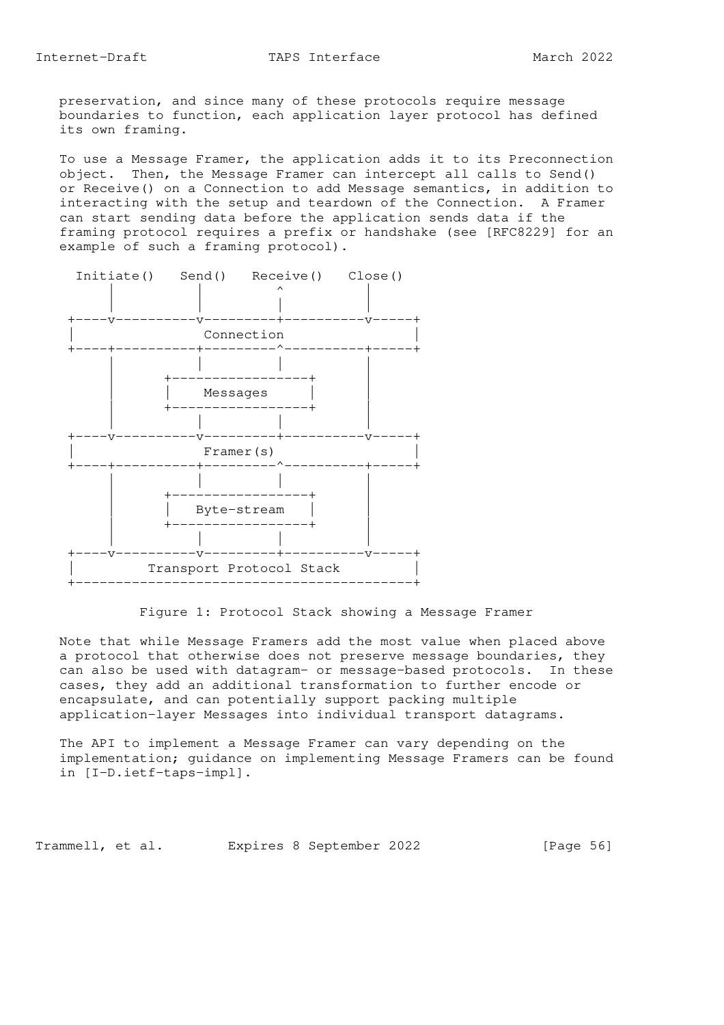preservation, and since many of these protocols require message boundaries to function, each application layer protocol has defined its own framing.

 To use a Message Framer, the application adds it to its Preconnection object. Then, the Message Framer can intercept all calls to Send() or Receive() on a Connection to add Message semantics, in addition to interacting with the setup and teardown of the Connection. A Framer can start sending data before the application sends data if the framing protocol requires a prefix or handshake (see [RFC8229] for an example of such a framing protocol).



Figure 1: Protocol Stack showing a Message Framer

 Note that while Message Framers add the most value when placed above a protocol that otherwise does not preserve message boundaries, they can also be used with datagram- or message-based protocols. In these cases, they add an additional transformation to further encode or encapsulate, and can potentially support packing multiple application-layer Messages into individual transport datagrams.

 The API to implement a Message Framer can vary depending on the implementation; guidance on implementing Message Framers can be found in [I-D.ietf-taps-impl].

Trammell, et al. Expires 8 September 2022 [Page 56]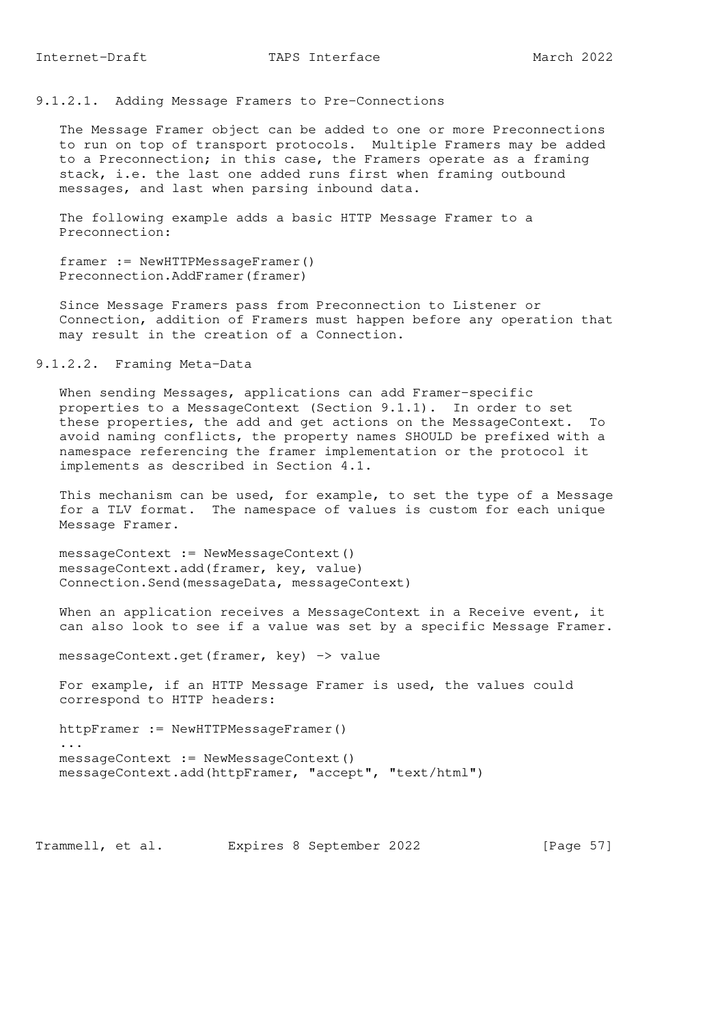9.1.2.1. Adding Message Framers to Pre-Connections

 The Message Framer object can be added to one or more Preconnections to run on top of transport protocols. Multiple Framers may be added to a Preconnection; in this case, the Framers operate as a framing stack, i.e. the last one added runs first when framing outbound messages, and last when parsing inbound data.

 The following example adds a basic HTTP Message Framer to a Preconnection:

 framer := NewHTTPMessageFramer() Preconnection.AddFramer(framer)

 Since Message Framers pass from Preconnection to Listener or Connection, addition of Framers must happen before any operation that may result in the creation of a Connection.

9.1.2.2. Framing Meta-Data

 When sending Messages, applications can add Framer-specific properties to a MessageContext (Section 9.1.1). In order to set these properties, the add and get actions on the MessageContext. To avoid naming conflicts, the property names SHOULD be prefixed with a namespace referencing the framer implementation or the protocol it implements as described in Section 4.1.

 This mechanism can be used, for example, to set the type of a Message for a TLV format. The namespace of values is custom for each unique Message Framer.

messageContext := NewMessageContext() messageContext.add(framer, key, value) Connection.Send(messageData, messageContext)

When an application receives a MessageContext in a Receive event, it can also look to see if a value was set by a specific Message Framer.

messageContext.get(framer, key) -> value

 For example, if an HTTP Message Framer is used, the values could correspond to HTTP headers:

 httpFramer := NewHTTPMessageFramer() ... messageContext := NewMessageContext() messageContext.add(httpFramer, "accept", "text/html")

Trammell, et al. Expires 8 September 2022 [Page 57]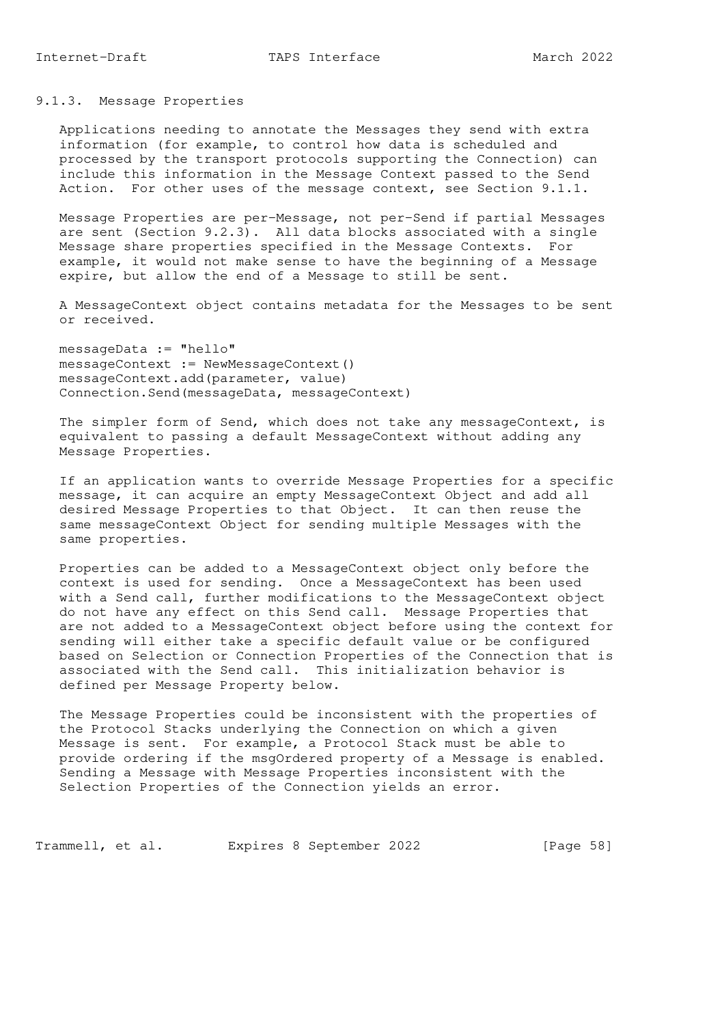Applications needing to annotate the Messages they send with extra information (for example, to control how data is scheduled and processed by the transport protocols supporting the Connection) can include this information in the Message Context passed to the Send Action. For other uses of the message context, see Section 9.1.1.

 Message Properties are per-Message, not per-Send if partial Messages are sent (Section 9.2.3). All data blocks associated with a single Message share properties specified in the Message Contexts. For example, it would not make sense to have the beginning of a Message expire, but allow the end of a Message to still be sent.

 A MessageContext object contains metadata for the Messages to be sent or received.

 messageData := "hello" messageContext := NewMessageContext() messageContext.add(parameter, value) Connection.Send(messageData, messageContext)

The simpler form of Send, which does not take any messageContext, is equivalent to passing a default MessageContext without adding any Message Properties.

 If an application wants to override Message Properties for a specific message, it can acquire an empty MessageContext Object and add all desired Message Properties to that Object. It can then reuse the same messageContext Object for sending multiple Messages with the same properties.

 Properties can be added to a MessageContext object only before the context is used for sending. Once a MessageContext has been used with a Send call, further modifications to the MessageContext object do not have any effect on this Send call. Message Properties that are not added to a MessageContext object before using the context for sending will either take a specific default value or be configured based on Selection or Connection Properties of the Connection that is associated with the Send call. This initialization behavior is defined per Message Property below.

 The Message Properties could be inconsistent with the properties of the Protocol Stacks underlying the Connection on which a given Message is sent. For example, a Protocol Stack must be able to provide ordering if the msgOrdered property of a Message is enabled. Sending a Message with Message Properties inconsistent with the Selection Properties of the Connection yields an error.

Trammell, et al. Expires 8 September 2022 [Page 58]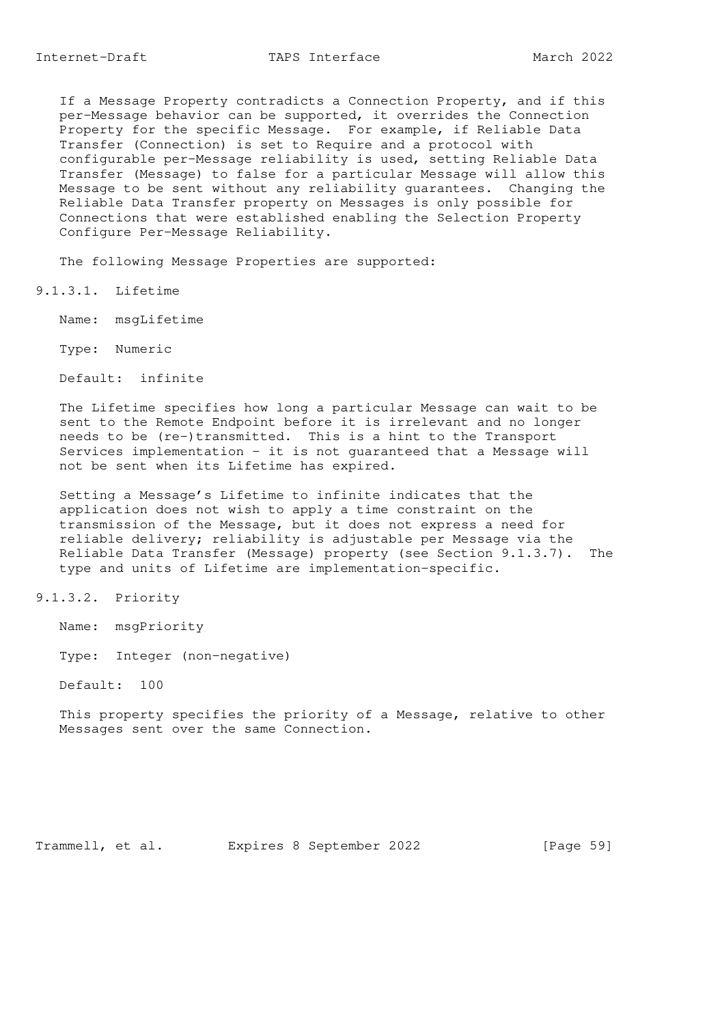If a Message Property contradicts a Connection Property, and if this per-Message behavior can be supported, it overrides the Connection Property for the specific Message. For example, if Reliable Data Transfer (Connection) is set to Require and a protocol with configurable per-Message reliability is used, setting Reliable Data Transfer (Message) to false for a particular Message will allow this Message to be sent without any reliability guarantees. Changing the Reliable Data Transfer property on Messages is only possible for Connections that were established enabling the Selection Property Configure Per-Message Reliability.

The following Message Properties are supported:

9.1.3.1. Lifetime

Name: msgLifetime

Type: Numeric

Default: infinite

 The Lifetime specifies how long a particular Message can wait to be sent to the Remote Endpoint before it is irrelevant and no longer needs to be (re-)transmitted. This is a hint to the Transport Services implementation - it is not guaranteed that a Message will not be sent when its Lifetime has expired.

 Setting a Message's Lifetime to infinite indicates that the application does not wish to apply a time constraint on the transmission of the Message, but it does not express a need for reliable delivery; reliability is adjustable per Message via the Reliable Data Transfer (Message) property (see Section 9.1.3.7). The type and units of Lifetime are implementation-specific.

9.1.3.2. Priority

Name: msgPriority

Type: Integer (non-negative)

Default: 100

 This property specifies the priority of a Message, relative to other Messages sent over the same Connection.

Trammell, et al. Expires 8 September 2022 [Page 59]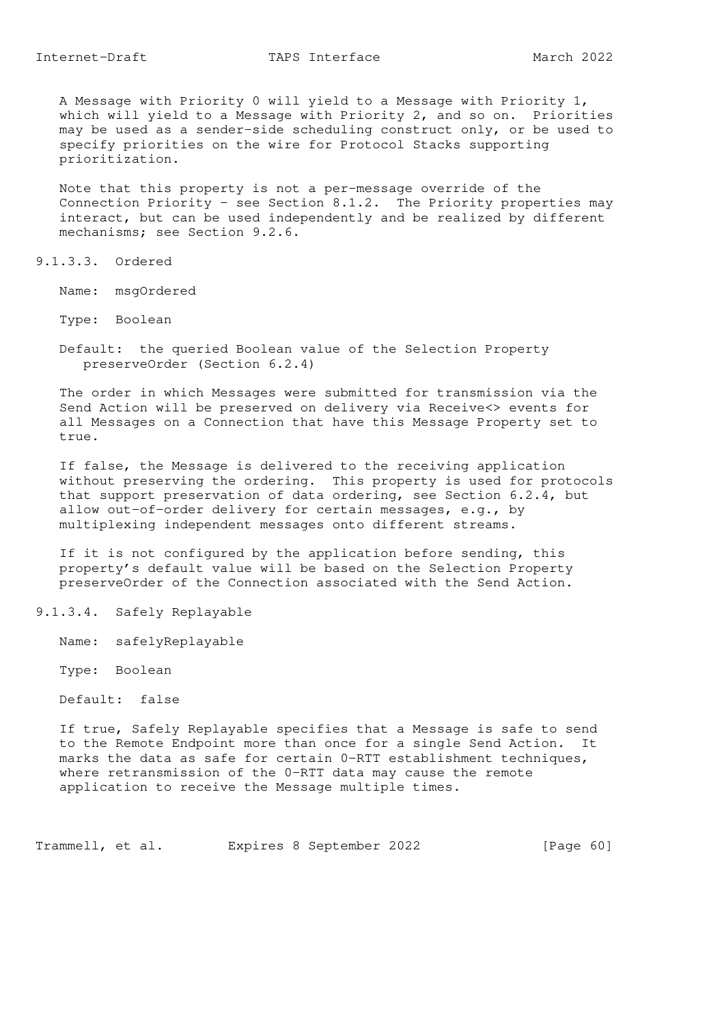A Message with Priority 0 will yield to a Message with Priority 1, which will yield to a Message with Priority 2, and so on. Priorities may be used as a sender-side scheduling construct only, or be used to specify priorities on the wire for Protocol Stacks supporting prioritization.

 Note that this property is not a per-message override of the Connection Priority - see Section 8.1.2. The Priority properties may interact, but can be used independently and be realized by different mechanisms; see Section 9.2.6.

9.1.3.3. Ordered

Name: msgOrdered

- Type: Boolean
- Default: the queried Boolean value of the Selection Property preserveOrder (Section 6.2.4)

 The order in which Messages were submitted for transmission via the Send Action will be preserved on delivery via Receive<> events for all Messages on a Connection that have this Message Property set to true.

 If false, the Message is delivered to the receiving application without preserving the ordering. This property is used for protocols that support preservation of data ordering, see Section 6.2.4, but allow out-of-order delivery for certain messages, e.g., by multiplexing independent messages onto different streams.

 If it is not configured by the application before sending, this property's default value will be based on the Selection Property preserveOrder of the Connection associated with the Send Action.

9.1.3.4. Safely Replayable

Name: safelyReplayable

Type: Boolean

Default: false

 If true, Safely Replayable specifies that a Message is safe to send to the Remote Endpoint more than once for a single Send Action. It marks the data as safe for certain 0-RTT establishment techniques, where retransmission of the 0-RTT data may cause the remote application to receive the Message multiple times.

Trammell, et al. Expires 8 September 2022 [Page 60]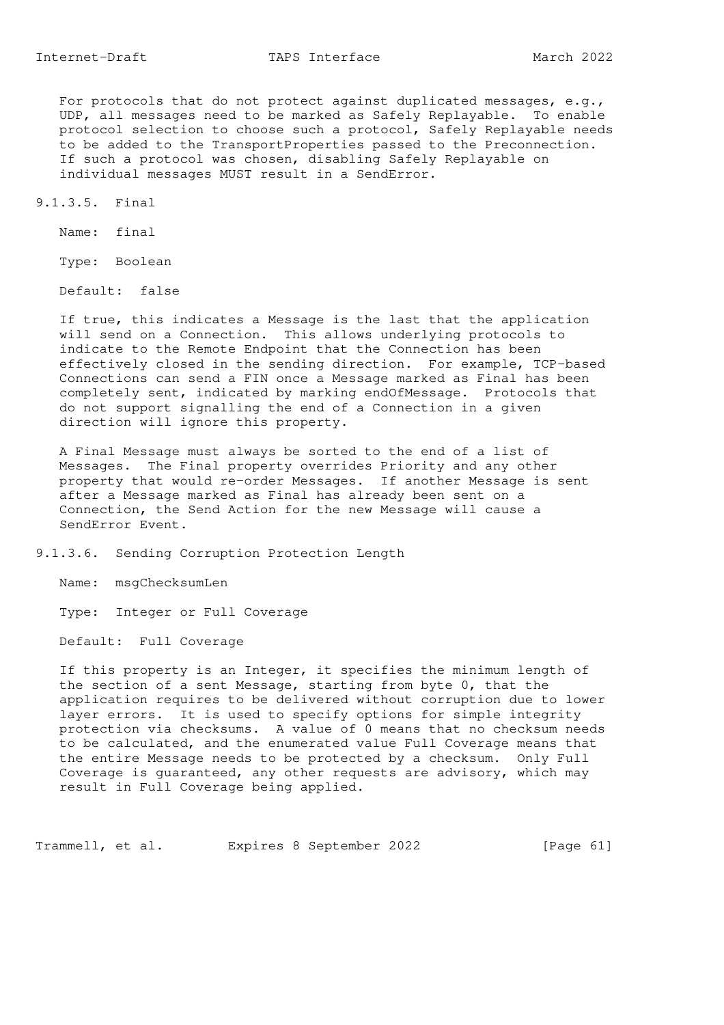For protocols that do not protect against duplicated messages, e.g., UDP, all messages need to be marked as Safely Replayable. To enable protocol selection to choose such a protocol, Safely Replayable needs to be added to the TransportProperties passed to the Preconnection. If such a protocol was chosen, disabling Safely Replayable on individual messages MUST result in a SendError.

9.1.3.5. Final

Name: final

Type: Boolean

Default: false

 If true, this indicates a Message is the last that the application will send on a Connection. This allows underlying protocols to indicate to the Remote Endpoint that the Connection has been effectively closed in the sending direction. For example, TCP-based Connections can send a FIN once a Message marked as Final has been completely sent, indicated by marking endOfMessage. Protocols that do not support signalling the end of a Connection in a given direction will ignore this property.

 A Final Message must always be sorted to the end of a list of Messages. The Final property overrides Priority and any other property that would re-order Messages. If another Message is sent after a Message marked as Final has already been sent on a Connection, the Send Action for the new Message will cause a SendError Event.

9.1.3.6. Sending Corruption Protection Length

Name: msgChecksumLen

Type: Integer or Full Coverage

Default: Full Coverage

 If this property is an Integer, it specifies the minimum length of the section of a sent Message, starting from byte 0, that the application requires to be delivered without corruption due to lower layer errors. It is used to specify options for simple integrity protection via checksums. A value of 0 means that no checksum needs to be calculated, and the enumerated value Full Coverage means that the entire Message needs to be protected by a checksum. Only Full Coverage is guaranteed, any other requests are advisory, which may result in Full Coverage being applied.

Trammell, et al. Expires 8 September 2022 [Page 61]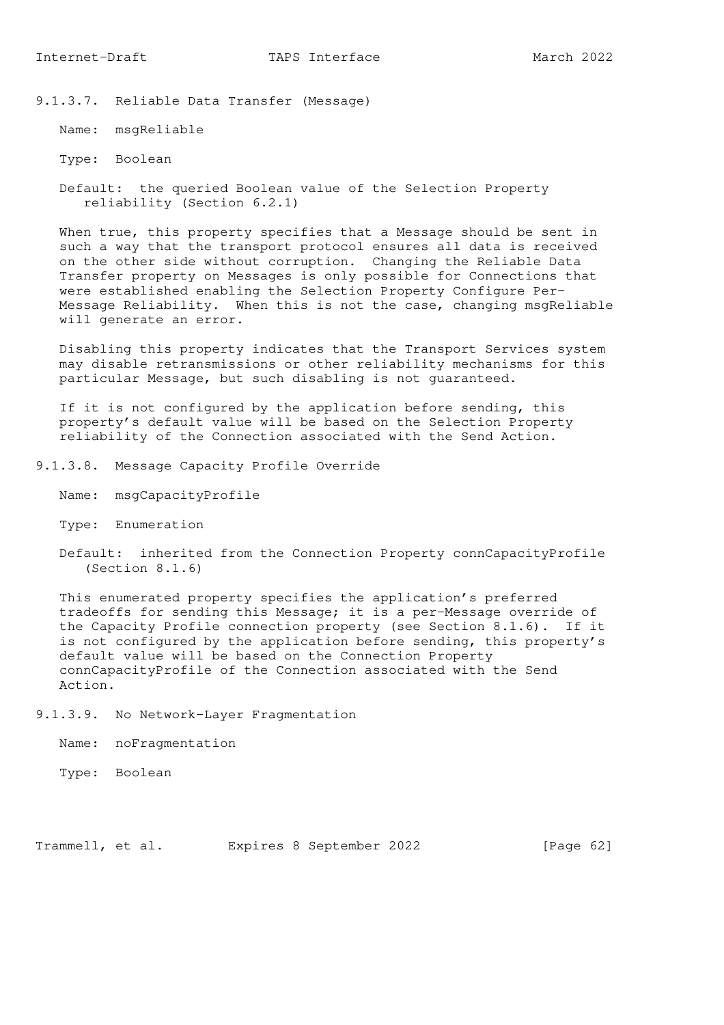9.1.3.7. Reliable Data Transfer (Message)

Name: msgReliable

Type: Boolean

 Default: the queried Boolean value of the Selection Property reliability (Section 6.2.1)

 When true, this property specifies that a Message should be sent in such a way that the transport protocol ensures all data is received on the other side without corruption. Changing the Reliable Data Transfer property on Messages is only possible for Connections that were established enabling the Selection Property Configure Per- Message Reliability. When this is not the case, changing msgReliable will generate an error.

 Disabling this property indicates that the Transport Services system may disable retransmissions or other reliability mechanisms for this particular Message, but such disabling is not guaranteed.

 If it is not configured by the application before sending, this property's default value will be based on the Selection Property reliability of the Connection associated with the Send Action.

- 9.1.3.8. Message Capacity Profile Override
	- Name: msgCapacityProfile
	- Type: Enumeration
	- Default: inherited from the Connection Property connCapacityProfile (Section 8.1.6)

 This enumerated property specifies the application's preferred tradeoffs for sending this Message; it is a per-Message override of the Capacity Profile connection property (see Section 8.1.6). If it is not configured by the application before sending, this property's default value will be based on the Connection Property connCapacityProfile of the Connection associated with the Send Action.

9.1.3.9. No Network-Layer Fragmentation

Name: noFragmentation

Type: Boolean

Trammell, et al. Expires 8 September 2022 [Page 62]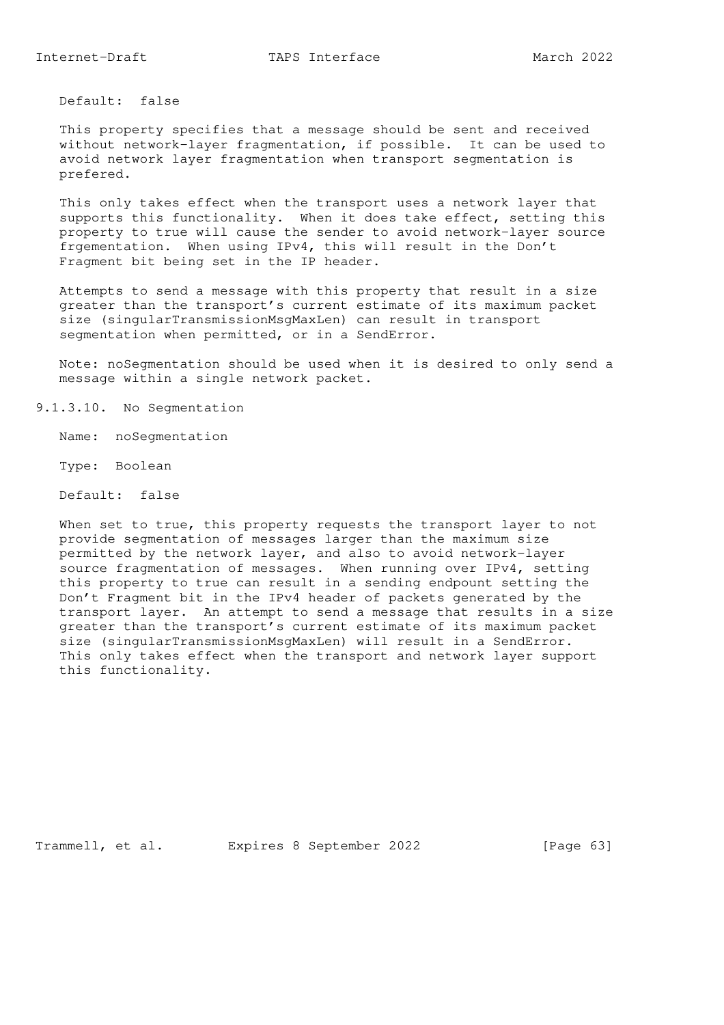Default: false

 This property specifies that a message should be sent and received without network-layer fragmentation, if possible. It can be used to avoid network layer fragmentation when transport segmentation is prefered.

 This only takes effect when the transport uses a network layer that supports this functionality. When it does take effect, setting this property to true will cause the sender to avoid network-layer source frgementation. When using IPv4, this will result in the Don't Fragment bit being set in the IP header.

 Attempts to send a message with this property that result in a size greater than the transport's current estimate of its maximum packet size (singularTransmissionMsgMaxLen) can result in transport segmentation when permitted, or in a SendError.

 Note: noSegmentation should be used when it is desired to only send a message within a single network packet.

9.1.3.10. No Segmentation

Name: noSegmentation

Type: Boolean

Default: false

When set to true, this property requests the transport layer to not provide segmentation of messages larger than the maximum size permitted by the network layer, and also to avoid network-layer source fragmentation of messages. When running over IPv4, setting this property to true can result in a sending endpount setting the Don't Fragment bit in the IPv4 header of packets generated by the transport layer. An attempt to send a message that results in a size greater than the transport's current estimate of its maximum packet size (singularTransmissionMsgMaxLen) will result in a SendError. This only takes effect when the transport and network layer support this functionality.

Trammell, et al. Expires 8 September 2022 [Page 63]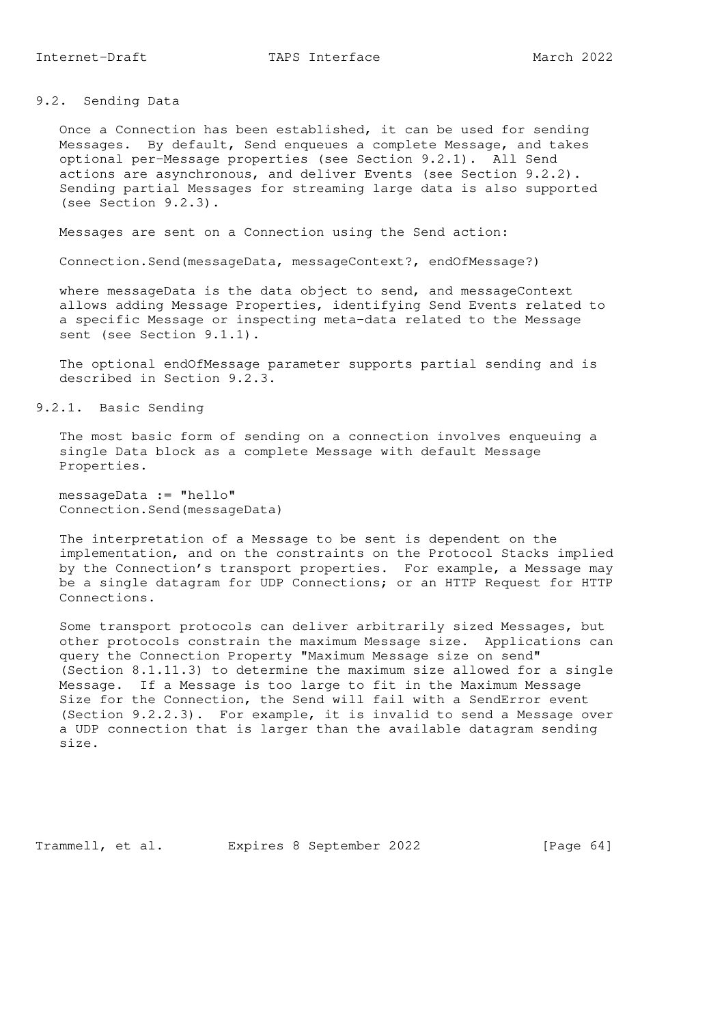9.2. Sending Data

 Once a Connection has been established, it can be used for sending Messages. By default, Send enqueues a complete Message, and takes optional per-Message properties (see Section 9.2.1). All Send actions are asynchronous, and deliver Events (see Section 9.2.2). Sending partial Messages for streaming large data is also supported (see Section 9.2.3).

Messages are sent on a Connection using the Send action:

Connection.Send(messageData, messageContext?, endOfMessage?)

 where messageData is the data object to send, and messageContext allows adding Message Properties, identifying Send Events related to a specific Message or inspecting meta-data related to the Message sent (see Section 9.1.1).

 The optional endOfMessage parameter supports partial sending and is described in Section 9.2.3.

9.2.1. Basic Sending

 The most basic form of sending on a connection involves enqueuing a single Data block as a complete Message with default Message Properties.

 messageData := "hello" Connection.Send(messageData)

 The interpretation of a Message to be sent is dependent on the implementation, and on the constraints on the Protocol Stacks implied by the Connection's transport properties. For example, a Message may be a single datagram for UDP Connections; or an HTTP Request for HTTP Connections.

 Some transport protocols can deliver arbitrarily sized Messages, but other protocols constrain the maximum Message size. Applications can query the Connection Property "Maximum Message size on send" (Section 8.1.11.3) to determine the maximum size allowed for a single Message. If a Message is too large to fit in the Maximum Message Size for the Connection, the Send will fail with a SendError event (Section 9.2.2.3). For example, it is invalid to send a Message over a UDP connection that is larger than the available datagram sending size.

Trammell, et al. Expires 8 September 2022 [Page 64]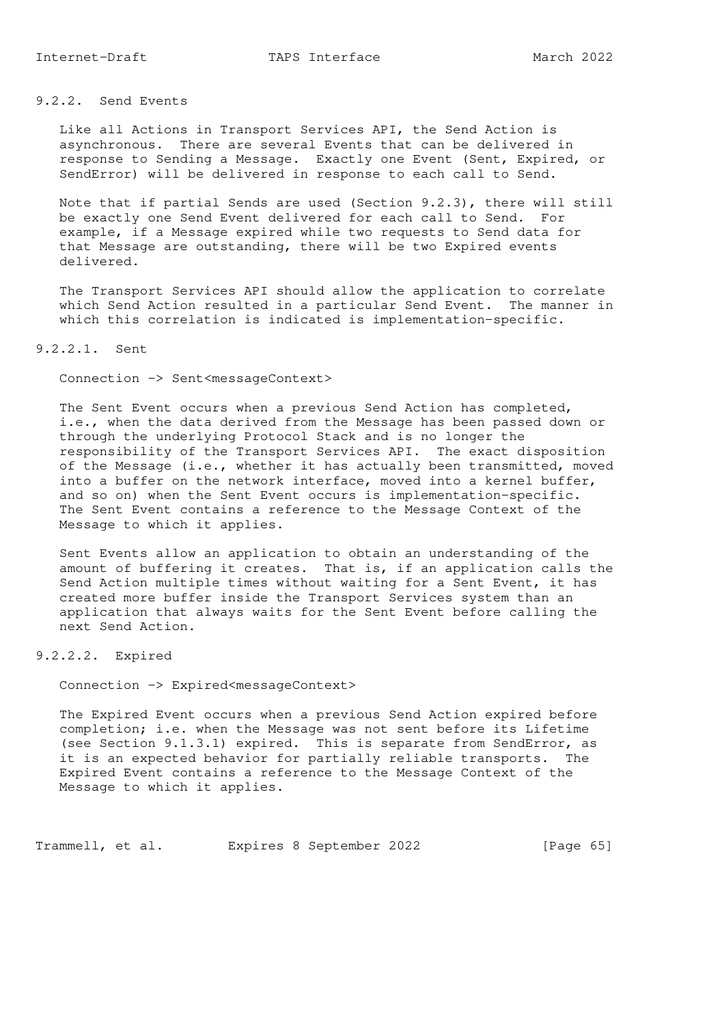# 9.2.2. Send Events

 Like all Actions in Transport Services API, the Send Action is asynchronous. There are several Events that can be delivered in response to Sending a Message. Exactly one Event (Sent, Expired, or SendError) will be delivered in response to each call to Send.

 Note that if partial Sends are used (Section 9.2.3), there will still be exactly one Send Event delivered for each call to Send. For example, if a Message expired while two requests to Send data for that Message are outstanding, there will be two Expired events delivered.

 The Transport Services API should allow the application to correlate which Send Action resulted in a particular Send Event. The manner in which this correlation is indicated is implementation-specific.

# 9.2.2.1. Sent

Connection -> Sent<messageContext>

 The Sent Event occurs when a previous Send Action has completed, i.e., when the data derived from the Message has been passed down or through the underlying Protocol Stack and is no longer the responsibility of the Transport Services API. The exact disposition of the Message (i.e., whether it has actually been transmitted, moved into a buffer on the network interface, moved into a kernel buffer, and so on) when the Sent Event occurs is implementation-specific. The Sent Event contains a reference to the Message Context of the Message to which it applies.

 Sent Events allow an application to obtain an understanding of the amount of buffering it creates. That is, if an application calls the Send Action multiple times without waiting for a Sent Event, it has created more buffer inside the Transport Services system than an application that always waits for the Sent Event before calling the next Send Action.

#### 9.2.2.2. Expired

Connection -> Expired<messageContext>

 The Expired Event occurs when a previous Send Action expired before completion; i.e. when the Message was not sent before its Lifetime (see Section 9.1.3.1) expired. This is separate from SendError, as it is an expected behavior for partially reliable transports. The Expired Event contains a reference to the Message Context of the Message to which it applies.

Trammell, et al. Expires 8 September 2022 [Page 65]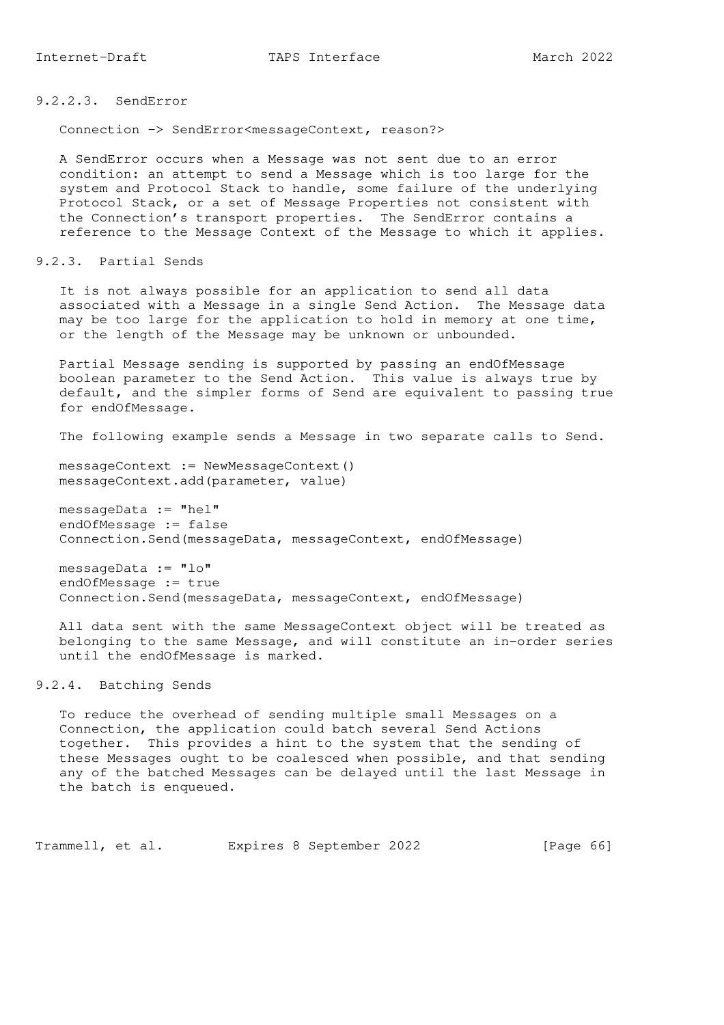9.2.2.3. SendError

Connection -> SendError<messageContext, reason?>

 A SendError occurs when a Message was not sent due to an error condition: an attempt to send a Message which is too large for the system and Protocol Stack to handle, some failure of the underlying Protocol Stack, or a set of Message Properties not consistent with the Connection's transport properties. The SendError contains a reference to the Message Context of the Message to which it applies.

9.2.3. Partial Sends

 It is not always possible for an application to send all data associated with a Message in a single Send Action. The Message data may be too large for the application to hold in memory at one time, or the length of the Message may be unknown or unbounded.

 Partial Message sending is supported by passing an endOfMessage boolean parameter to the Send Action. This value is always true by default, and the simpler forms of Send are equivalent to passing true for endOfMessage.

The following example sends a Message in two separate calls to Send.

messageContext := NewMessageContext() messageContext.add(parameter, value)

 messageData := "hel" endOfMessage := false Connection.Send(messageData, messageContext, endOfMessage)

 messageData := "lo" endOfMessage := true Connection.Send(messageData, messageContext, endOfMessage)

 All data sent with the same MessageContext object will be treated as belonging to the same Message, and will constitute an in-order series until the endOfMessage is marked.

9.2.4. Batching Sends

 To reduce the overhead of sending multiple small Messages on a Connection, the application could batch several Send Actions together. This provides a hint to the system that the sending of these Messages ought to be coalesced when possible, and that sending any of the batched Messages can be delayed until the last Message in the batch is enqueued.

Trammell, et al. Expires 8 September 2022 [Page 66]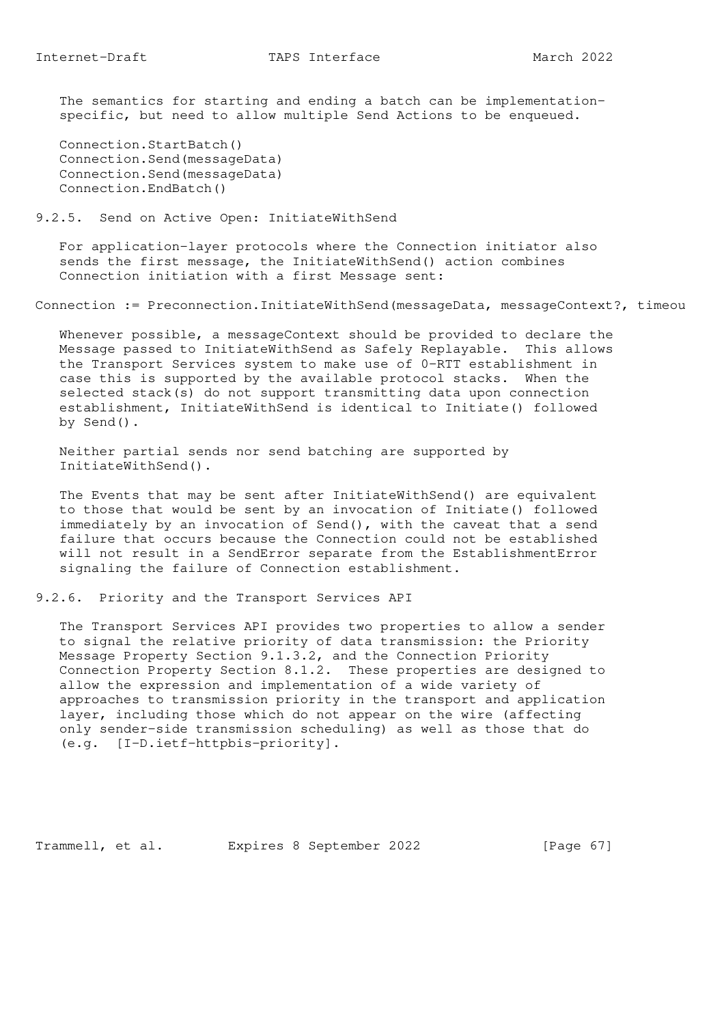The semantics for starting and ending a batch can be implementation specific, but need to allow multiple Send Actions to be enqueued.

 Connection.StartBatch() Connection.Send(messageData) Connection.Send(messageData) Connection.EndBatch()

### 9.2.5. Send on Active Open: InitiateWithSend

 For application-layer protocols where the Connection initiator also sends the first message, the InitiateWithSend() action combines Connection initiation with a first Message sent:

Connection := Preconnection.InitiateWithSend(messageData, messageContext?, timeou

 Whenever possible, a messageContext should be provided to declare the Message passed to InitiateWithSend as Safely Replayable. This allows the Transport Services system to make use of 0-RTT establishment in case this is supported by the available protocol stacks. When the selected stack(s) do not support transmitting data upon connection establishment, InitiateWithSend is identical to Initiate() followed by Send().

 Neither partial sends nor send batching are supported by InitiateWithSend().

 The Events that may be sent after InitiateWithSend() are equivalent to those that would be sent by an invocation of Initiate() followed immediately by an invocation of Send(), with the caveat that a send failure that occurs because the Connection could not be established will not result in a SendError separate from the EstablishmentError signaling the failure of Connection establishment.

9.2.6. Priority and the Transport Services API

 The Transport Services API provides two properties to allow a sender to signal the relative priority of data transmission: the Priority Message Property Section 9.1.3.2, and the Connection Priority Connection Property Section 8.1.2. These properties are designed to allow the expression and implementation of a wide variety of approaches to transmission priority in the transport and application layer, including those which do not appear on the wire (affecting only sender-side transmission scheduling) as well as those that do (e.g. [I-D.ietf-httpbis-priority].

Trammell, et al. Expires 8 September 2022 [Page 67]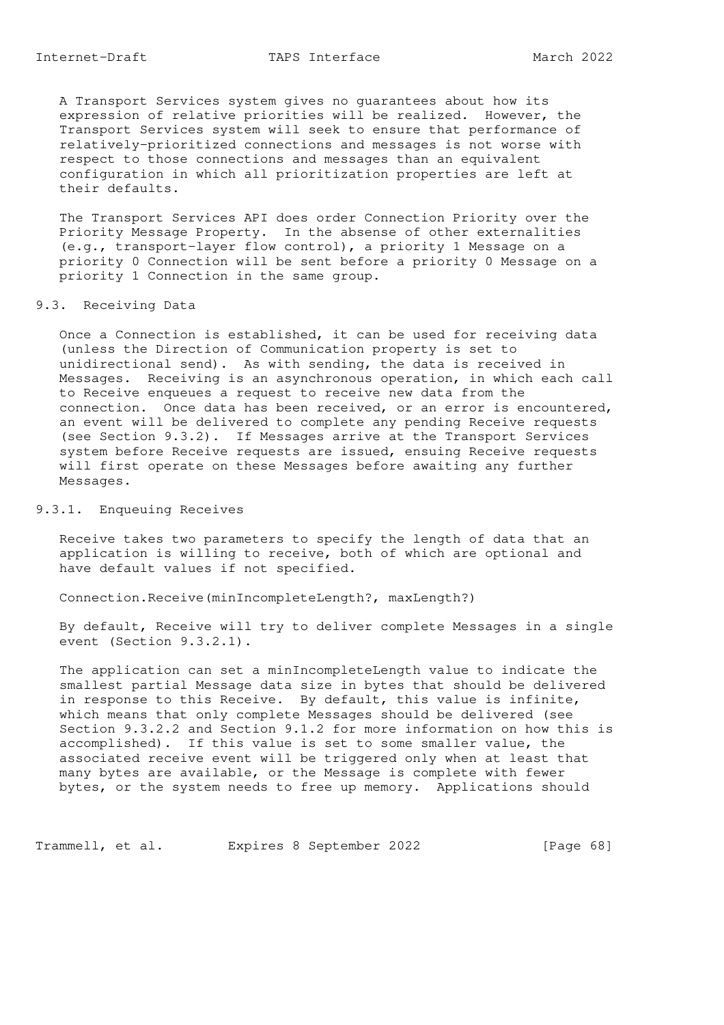A Transport Services system gives no guarantees about how its expression of relative priorities will be realized. However, the Transport Services system will seek to ensure that performance of relatively-prioritized connections and messages is not worse with respect to those connections and messages than an equivalent configuration in which all prioritization properties are left at their defaults.

 The Transport Services API does order Connection Priority over the Priority Message Property. In the absense of other externalities (e.g., transport-layer flow control), a priority 1 Message on a priority 0 Connection will be sent before a priority 0 Message on a priority 1 Connection in the same group.

### 9.3. Receiving Data

 Once a Connection is established, it can be used for receiving data (unless the Direction of Communication property is set to unidirectional send). As with sending, the data is received in Messages. Receiving is an asynchronous operation, in which each call to Receive enqueues a request to receive new data from the connection. Once data has been received, or an error is encountered, an event will be delivered to complete any pending Receive requests (see Section 9.3.2). If Messages arrive at the Transport Services system before Receive requests are issued, ensuing Receive requests will first operate on these Messages before awaiting any further Messages.

#### 9.3.1. Enqueuing Receives

 Receive takes two parameters to specify the length of data that an application is willing to receive, both of which are optional and have default values if not specified.

Connection.Receive(minIncompleteLength?, maxLength?)

 By default, Receive will try to deliver complete Messages in a single event (Section 9.3.2.1).

 The application can set a minIncompleteLength value to indicate the smallest partial Message data size in bytes that should be delivered in response to this Receive. By default, this value is infinite, which means that only complete Messages should be delivered (see Section 9.3.2.2 and Section 9.1.2 for more information on how this is accomplished). If this value is set to some smaller value, the associated receive event will be triggered only when at least that many bytes are available, or the Message is complete with fewer bytes, or the system needs to free up memory. Applications should

Trammell, et al. Expires 8 September 2022 [Page 68]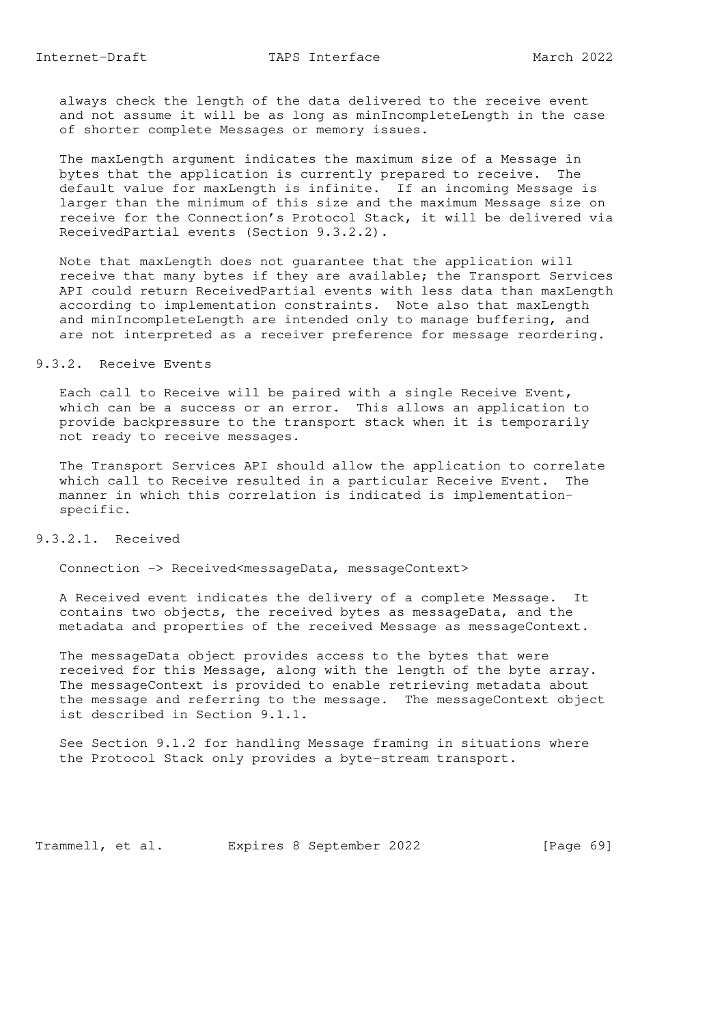always check the length of the data delivered to the receive event and not assume it will be as long as minIncompleteLength in the case of shorter complete Messages or memory issues.

 The maxLength argument indicates the maximum size of a Message in bytes that the application is currently prepared to receive. The default value for maxLength is infinite. If an incoming Message is larger than the minimum of this size and the maximum Message size on receive for the Connection's Protocol Stack, it will be delivered via ReceivedPartial events (Section 9.3.2.2).

 Note that maxLength does not guarantee that the application will receive that many bytes if they are available; the Transport Services API could return ReceivedPartial events with less data than maxLength according to implementation constraints. Note also that maxLength and minIncompleteLength are intended only to manage buffering, and are not interpreted as a receiver preference for message reordering.

#### 9.3.2. Receive Events

 Each call to Receive will be paired with a single Receive Event, which can be a success or an error. This allows an application to provide backpressure to the transport stack when it is temporarily not ready to receive messages.

 The Transport Services API should allow the application to correlate which call to Receive resulted in a particular Receive Event. The manner in which this correlation is indicated is implementation specific.

# 9.3.2.1. Received

Connection -> Received<messageData, messageContext>

 A Received event indicates the delivery of a complete Message. It contains two objects, the received bytes as messageData, and the metadata and properties of the received Message as messageContext.

 The messageData object provides access to the bytes that were received for this Message, along with the length of the byte array. The messageContext is provided to enable retrieving metadata about the message and referring to the message. The messageContext object ist described in Section 9.1.1.

 See Section 9.1.2 for handling Message framing in situations where the Protocol Stack only provides a byte-stream transport.

Trammell, et al. Expires 8 September 2022 [Page 69]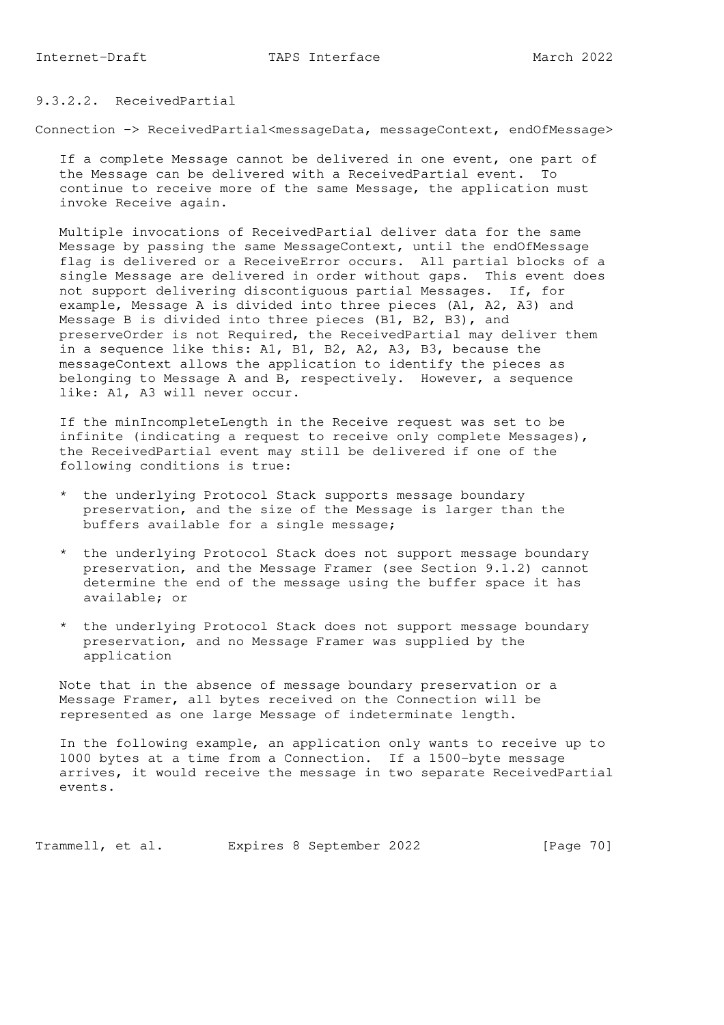# 9.3.2.2. ReceivedPartial

Connection -> ReceivedPartial<messageData, messageContext, endOfMessage>

 If a complete Message cannot be delivered in one event, one part of the Message can be delivered with a ReceivedPartial event. To continue to receive more of the same Message, the application must invoke Receive again.

 Multiple invocations of ReceivedPartial deliver data for the same Message by passing the same MessageContext, until the endOfMessage flag is delivered or a ReceiveError occurs. All partial blocks of a single Message are delivered in order without gaps. This event does not support delivering discontiguous partial Messages. If, for example, Message A is divided into three pieces (A1, A2, A3) and Message B is divided into three pieces (B1, B2, B3), and preserveOrder is not Required, the ReceivedPartial may deliver them in a sequence like this: A1, B1, B2, A2, A3, B3, because the messageContext allows the application to identify the pieces as belonging to Message A and B, respectively. However, a sequence like: A1, A3 will never occur.

 If the minIncompleteLength in the Receive request was set to be infinite (indicating a request to receive only complete Messages), the ReceivedPartial event may still be delivered if one of the following conditions is true:

- \* the underlying Protocol Stack supports message boundary preservation, and the size of the Message is larger than the buffers available for a single message;
- \* the underlying Protocol Stack does not support message boundary preservation, and the Message Framer (see Section 9.1.2) cannot determine the end of the message using the buffer space it has available; or
- \* the underlying Protocol Stack does not support message boundary preservation, and no Message Framer was supplied by the application

 Note that in the absence of message boundary preservation or a Message Framer, all bytes received on the Connection will be represented as one large Message of indeterminate length.

 In the following example, an application only wants to receive up to 1000 bytes at a time from a Connection. If a 1500-byte message arrives, it would receive the message in two separate ReceivedPartial events.

Trammell, et al. Expires 8 September 2022 [Page 70]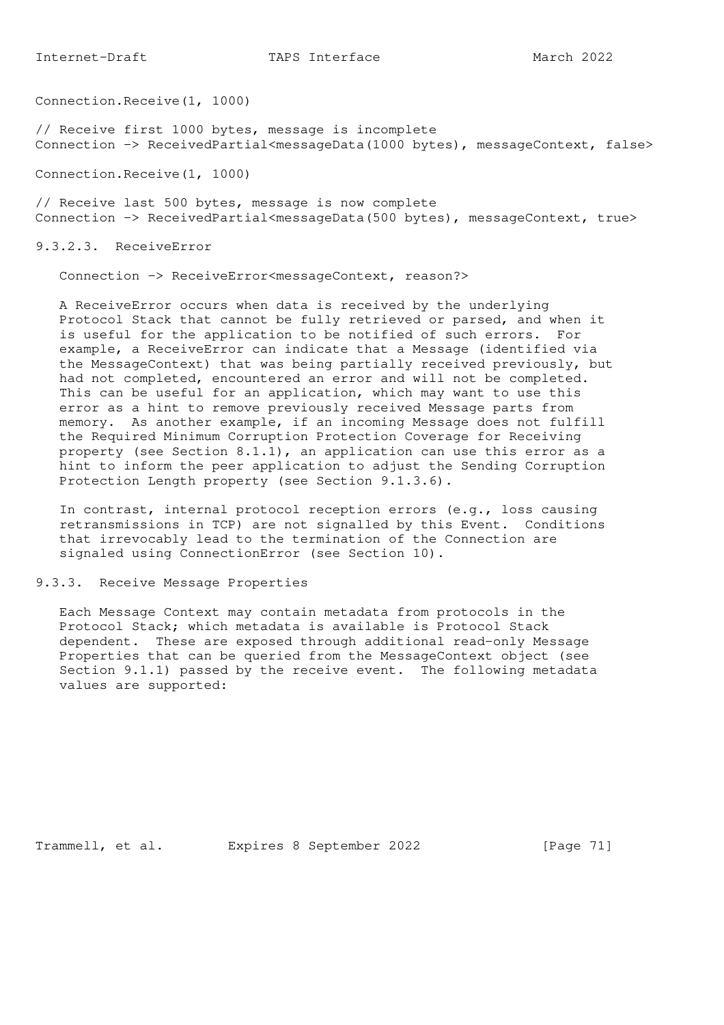Connection.Receive(1, 1000)

// Receive first 1000 bytes, message is incomplete Connection -> ReceivedPartial<messageData(1000 bytes), messageContext, false>

Connection.Receive(1, 1000)

// Receive last 500 bytes, message is now complete Connection -> ReceivedPartial<messageData(500 bytes), messageContext, true>

9.3.2.3. ReceiveError

Connection -> ReceiveError<messageContext, reason?>

 A ReceiveError occurs when data is received by the underlying Protocol Stack that cannot be fully retrieved or parsed, and when it is useful for the application to be notified of such errors. For example, a ReceiveError can indicate that a Message (identified via the MessageContext) that was being partially received previously, but had not completed, encountered an error and will not be completed. This can be useful for an application, which may want to use this error as a hint to remove previously received Message parts from memory. As another example, if an incoming Message does not fulfill the Required Minimum Corruption Protection Coverage for Receiving property (see Section 8.1.1), an application can use this error as a hint to inform the peer application to adjust the Sending Corruption Protection Length property (see Section 9.1.3.6).

 In contrast, internal protocol reception errors (e.g., loss causing retransmissions in TCP) are not signalled by this Event. Conditions that irrevocably lead to the termination of the Connection are signaled using ConnectionError (see Section 10).

9.3.3. Receive Message Properties

 Each Message Context may contain metadata from protocols in the Protocol Stack; which metadata is available is Protocol Stack dependent. These are exposed through additional read-only Message Properties that can be queried from the MessageContext object (see Section 9.1.1) passed by the receive event. The following metadata values are supported:

Trammell, et al. Expires 8 September 2022 [Page 71]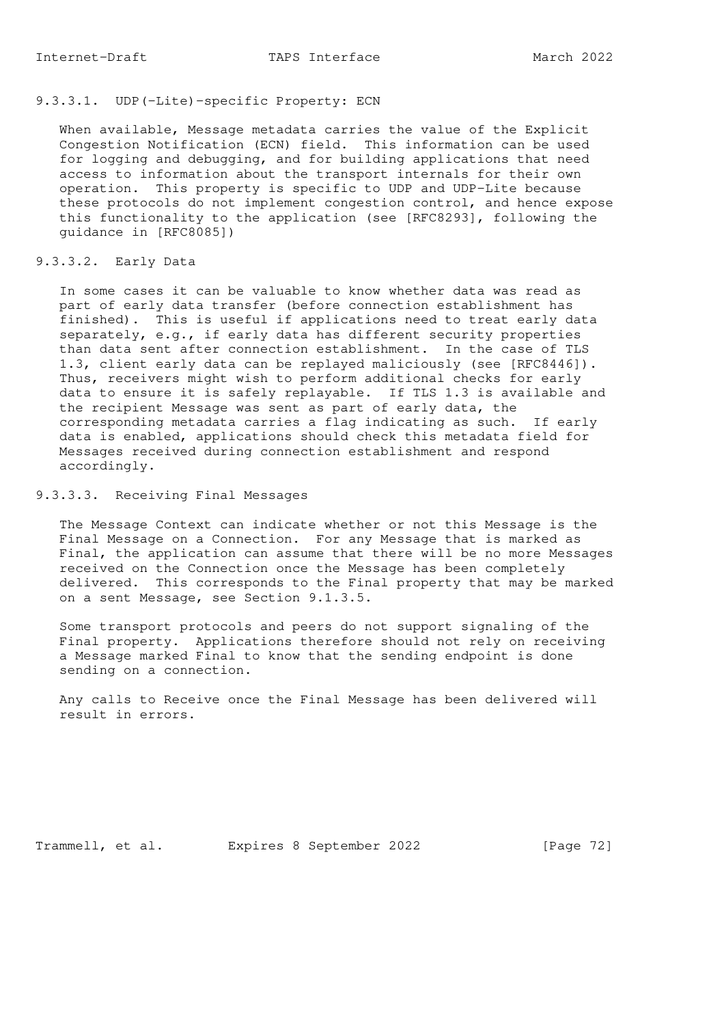# 9.3.3.1. UDP(-Lite)-specific Property: ECN

 When available, Message metadata carries the value of the Explicit Congestion Notification (ECN) field. This information can be used for logging and debugging, and for building applications that need access to information about the transport internals for their own operation. This property is specific to UDP and UDP-Lite because these protocols do not implement congestion control, and hence expose this functionality to the application (see [RFC8293], following the guidance in [RFC8085])

# 9.3.3.2. Early Data

 In some cases it can be valuable to know whether data was read as part of early data transfer (before connection establishment has finished). This is useful if applications need to treat early data separately, e.g., if early data has different security properties than data sent after connection establishment. In the case of TLS 1.3, client early data can be replayed maliciously (see [RFC8446]). Thus, receivers might wish to perform additional checks for early data to ensure it is safely replayable. If TLS 1.3 is available and the recipient Message was sent as part of early data, the corresponding metadata carries a flag indicating as such. If early data is enabled, applications should check this metadata field for Messages received during connection establishment and respond accordingly.

#### 9.3.3.3. Receiving Final Messages

 The Message Context can indicate whether or not this Message is the Final Message on a Connection. For any Message that is marked as Final, the application can assume that there will be no more Messages received on the Connection once the Message has been completely delivered. This corresponds to the Final property that may be marked on a sent Message, see Section 9.1.3.5.

 Some transport protocols and peers do not support signaling of the Final property. Applications therefore should not rely on receiving a Message marked Final to know that the sending endpoint is done sending on a connection.

 Any calls to Receive once the Final Message has been delivered will result in errors.

Trammell, et al. Expires 8 September 2022 [Page 72]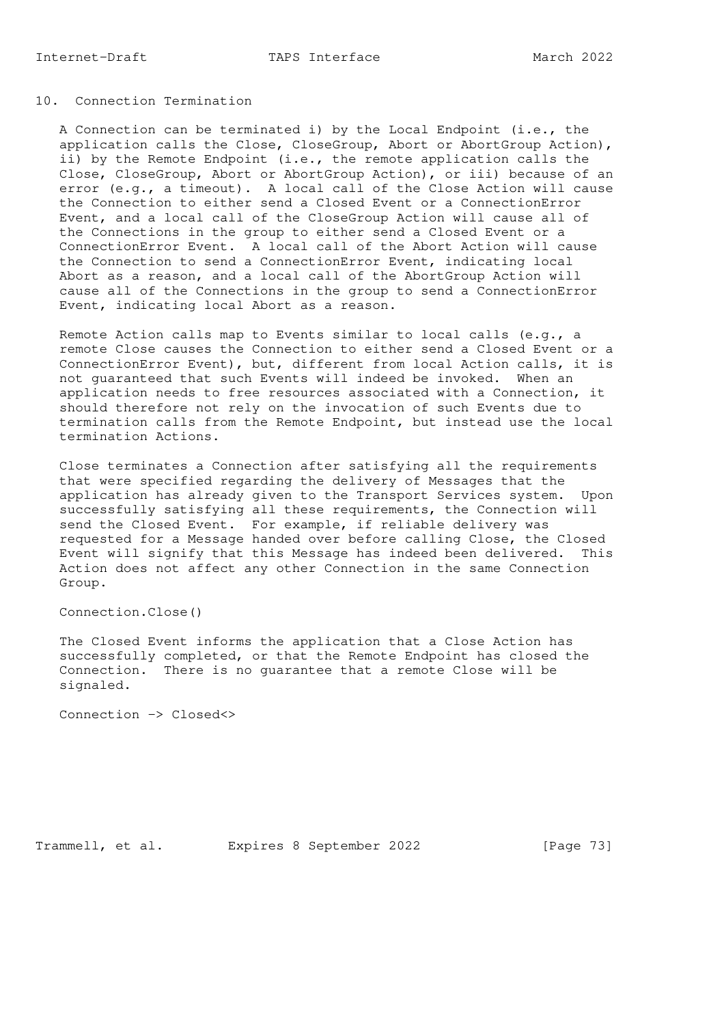## 10. Connection Termination

 A Connection can be terminated i) by the Local Endpoint (i.e., the application calls the Close, CloseGroup, Abort or AbortGroup Action), ii) by the Remote Endpoint (i.e., the remote application calls the Close, CloseGroup, Abort or AbortGroup Action), or iii) because of an error (e.g., a timeout). A local call of the Close Action will cause the Connection to either send a Closed Event or a ConnectionError Event, and a local call of the CloseGroup Action will cause all of the Connections in the group to either send a Closed Event or a ConnectionError Event. A local call of the Abort Action will cause the Connection to send a ConnectionError Event, indicating local Abort as a reason, and a local call of the AbortGroup Action will cause all of the Connections in the group to send a ConnectionError Event, indicating local Abort as a reason.

 Remote Action calls map to Events similar to local calls (e.g., a remote Close causes the Connection to either send a Closed Event or a ConnectionError Event), but, different from local Action calls, it is not guaranteed that such Events will indeed be invoked. When an application needs to free resources associated with a Connection, it should therefore not rely on the invocation of such Events due to termination calls from the Remote Endpoint, but instead use the local termination Actions.

 Close terminates a Connection after satisfying all the requirements that were specified regarding the delivery of Messages that the application has already given to the Transport Services system. Upon successfully satisfying all these requirements, the Connection will send the Closed Event. For example, if reliable delivery was requested for a Message handed over before calling Close, the Closed Event will signify that this Message has indeed been delivered. This Action does not affect any other Connection in the same Connection Group.

Connection.Close()

 The Closed Event informs the application that a Close Action has successfully completed, or that the Remote Endpoint has closed the Connection. There is no guarantee that a remote Close will be signaled.

Connection -> Closed<>

Trammell, et al. Expires 8 September 2022 [Page 73]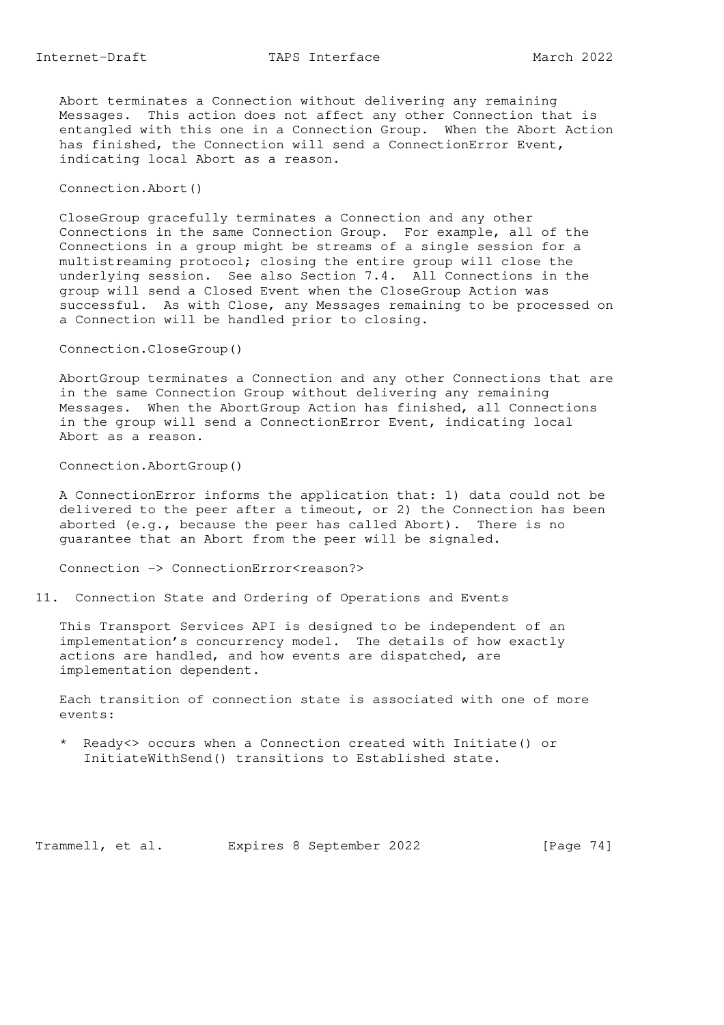Abort terminates a Connection without delivering any remaining Messages. This action does not affect any other Connection that is entangled with this one in a Connection Group. When the Abort Action has finished, the Connection will send a ConnectionError Event, indicating local Abort as a reason.

#### Connection.Abort()

 CloseGroup gracefully terminates a Connection and any other Connections in the same Connection Group. For example, all of the Connections in a group might be streams of a single session for a multistreaming protocol; closing the entire group will close the underlying session. See also Section 7.4. All Connections in the group will send a Closed Event when the CloseGroup Action was successful. As with Close, any Messages remaining to be processed on a Connection will be handled prior to closing.

Connection.CloseGroup()

 AbortGroup terminates a Connection and any other Connections that are in the same Connection Group without delivering any remaining Messages. When the AbortGroup Action has finished, all Connections in the group will send a ConnectionError Event, indicating local Abort as a reason.

Connection.AbortGroup()

 A ConnectionError informs the application that: 1) data could not be delivered to the peer after a timeout, or 2) the Connection has been aborted (e.g., because the peer has called Abort). There is no guarantee that an Abort from the peer will be signaled.

Connection -> ConnectionError<reason?>

11. Connection State and Ordering of Operations and Events

 This Transport Services API is designed to be independent of an implementation's concurrency model. The details of how exactly actions are handled, and how events are dispatched, are implementation dependent.

 Each transition of connection state is associated with one of more events:

 \* Ready<> occurs when a Connection created with Initiate() or InitiateWithSend() transitions to Established state.

Trammell, et al. Expires 8 September 2022 [Page 74]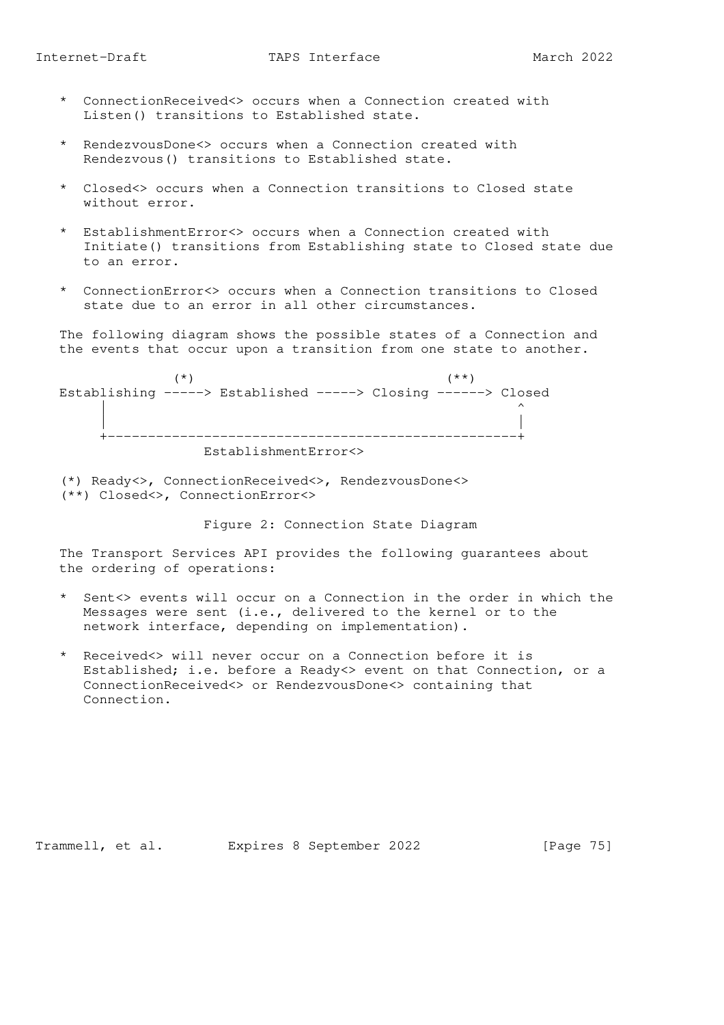- \* ConnectionReceived<> occurs when a Connection created with Listen() transitions to Established state.
- \* RendezvousDone<> occurs when a Connection created with Rendezvous() transitions to Established state.
- \* Closed<> occurs when a Connection transitions to Closed state without error.
- \* EstablishmentError<> occurs when a Connection created with Initiate() transitions from Establishing state to Closed state due to an error.
- \* ConnectionError<> occurs when a Connection transitions to Closed state due to an error in all other circumstances.

 The following diagram shows the possible states of a Connection and the events that occur upon a transition from one state to another.



 (\*) Ready<>, ConnectionReceived<>, RendezvousDone<> (\*\*) Closed<>, ConnectionError<>

Figure 2: Connection State Diagram

 The Transport Services API provides the following guarantees about the ordering of operations:

- \* Sent<> events will occur on a Connection in the order in which the Messages were sent (i.e., delivered to the kernel or to the network interface, depending on implementation).
- \* Received<> will never occur on a Connection before it is Established; i.e. before a Ready<> event on that Connection, or a ConnectionReceived<> or RendezvousDone<> containing that Connection.

Trammell, et al. Expires 8 September 2022 [Page 75]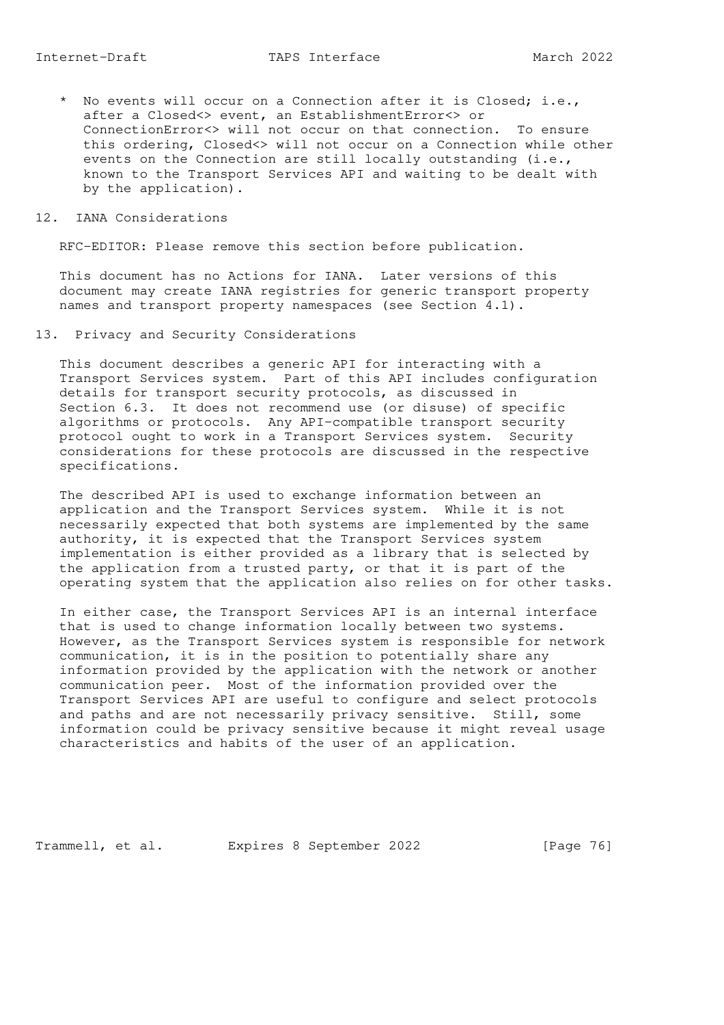\* No events will occur on a Connection after it is Closed; i.e., after a Closed<> event, an EstablishmentError<> or ConnectionError<> will not occur on that connection. To ensure this ordering, Closed<> will not occur on a Connection while other events on the Connection are still locally outstanding (i.e., known to the Transport Services API and waiting to be dealt with by the application).

#### 12. IANA Considerations

RFC-EDITOR: Please remove this section before publication.

 This document has no Actions for IANA. Later versions of this document may create IANA registries for generic transport property names and transport property namespaces (see Section 4.1).

13. Privacy and Security Considerations

 This document describes a generic API for interacting with a Transport Services system. Part of this API includes configuration details for transport security protocols, as discussed in Section 6.3. It does not recommend use (or disuse) of specific algorithms or protocols. Any API-compatible transport security protocol ought to work in a Transport Services system. Security considerations for these protocols are discussed in the respective specifications.

 The described API is used to exchange information between an application and the Transport Services system. While it is not necessarily expected that both systems are implemented by the same authority, it is expected that the Transport Services system implementation is either provided as a library that is selected by the application from a trusted party, or that it is part of the operating system that the application also relies on for other tasks.

 In either case, the Transport Services API is an internal interface that is used to change information locally between two systems. However, as the Transport Services system is responsible for network communication, it is in the position to potentially share any information provided by the application with the network or another communication peer. Most of the information provided over the Transport Services API are useful to configure and select protocols and paths and are not necessarily privacy sensitive. Still, some information could be privacy sensitive because it might reveal usage characteristics and habits of the user of an application.

Trammell, et al. Expires 8 September 2022 [Page 76]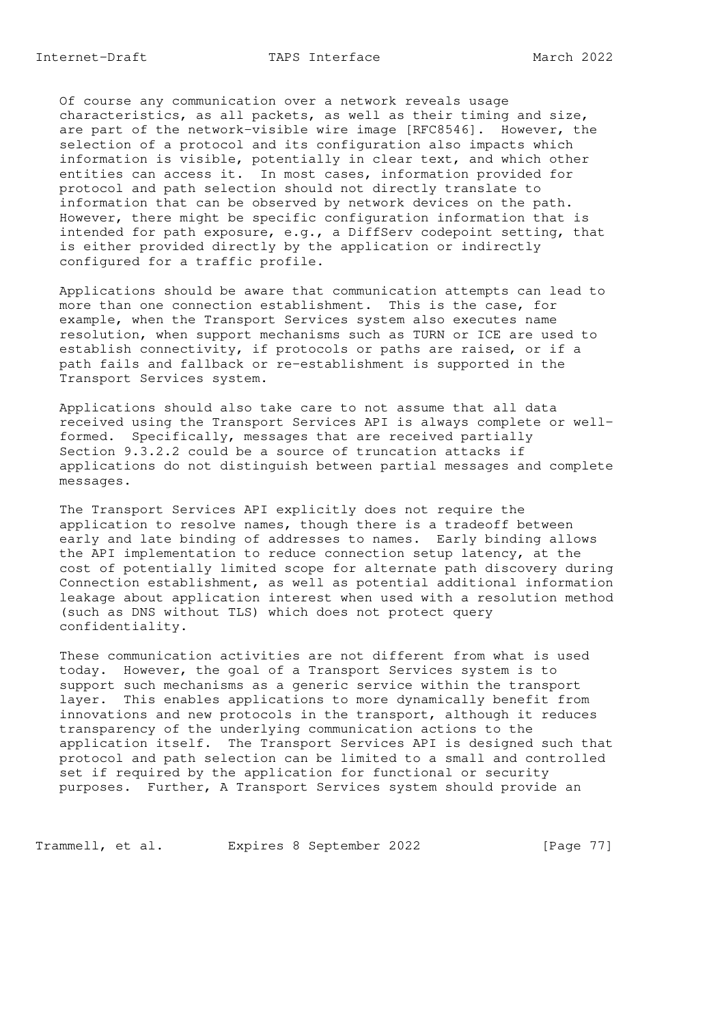Of course any communication over a network reveals usage characteristics, as all packets, as well as their timing and size, are part of the network-visible wire image [RFC8546]. However, the selection of a protocol and its configuration also impacts which information is visible, potentially in clear text, and which other entities can access it. In most cases, information provided for protocol and path selection should not directly translate to information that can be observed by network devices on the path. However, there might be specific configuration information that is intended for path exposure, e.g., a DiffServ codepoint setting, that is either provided directly by the application or indirectly configured for a traffic profile.

 Applications should be aware that communication attempts can lead to more than one connection establishment. This is the case, for example, when the Transport Services system also executes name resolution, when support mechanisms such as TURN or ICE are used to establish connectivity, if protocols or paths are raised, or if a path fails and fallback or re-establishment is supported in the Transport Services system.

 Applications should also take care to not assume that all data received using the Transport Services API is always complete or well formed. Specifically, messages that are received partially Section 9.3.2.2 could be a source of truncation attacks if applications do not distinguish between partial messages and complete messages.

 The Transport Services API explicitly does not require the application to resolve names, though there is a tradeoff between early and late binding of addresses to names. Early binding allows the API implementation to reduce connection setup latency, at the cost of potentially limited scope for alternate path discovery during Connection establishment, as well as potential additional information leakage about application interest when used with a resolution method (such as DNS without TLS) which does not protect query confidentiality.

 These communication activities are not different from what is used today. However, the goal of a Transport Services system is to support such mechanisms as a generic service within the transport layer. This enables applications to more dynamically benefit from innovations and new protocols in the transport, although it reduces transparency of the underlying communication actions to the application itself. The Transport Services API is designed such that protocol and path selection can be limited to a small and controlled set if required by the application for functional or security purposes. Further, A Transport Services system should provide an

Trammell, et al. Expires 8 September 2022 [Page 77]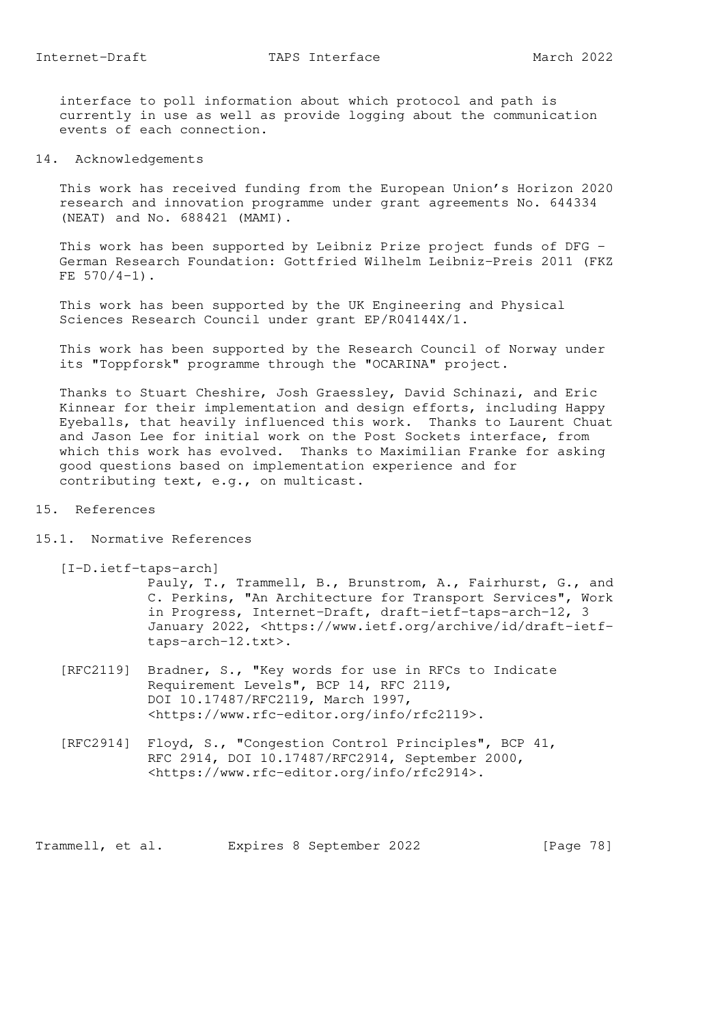interface to poll information about which protocol and path is currently in use as well as provide logging about the communication events of each connection.

14. Acknowledgements

 This work has received funding from the European Union's Horizon 2020 research and innovation programme under grant agreements No. 644334 (NEAT) and No. 688421 (MAMI).

 This work has been supported by Leibniz Prize project funds of DFG - German Research Foundation: Gottfried Wilhelm Leibniz-Preis 2011 (FKZ FE  $570/4-1$ .

 This work has been supported by the UK Engineering and Physical Sciences Research Council under grant EP/R04144X/1.

 This work has been supported by the Research Council of Norway under its "Toppforsk" programme through the "OCARINA" project.

 Thanks to Stuart Cheshire, Josh Graessley, David Schinazi, and Eric Kinnear for their implementation and design efforts, including Happy Eyeballs, that heavily influenced this work. Thanks to Laurent Chuat and Jason Lee for initial work on the Post Sockets interface, from which this work has evolved. Thanks to Maximilian Franke for asking good questions based on implementation experience and for contributing text, e.g., on multicast.

- 15. References
- 15.1. Normative References

[I-D.ietf-taps-arch]

 Pauly, T., Trammell, B., Brunstrom, A., Fairhurst, G., and C. Perkins, "An Architecture for Transport Services", Work in Progress, Internet-Draft, draft-ietf-taps-arch-12, 3 January 2022, <https://www.ietf.org/archive/id/draft-ietf taps-arch-12.txt>.

- [RFC2119] Bradner, S., "Key words for use in RFCs to Indicate Requirement Levels", BCP 14, RFC 2119, DOI 10.17487/RFC2119, March 1997, <https://www.rfc-editor.org/info/rfc2119>.
- [RFC2914] Floyd, S., "Congestion Control Principles", BCP 41, RFC 2914, DOI 10.17487/RFC2914, September 2000, <https://www.rfc-editor.org/info/rfc2914>.

Trammell, et al. Expires 8 September 2022 [Page 78]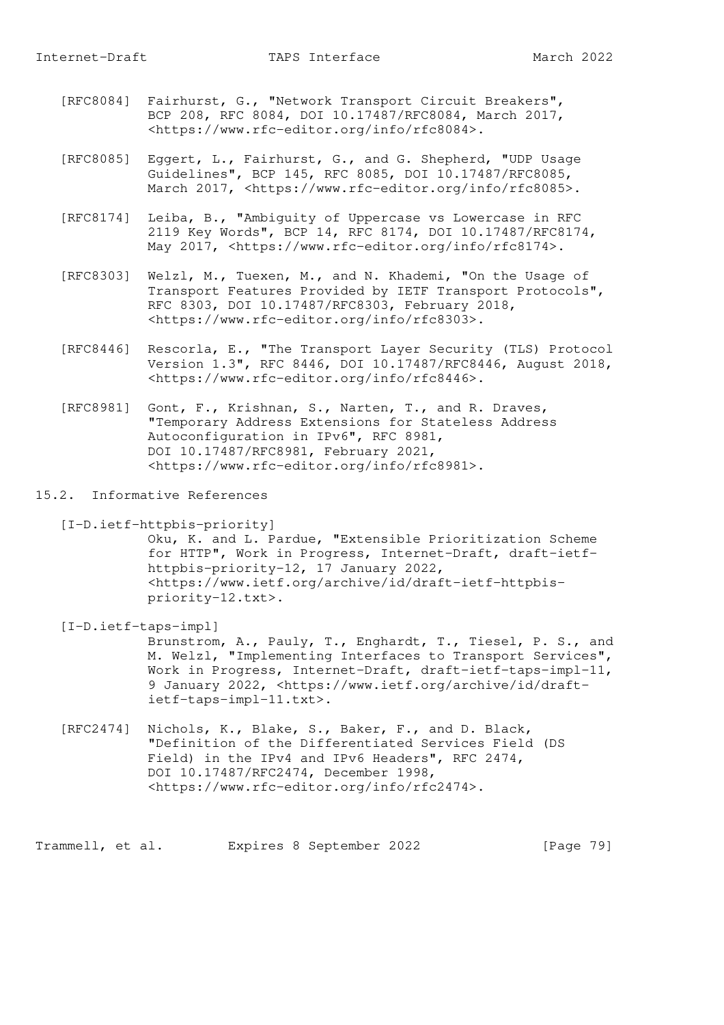- [RFC8084] Fairhurst, G., "Network Transport Circuit Breakers", BCP 208, RFC 8084, DOI 10.17487/RFC8084, March 2017, <https://www.rfc-editor.org/info/rfc8084>.
- [RFC8085] Eggert, L., Fairhurst, G., and G. Shepherd, "UDP Usage Guidelines", BCP 145, RFC 8085, DOI 10.17487/RFC8085, March 2017, <https://www.rfc-editor.org/info/rfc8085>.
- [RFC8174] Leiba, B., "Ambiguity of Uppercase vs Lowercase in RFC 2119 Key Words", BCP 14, RFC 8174, DOI 10.17487/RFC8174, May 2017, <https://www.rfc-editor.org/info/rfc8174>.
- [RFC8303] Welzl, M., Tuexen, M., and N. Khademi, "On the Usage of Transport Features Provided by IETF Transport Protocols", RFC 8303, DOI 10.17487/RFC8303, February 2018, <https://www.rfc-editor.org/info/rfc8303>.
- [RFC8446] Rescorla, E., "The Transport Layer Security (TLS) Protocol Version 1.3", RFC 8446, DOI 10.17487/RFC8446, August 2018, <https://www.rfc-editor.org/info/rfc8446>.
- [RFC8981] Gont, F., Krishnan, S., Narten, T., and R. Draves, "Temporary Address Extensions for Stateless Address Autoconfiguration in IPv6", RFC 8981, DOI 10.17487/RFC8981, February 2021, <https://www.rfc-editor.org/info/rfc8981>.
- 15.2. Informative References

```
 [I-D.ietf-httpbis-priority]
```
 Oku, K. and L. Pardue, "Extensible Prioritization Scheme for HTTP", Work in Progress, Internet-Draft, draft-ietf httpbis-priority-12, 17 January 2022, <https://www.ietf.org/archive/id/draft-ietf-httpbis priority-12.txt>.

[I-D.ietf-taps-impl]

 Brunstrom, A., Pauly, T., Enghardt, T., Tiesel, P. S., and M. Welzl, "Implementing Interfaces to Transport Services", Work in Progress, Internet-Draft, draft-ietf-taps-impl-11, 9 January 2022, <https://www.ietf.org/archive/id/draft ietf-taps-impl-11.txt>.

 [RFC2474] Nichols, K., Blake, S., Baker, F., and D. Black, "Definition of the Differentiated Services Field (DS Field) in the IPv4 and IPv6 Headers", RFC 2474, DOI 10.17487/RFC2474, December 1998, <https://www.rfc-editor.org/info/rfc2474>.

Trammell, et al. Expires 8 September 2022 [Page 79]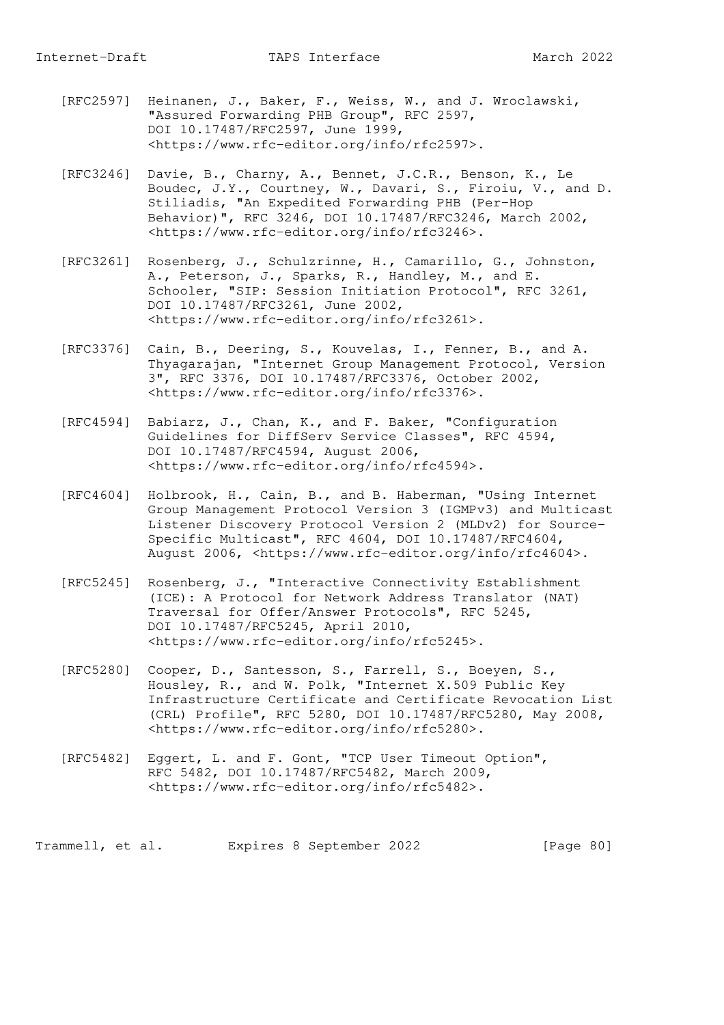- [RFC2597] Heinanen, J., Baker, F., Weiss, W., and J. Wroclawski, "Assured Forwarding PHB Group", RFC 2597, DOI 10.17487/RFC2597, June 1999, <https://www.rfc-editor.org/info/rfc2597>.
- [RFC3246] Davie, B., Charny, A., Bennet, J.C.R., Benson, K., Le Boudec, J.Y., Courtney, W., Davari, S., Firoiu, V., and D. Stiliadis, "An Expedited Forwarding PHB (Per-Hop Behavior)", RFC 3246, DOI 10.17487/RFC3246, March 2002, <https://www.rfc-editor.org/info/rfc3246>.
	- [RFC3261] Rosenberg, J., Schulzrinne, H., Camarillo, G., Johnston, A., Peterson, J., Sparks, R., Handley, M., and E. Schooler, "SIP: Session Initiation Protocol", RFC 3261, DOI 10.17487/RFC3261, June 2002, <https://www.rfc-editor.org/info/rfc3261>.
	- [RFC3376] Cain, B., Deering, S., Kouvelas, I., Fenner, B., and A. Thyagarajan, "Internet Group Management Protocol, Version 3", RFC 3376, DOI 10.17487/RFC3376, October 2002, <https://www.rfc-editor.org/info/rfc3376>.
	- [RFC4594] Babiarz, J., Chan, K., and F. Baker, "Configuration Guidelines for DiffServ Service Classes", RFC 4594, DOI 10.17487/RFC4594, August 2006, <https://www.rfc-editor.org/info/rfc4594>.
	- [RFC4604] Holbrook, H., Cain, B., and B. Haberman, "Using Internet Group Management Protocol Version 3 (IGMPv3) and Multicast Listener Discovery Protocol Version 2 (MLDv2) for Source- Specific Multicast", RFC 4604, DOI 10.17487/RFC4604, August 2006, <https://www.rfc-editor.org/info/rfc4604>.
	- [RFC5245] Rosenberg, J., "Interactive Connectivity Establishment (ICE): A Protocol for Network Address Translator (NAT) Traversal for Offer/Answer Protocols", RFC 5245, DOI 10.17487/RFC5245, April 2010, <https://www.rfc-editor.org/info/rfc5245>.
	- [RFC5280] Cooper, D., Santesson, S., Farrell, S., Boeyen, S., Housley, R., and W. Polk, "Internet X.509 Public Key Infrastructure Certificate and Certificate Revocation List (CRL) Profile", RFC 5280, DOI 10.17487/RFC5280, May 2008, <https://www.rfc-editor.org/info/rfc5280>.
	- [RFC5482] Eggert, L. and F. Gont, "TCP User Timeout Option", RFC 5482, DOI 10.17487/RFC5482, March 2009, <https://www.rfc-editor.org/info/rfc5482>.

Trammell, et al. Expires 8 September 2022 [Page 80]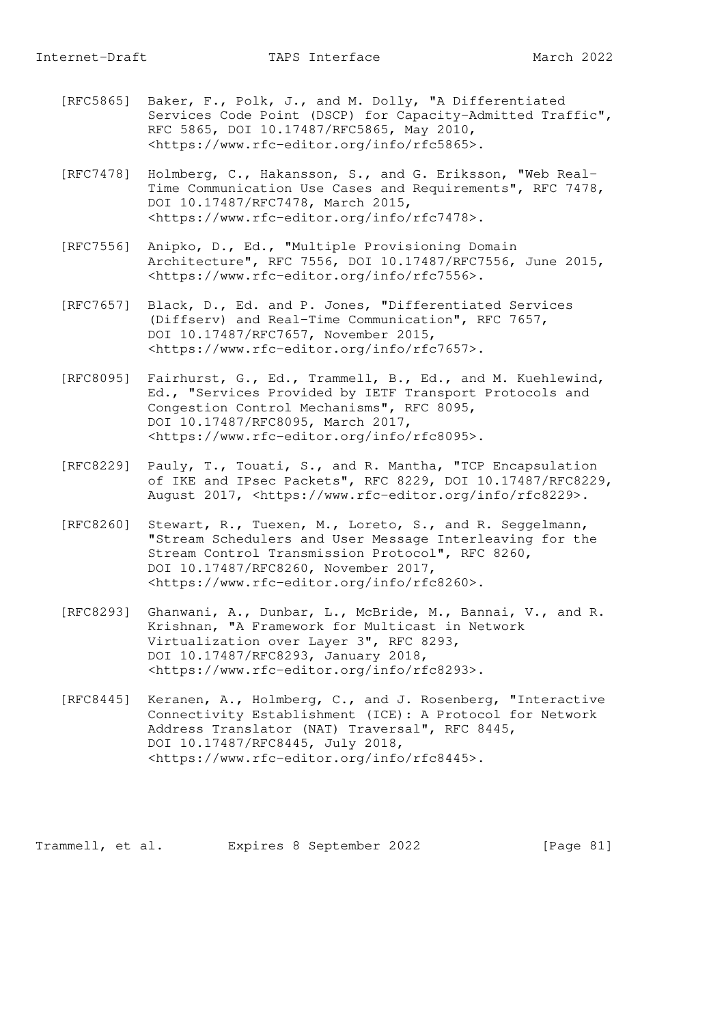- [RFC5865] Baker, F., Polk, J., and M. Dolly, "A Differentiated Services Code Point (DSCP) for Capacity-Admitted Traffic", RFC 5865, DOI 10.17487/RFC5865, May 2010, <https://www.rfc-editor.org/info/rfc5865>.
- [RFC7478] Holmberg, C., Hakansson, S., and G. Eriksson, "Web Real- Time Communication Use Cases and Requirements", RFC 7478, DOI 10.17487/RFC7478, March 2015, <https://www.rfc-editor.org/info/rfc7478>.
- [RFC7556] Anipko, D., Ed., "Multiple Provisioning Domain Architecture", RFC 7556, DOI 10.17487/RFC7556, June 2015, <https://www.rfc-editor.org/info/rfc7556>.
- [RFC7657] Black, D., Ed. and P. Jones, "Differentiated Services (Diffserv) and Real-Time Communication", RFC 7657, DOI 10.17487/RFC7657, November 2015, <https://www.rfc-editor.org/info/rfc7657>.
- [RFC8095] Fairhurst, G., Ed., Trammell, B., Ed., and M. Kuehlewind, Ed., "Services Provided by IETF Transport Protocols and Congestion Control Mechanisms", RFC 8095, DOI 10.17487/RFC8095, March 2017, <https://www.rfc-editor.org/info/rfc8095>.
- [RFC8229] Pauly, T., Touati, S., and R. Mantha, "TCP Encapsulation of IKE and IPsec Packets", RFC 8229, DOI 10.17487/RFC8229, August 2017, <https://www.rfc-editor.org/info/rfc8229>.
- [RFC8260] Stewart, R., Tuexen, M., Loreto, S., and R. Seggelmann, "Stream Schedulers and User Message Interleaving for the Stream Control Transmission Protocol", RFC 8260, DOI 10.17487/RFC8260, November 2017, <https://www.rfc-editor.org/info/rfc8260>.
- [RFC8293] Ghanwani, A., Dunbar, L., McBride, M., Bannai, V., and R. Krishnan, "A Framework for Multicast in Network Virtualization over Layer 3", RFC 8293, DOI 10.17487/RFC8293, January 2018, <https://www.rfc-editor.org/info/rfc8293>.
- [RFC8445] Keranen, A., Holmberg, C., and J. Rosenberg, "Interactive Connectivity Establishment (ICE): A Protocol for Network Address Translator (NAT) Traversal", RFC 8445, DOI 10.17487/RFC8445, July 2018, <https://www.rfc-editor.org/info/rfc8445>.

Trammell, et al. Expires 8 September 2022 [Page 81]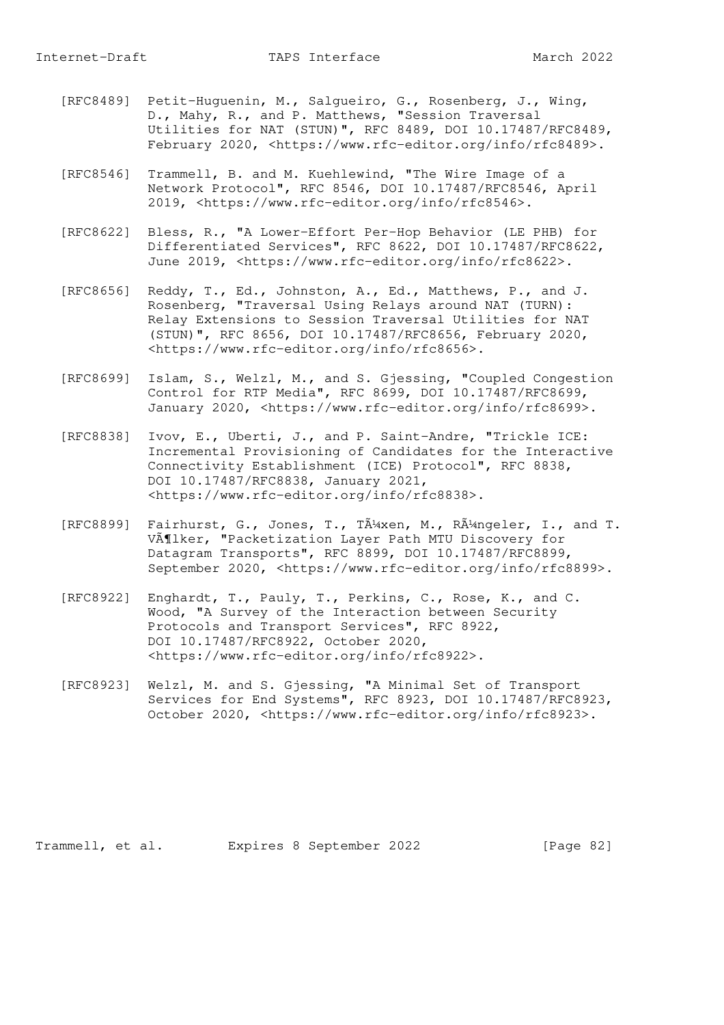- [RFC8489] Petit-Huguenin, M., Salgueiro, G., Rosenberg, J., Wing, D., Mahy, R., and P. Matthews, "Session Traversal Utilities for NAT (STUN)", RFC 8489, DOI 10.17487/RFC8489, February 2020, <https://www.rfc-editor.org/info/rfc8489>.
- [RFC8546] Trammell, B. and M. Kuehlewind, "The Wire Image of a Network Protocol", RFC 8546, DOI 10.17487/RFC8546, April 2019, <https://www.rfc-editor.org/info/rfc8546>.
- [RFC8622] Bless, R., "A Lower-Effort Per-Hop Behavior (LE PHB) for Differentiated Services", RFC 8622, DOI 10.17487/RFC8622, June 2019, <https://www.rfc-editor.org/info/rfc8622>.
- [RFC8656] Reddy, T., Ed., Johnston, A., Ed., Matthews, P., and J. Rosenberg, "Traversal Using Relays around NAT (TURN): Relay Extensions to Session Traversal Utilities for NAT (STUN)", RFC 8656, DOI 10.17487/RFC8656, February 2020, <https://www.rfc-editor.org/info/rfc8656>.
- [RFC8699] Islam, S., Welzl, M., and S. Gjessing, "Coupled Congestion Control for RTP Media", RFC 8699, DOI 10.17487/RFC8699, January 2020, <https://www.rfc-editor.org/info/rfc8699>.
- [RFC8838] Ivov, E., Uberti, J., and P. Saint-Andre, "Trickle ICE: Incremental Provisioning of Candidates for the Interactive Connectivity Establishment (ICE) Protocol", RFC 8838, DOI 10.17487/RFC8838, January 2021, <https://www.rfc-editor.org/info/rfc8838>.
- [RFC8899] Fairhurst, G., Jones, T., TA<sup>1</sup> xen, M., RA<sup>1</sup> ngeler, I., and T. VĶlker, "Packetization Layer Path MTU Discovery for Datagram Transports", RFC 8899, DOI 10.17487/RFC8899, September 2020, <https://www.rfc-editor.org/info/rfc8899>.
- [RFC8922] Enghardt, T., Pauly, T., Perkins, C., Rose, K., and C. Wood, "A Survey of the Interaction between Security Protocols and Transport Services", RFC 8922, DOI 10.17487/RFC8922, October 2020, <https://www.rfc-editor.org/info/rfc8922>.
- [RFC8923] Welzl, M. and S. Gjessing, "A Minimal Set of Transport Services for End Systems", RFC 8923, DOI 10.17487/RFC8923, October 2020, <https://www.rfc-editor.org/info/rfc8923>.

Trammell, et al. Expires 8 September 2022 [Page 82]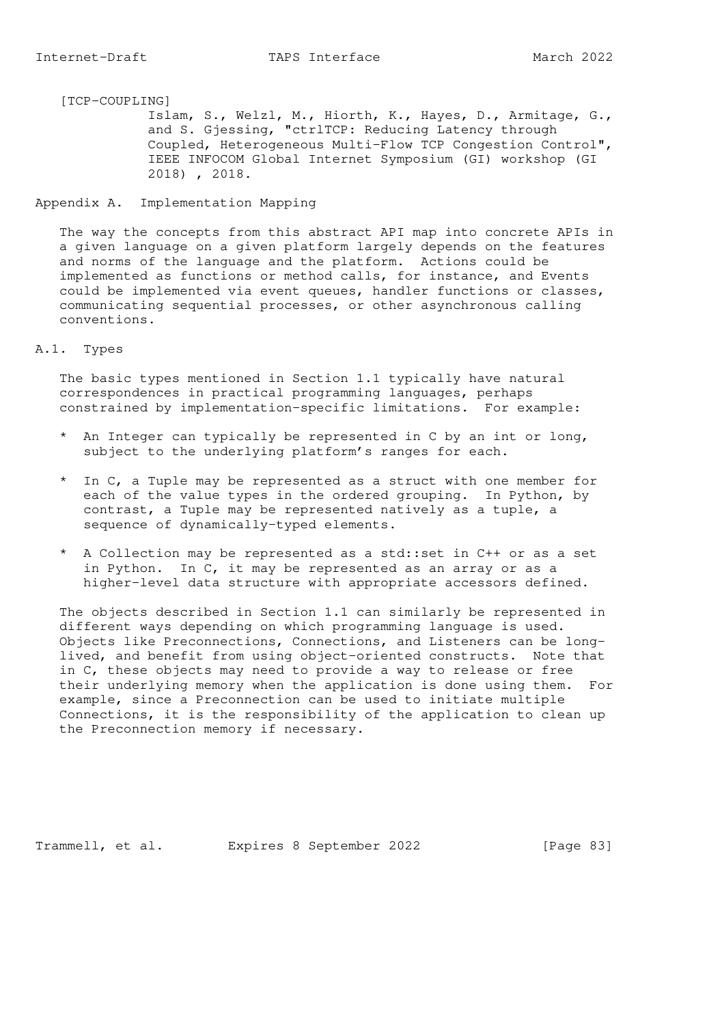Islam, S., Welzl, M., Hiorth, K., Hayes, D., Armitage, G., and S. Gjessing, "ctrlTCP: Reducing Latency through Coupled, Heterogeneous Multi-Flow TCP Congestion Control", IEEE INFOCOM Global Internet Symposium (GI) workshop (GI 2018) , 2018.

#### Appendix A. Implementation Mapping

 The way the concepts from this abstract API map into concrete APIs in a given language on a given platform largely depends on the features and norms of the language and the platform. Actions could be implemented as functions or method calls, for instance, and Events could be implemented via event queues, handler functions or classes, communicating sequential processes, or other asynchronous calling conventions.

## A.1. Types

 The basic types mentioned in Section 1.1 typically have natural correspondences in practical programming languages, perhaps constrained by implementation-specific limitations. For example:

- \* An Integer can typically be represented in C by an int or long, subject to the underlying platform's ranges for each.
- \* In C, a Tuple may be represented as a struct with one member for each of the value types in the ordered grouping. In Python, by contrast, a Tuple may be represented natively as a tuple, a sequence of dynamically-typed elements.
- \* A Collection may be represented as a std::set in C++ or as a set in Python. In C, it may be represented as an array or as a higher-level data structure with appropriate accessors defined.

 The objects described in Section 1.1 can similarly be represented in different ways depending on which programming language is used. Objects like Preconnections, Connections, and Listeners can be long lived, and benefit from using object-oriented constructs. Note that in C, these objects may need to provide a way to release or free their underlying memory when the application is done using them. For example, since a Preconnection can be used to initiate multiple Connections, it is the responsibility of the application to clean up the Preconnection memory if necessary.

Trammell, et al. Expires 8 September 2022 [Page 83]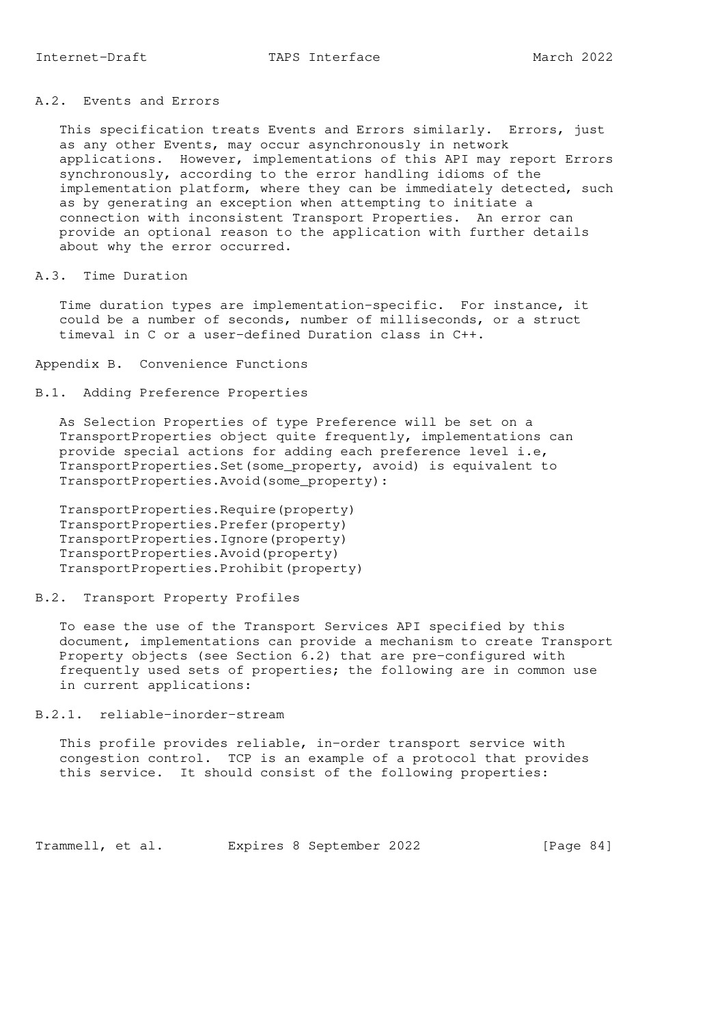# A.2. Events and Errors

 This specification treats Events and Errors similarly. Errors, just as any other Events, may occur asynchronously in network applications. However, implementations of this API may report Errors synchronously, according to the error handling idioms of the implementation platform, where they can be immediately detected, such as by generating an exception when attempting to initiate a connection with inconsistent Transport Properties. An error can provide an optional reason to the application with further details about why the error occurred.

#### A.3. Time Duration

 Time duration types are implementation-specific. For instance, it could be a number of seconds, number of milliseconds, or a struct timeval in C or a user-defined Duration class in C++.

Appendix B. Convenience Functions

## B.1. Adding Preference Properties

 As Selection Properties of type Preference will be set on a TransportProperties object quite frequently, implementations can provide special actions for adding each preference level i.e, TransportProperties.Set(some\_property, avoid) is equivalent to TransportProperties.Avoid(some\_property):

 TransportProperties.Require(property) TransportProperties.Prefer(property) TransportProperties.Ignore(property) TransportProperties.Avoid(property) TransportProperties.Prohibit(property)

### B.2. Transport Property Profiles

 To ease the use of the Transport Services API specified by this document, implementations can provide a mechanism to create Transport Property objects (see Section 6.2) that are pre-configured with frequently used sets of properties; the following are in common use in current applications:

#### B.2.1. reliable-inorder-stream

 This profile provides reliable, in-order transport service with congestion control. TCP is an example of a protocol that provides this service. It should consist of the following properties:

Trammell, et al. Expires 8 September 2022 [Page 84]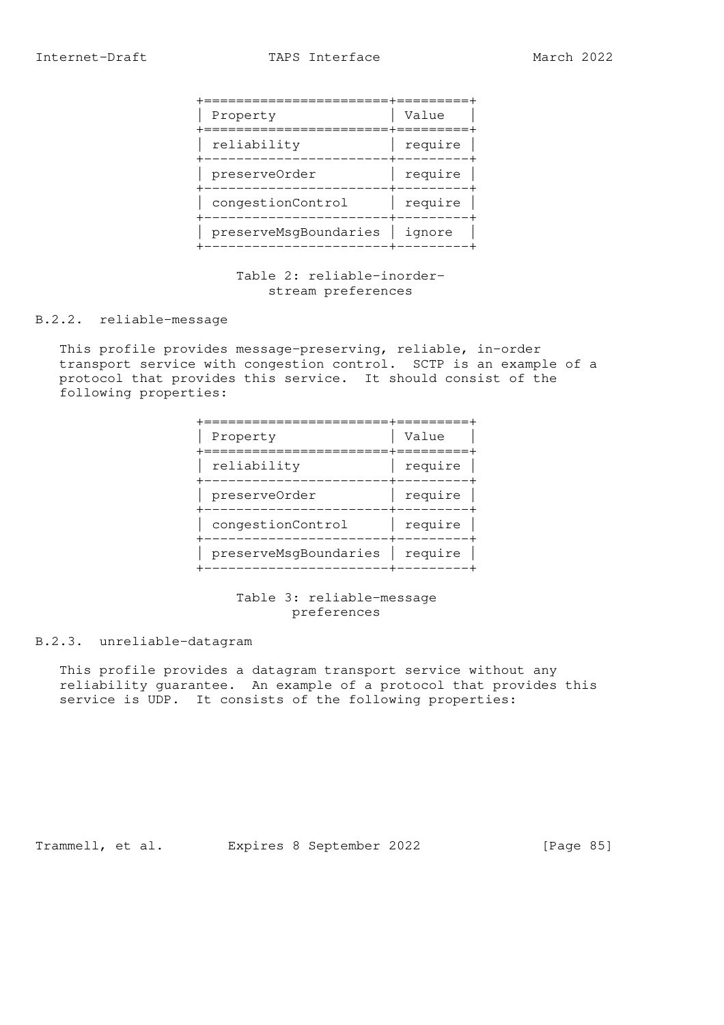|  | Property              | Value   |
|--|-----------------------|---------|
|  | reliability           | require |
|  | preserveOrder         | require |
|  | congestionControl     | require |
|  | preserveMsqBoundaries | ignore  |

# Table 2: reliable-inorder stream preferences

#### B.2.2. reliable-message

 This profile provides message-preserving, reliable, in-order transport service with congestion control. SCTP is an example of a protocol that provides this service. It should consist of the following properties:

|  | Property              | Value   |
|--|-----------------------|---------|
|  | reliability           | require |
|  | preserveOrder         | require |
|  | congestionControl     | require |
|  | preserveMsqBoundaries | require |

# Table 3: reliable-message preferences

### B.2.3. unreliable-datagram

 This profile provides a datagram transport service without any reliability guarantee. An example of a protocol that provides this service is UDP. It consists of the following properties:

Trammell, et al. Expires 8 September 2022 [Page 85]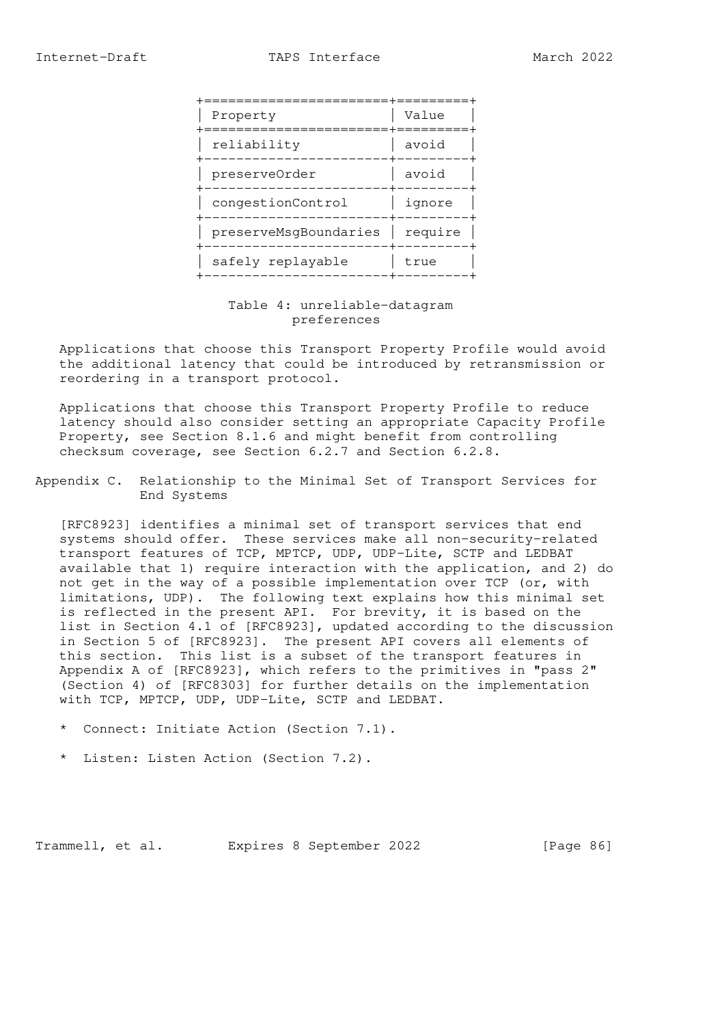|  | Property              | Value   |
|--|-----------------------|---------|
|  | reliability           | avoid   |
|  | preserveOrder         | avoid   |
|  | congestionControl     | ignore  |
|  | preserveMsgBoundaries | require |
|  | safely replayable     | true    |
|  |                       |         |

 Table 4: unreliable-datagram preferences

 Applications that choose this Transport Property Profile would avoid the additional latency that could be introduced by retransmission or reordering in a transport protocol.

 Applications that choose this Transport Property Profile to reduce latency should also consider setting an appropriate Capacity Profile Property, see Section 8.1.6 and might benefit from controlling checksum coverage, see Section 6.2.7 and Section 6.2.8.

Appendix C. Relationship to the Minimal Set of Transport Services for End Systems

 [RFC8923] identifies a minimal set of transport services that end systems should offer. These services make all non-security-related transport features of TCP, MPTCP, UDP, UDP-Lite, SCTP and LEDBAT available that 1) require interaction with the application, and 2) do not get in the way of a possible implementation over TCP (or, with limitations, UDP). The following text explains how this minimal set is reflected in the present API. For brevity, it is based on the list in Section 4.1 of [RFC8923], updated according to the discussion in Section 5 of [RFC8923]. The present API covers all elements of this section. This list is a subset of the transport features in Appendix A of [RFC8923], which refers to the primitives in "pass 2" (Section 4) of [RFC8303] for further details on the implementation with TCP, MPTCP, UDP, UDP-Lite, SCTP and LEDBAT.

- \* Connect: Initiate Action (Section 7.1).
- \* Listen: Listen Action (Section 7.2).

Trammell, et al. Expires 8 September 2022 [Page 86]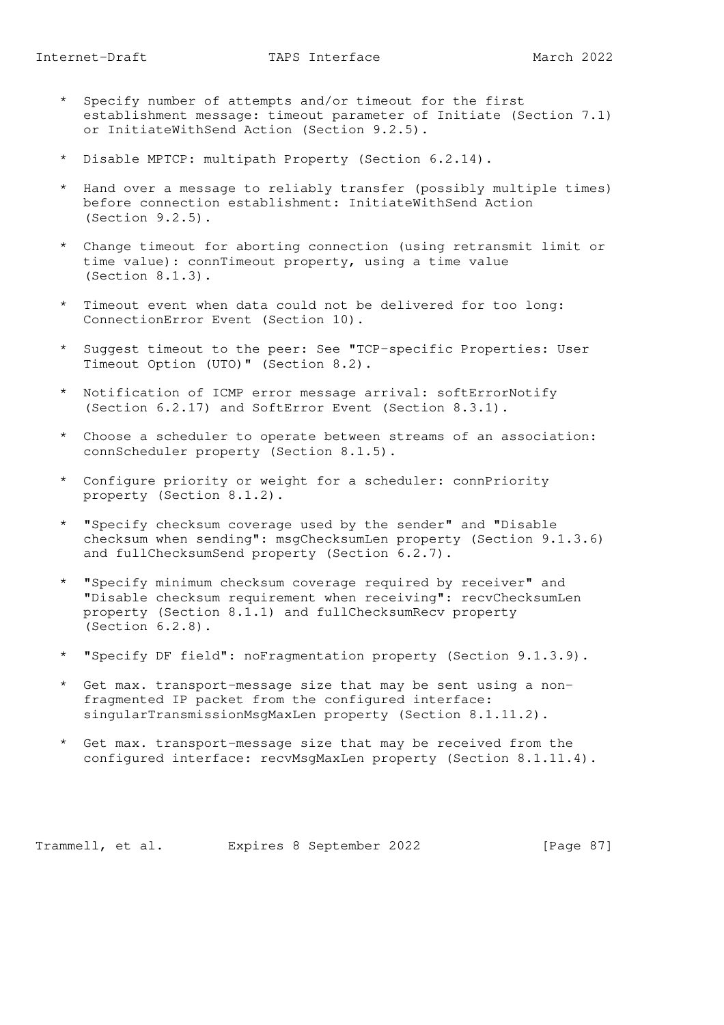- \* Specify number of attempts and/or timeout for the first establishment message: timeout parameter of Initiate (Section 7.1) or InitiateWithSend Action (Section 9.2.5).
- \* Disable MPTCP: multipath Property (Section 6.2.14).
- \* Hand over a message to reliably transfer (possibly multiple times) before connection establishment: InitiateWithSend Action (Section 9.2.5).
- \* Change timeout for aborting connection (using retransmit limit or time value): connTimeout property, using a time value (Section 8.1.3).
- \* Timeout event when data could not be delivered for too long: ConnectionError Event (Section 10).
- \* Suggest timeout to the peer: See "TCP-specific Properties: User Timeout Option (UTO)" (Section 8.2).
- \* Notification of ICMP error message arrival: softErrorNotify (Section 6.2.17) and SoftError Event (Section 8.3.1).
- \* Choose a scheduler to operate between streams of an association: connScheduler property (Section 8.1.5).
- \* Configure priority or weight for a scheduler: connPriority property (Section 8.1.2).
- \* "Specify checksum coverage used by the sender" and "Disable checksum when sending": msgChecksumLen property (Section 9.1.3.6) and fullChecksumSend property (Section 6.2.7).
- \* "Specify minimum checksum coverage required by receiver" and "Disable checksum requirement when receiving": recvChecksumLen property (Section 8.1.1) and fullChecksumRecv property (Section 6.2.8).
- "Specify DF field": noFragmentation property (Section 9.1.3.9).
- \* Get max. transport-message size that may be sent using a non fragmented IP packet from the configured interface: singularTransmissionMsgMaxLen property (Section 8.1.11.2).
- \* Get max. transport-message size that may be received from the configured interface: recvMsgMaxLen property (Section 8.1.11.4).

Trammell, et al. Expires 8 September 2022 [Page 87]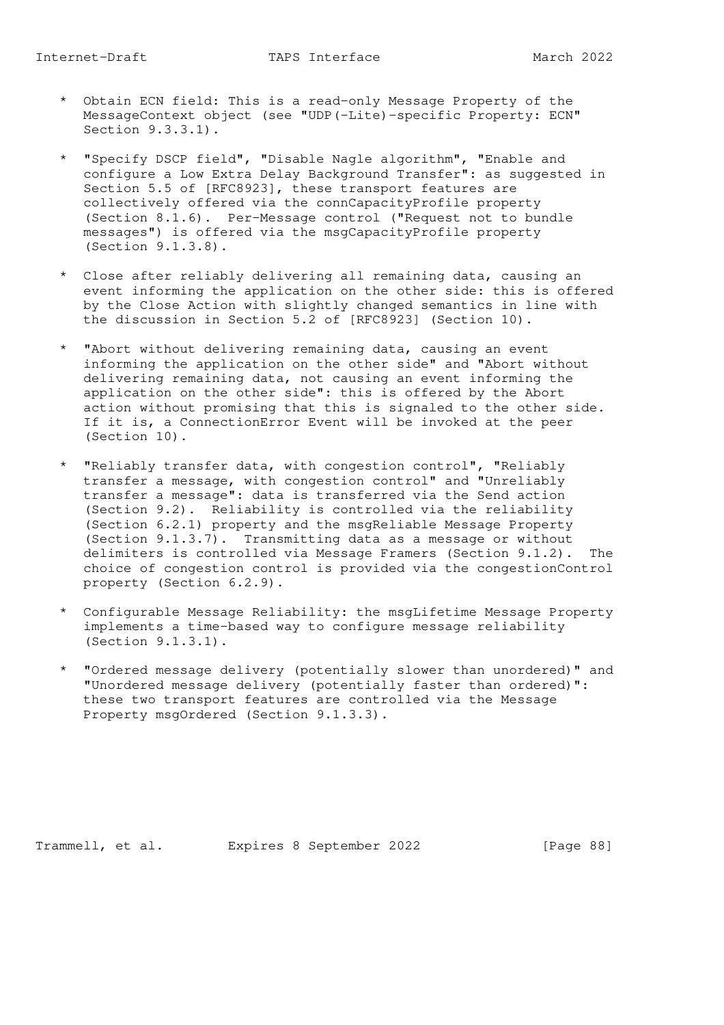- \* Obtain ECN field: This is a read-only Message Property of the MessageContext object (see "UDP(-Lite)-specific Property: ECN" Section 9.3.3.1).
- \* "Specify DSCP field", "Disable Nagle algorithm", "Enable and configure a Low Extra Delay Background Transfer": as suggested in Section 5.5 of [RFC8923], these transport features are collectively offered via the connCapacityProfile property (Section 8.1.6). Per-Message control ("Request not to bundle messages") is offered via the msgCapacityProfile property (Section 9.1.3.8).
- \* Close after reliably delivering all remaining data, causing an event informing the application on the other side: this is offered by the Close Action with slightly changed semantics in line with the discussion in Section 5.2 of [RFC8923] (Section 10).
- \* "Abort without delivering remaining data, causing an event informing the application on the other side" and "Abort without delivering remaining data, not causing an event informing the application on the other side": this is offered by the Abort action without promising that this is signaled to the other side. If it is, a ConnectionError Event will be invoked at the peer (Section 10).
- \* "Reliably transfer data, with congestion control", "Reliably transfer a message, with congestion control" and "Unreliably transfer a message": data is transferred via the Send action (Section 9.2). Reliability is controlled via the reliability (Section 6.2.1) property and the msgReliable Message Property (Section 9.1.3.7). Transmitting data as a message or without delimiters is controlled via Message Framers (Section 9.1.2). The choice of congestion control is provided via the congestionControl property (Section 6.2.9).
- \* Configurable Message Reliability: the msgLifetime Message Property implements a time-based way to configure message reliability (Section 9.1.3.1).
- \* "Ordered message delivery (potentially slower than unordered)" and "Unordered message delivery (potentially faster than ordered)": these two transport features are controlled via the Message Property msgOrdered (Section 9.1.3.3).

Trammell, et al. Expires 8 September 2022 [Page 88]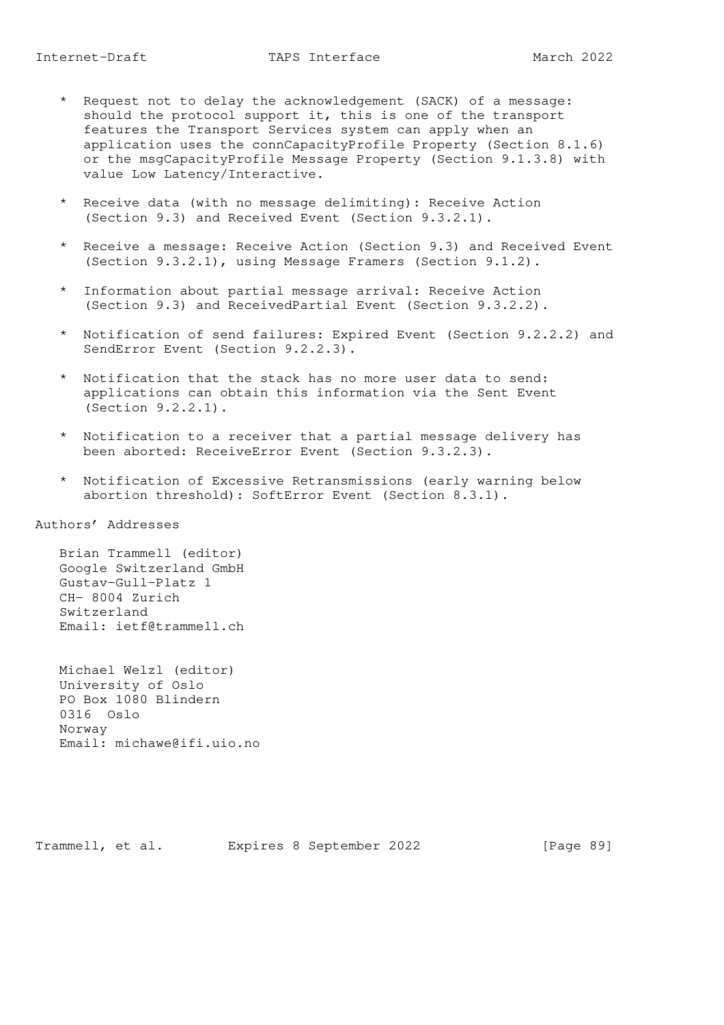- \* Request not to delay the acknowledgement (SACK) of a message: should the protocol support it, this is one of the transport features the Transport Services system can apply when an application uses the connCapacityProfile Property (Section 8.1.6) or the msgCapacityProfile Message Property (Section 9.1.3.8) with value Low Latency/Interactive.
	- \* Receive data (with no message delimiting): Receive Action (Section 9.3) and Received Event (Section 9.3.2.1).
	- \* Receive a message: Receive Action (Section 9.3) and Received Event (Section 9.3.2.1), using Message Framers (Section 9.1.2).
	- \* Information about partial message arrival: Receive Action (Section 9.3) and ReceivedPartial Event (Section 9.3.2.2).
	- \* Notification of send failures: Expired Event (Section 9.2.2.2) and SendError Event (Section 9.2.2.3).
	- \* Notification that the stack has no more user data to send: applications can obtain this information via the Sent Event (Section 9.2.2.1).
	- \* Notification to a receiver that a partial message delivery has been aborted: ReceiveError Event (Section 9.3.2.3).
	- \* Notification of Excessive Retransmissions (early warning below abortion threshold): SoftError Event (Section 8.3.1).

Authors' Addresses

 Brian Trammell (editor) Google Switzerland GmbH Gustav-Gull-Platz 1 CH- 8004 Zurich Switzerland Email: ietf@trammell.ch

 Michael Welzl (editor) University of Oslo PO Box 1080 Blindern 0316 Oslo Norway Email: michawe@ifi.uio.no

Trammell, et al. Expires 8 September 2022 [Page 89]